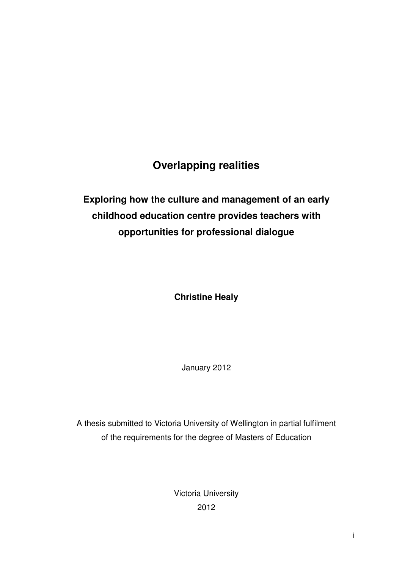# **Overlapping realities**

# **Exploring how the culture and management of an early childhood education centre provides teachers with opportunities for professional dialogue**

**Christine Healy** 

January 2012

A thesis submitted to Victoria University of Wellington in partial fulfilment of the requirements for the degree of Masters of Education

> Victoria University 2012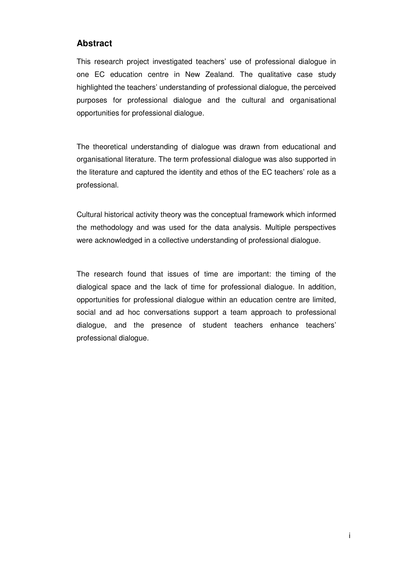## **Abstract**

This research project investigated teachers' use of professional dialogue in one EC education centre in New Zealand. The qualitative case study highlighted the teachers' understanding of professional dialogue, the perceived purposes for professional dialogue and the cultural and organisational opportunities for professional dialogue.

The theoretical understanding of dialogue was drawn from educational and organisational literature. The term professional dialogue was also supported in the literature and captured the identity and ethos of the EC teachers' role as a professional.

Cultural historical activity theory was the conceptual framework which informed the methodology and was used for the data analysis. Multiple perspectives were acknowledged in a collective understanding of professional dialogue.

The research found that issues of time are important: the timing of the dialogical space and the lack of time for professional dialogue. In addition, opportunities for professional dialogue within an education centre are limited, social and ad hoc conversations support a team approach to professional dialogue, and the presence of student teachers enhance teachers' professional dialogue.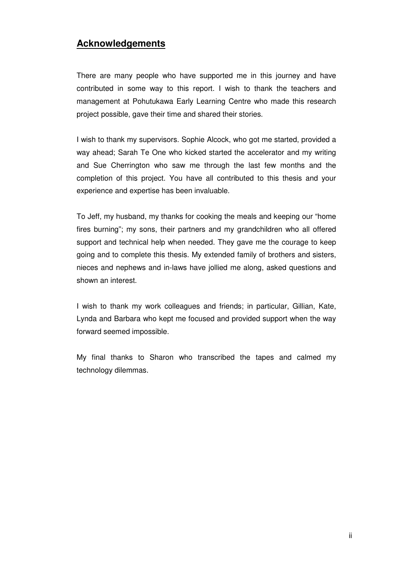# **Acknowledgements**

There are many people who have supported me in this journey and have contributed in some way to this report. I wish to thank the teachers and management at Pohutukawa Early Learning Centre who made this research project possible, gave their time and shared their stories.

I wish to thank my supervisors. Sophie Alcock, who got me started, provided a way ahead; Sarah Te One who kicked started the accelerator and my writing and Sue Cherrington who saw me through the last few months and the completion of this project. You have all contributed to this thesis and your experience and expertise has been invaluable.

To Jeff, my husband, my thanks for cooking the meals and keeping our "home fires burning"; my sons, their partners and my grandchildren who all offered support and technical help when needed. They gave me the courage to keep going and to complete this thesis. My extended family of brothers and sisters, nieces and nephews and in-laws have jollied me along, asked questions and shown an interest.

I wish to thank my work colleagues and friends; in particular, Gillian, Kate, Lynda and Barbara who kept me focused and provided support when the way forward seemed impossible.

My final thanks to Sharon who transcribed the tapes and calmed my technology dilemmas.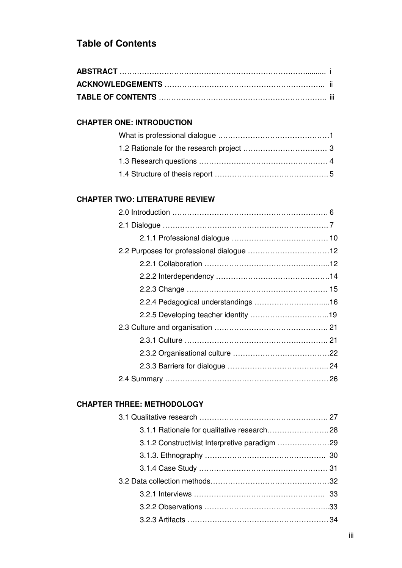# **Table of Contents**

## **CHAPTER ONE: INTRODUCTION**

#### **CHAPTER TWO: LITERATURE REVIEW**

## **CHAPTER THREE: METHODOLOGY**

| 3.1.2 Constructivist Interpretive paradigm 29 |  |
|-----------------------------------------------|--|
|                                               |  |
|                                               |  |
|                                               |  |
|                                               |  |
|                                               |  |
|                                               |  |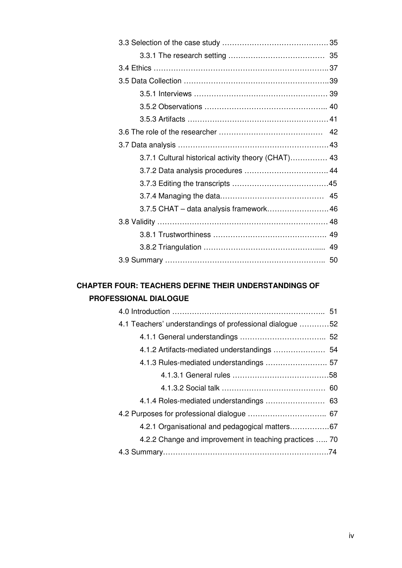| 3.7.1 Cultural historical activity theory (CHAT) 43 |  |
|-----------------------------------------------------|--|
|                                                     |  |
|                                                     |  |
|                                                     |  |
| 3.7.5 CHAT - data analysis framework 46             |  |
|                                                     |  |
|                                                     |  |
|                                                     |  |
|                                                     |  |

# **CHAPTER FOUR: TEACHERS DEFINE THEIR UNDERSTANDINGS OF PROFESSIONAL DIALOGUE**

| 4.1 Teachers' understandings of professional dialogue 52 |  |
|----------------------------------------------------------|--|
|                                                          |  |
|                                                          |  |
|                                                          |  |
|                                                          |  |
|                                                          |  |
|                                                          |  |
|                                                          |  |
| 4.2.1 Organisational and pedagogical matters67           |  |
| 4.2.2 Change and improvement in teaching practices  70   |  |
|                                                          |  |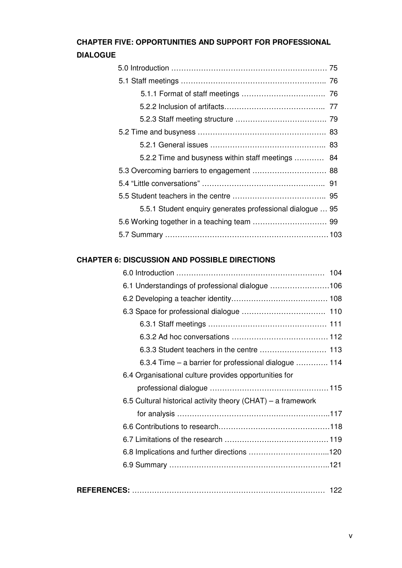## **CHAPTER FIVE: OPPORTUNITIES AND SUPPORT FOR PROFESSIONAL DIALOGUE**

| 5.2.2 Time and busyness within staff meetings             | -84 |
|-----------------------------------------------------------|-----|
|                                                           |     |
|                                                           |     |
|                                                           |     |
| 5.5.1 Student enquiry generates professional dialogue  95 |     |
|                                                           |     |
|                                                           |     |

# **CHAPTER 6: DISCUSSION AND POSSIBLE DIRECTIONS**

| 6.1 Understandings of professional dialogue 106              |
|--------------------------------------------------------------|
|                                                              |
|                                                              |
|                                                              |
|                                                              |
|                                                              |
| 6.3.4 Time – a barrier for professional dialogue  114        |
| 6.4 Organisational culture provides opportunities for        |
|                                                              |
| 6.5 Cultural historical activity theory (CHAT) – a framework |
|                                                              |
|                                                              |
|                                                              |
|                                                              |
|                                                              |
|                                                              |
|                                                              |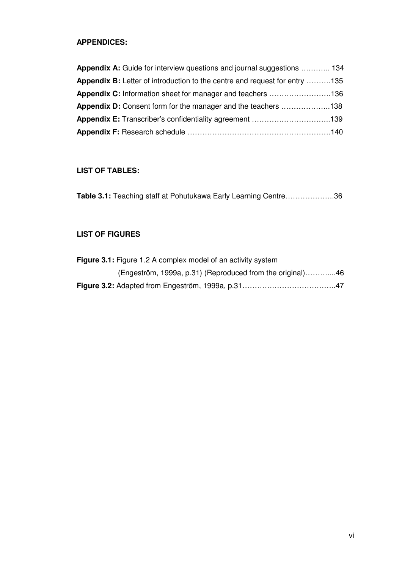# **APPENDICES:**

| <b>Appendix A:</b> Guide for interview questions and journal suggestions  134     |  |
|-----------------------------------------------------------------------------------|--|
| <b>Appendix B:</b> Letter of introduction to the centre and request for entry 135 |  |
| <b>Appendix C:</b> Information sheet for manager and teachers 136                 |  |
| <b>Appendix D:</b> Consent form for the manager and the teachers 138              |  |
| <b>Appendix E:</b> Transcriber's confidentiality agreement 139                    |  |
|                                                                                   |  |

## **LIST OF TABLES:**

| Table 3.1: Teaching staff at Pohutukawa Early Learning Centre36 |  |  |
|-----------------------------------------------------------------|--|--|
|-----------------------------------------------------------------|--|--|

## **LIST OF FIGURES**

| <b>Figure 3.1:</b> Figure 1.2 A complex model of an activity system |  |
|---------------------------------------------------------------------|--|
| (Engeström, 1999a, p.31) (Reproduced from the original)46           |  |
|                                                                     |  |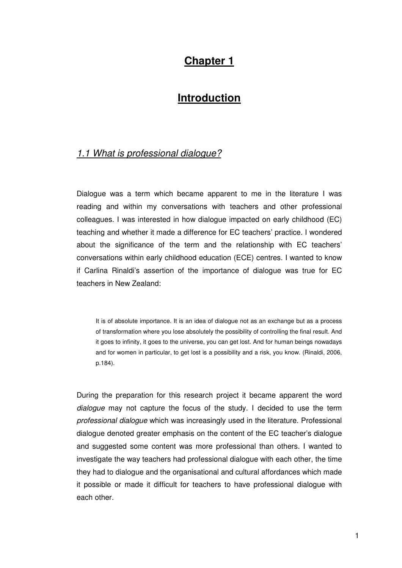# **Chapter 1**

# **Introduction**

## 1.1 What is professional dialogue?

Dialogue was a term which became apparent to me in the literature I was reading and within my conversations with teachers and other professional colleagues. I was interested in how dialogue impacted on early childhood (EC) teaching and whether it made a difference for EC teachers' practice. I wondered about the significance of the term and the relationship with EC teachers' conversations within early childhood education (ECE) centres. I wanted to know if Carlina Rinaldi's assertion of the importance of dialogue was true for EC teachers in New Zealand:

It is of absolute importance. It is an idea of dialogue not as an exchange but as a process of transformation where you lose absolutely the possibility of controlling the final result. And it goes to infinity, it goes to the universe, you can get lost. And for human beings nowadays and for women in particular, to get lost is a possibility and a risk, you know. (Rinaldi, 2006, p.184).

During the preparation for this research project it became apparent the word dialogue may not capture the focus of the study. I decided to use the term professional dialogue which was increasingly used in the literature. Professional dialogue denoted greater emphasis on the content of the EC teacher's dialogue and suggested some content was more professional than others. I wanted to investigate the way teachers had professional dialogue with each other, the time they had to dialogue and the organisational and cultural affordances which made it possible or made it difficult for teachers to have professional dialogue with each other.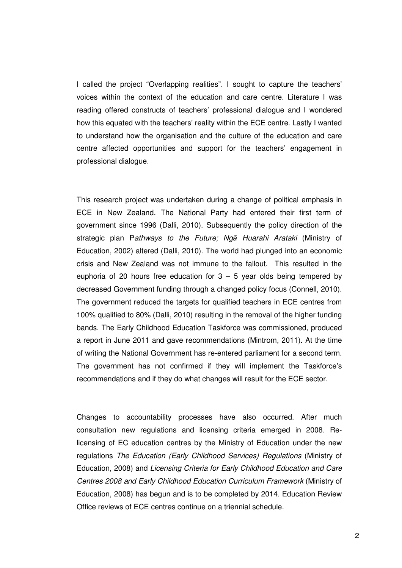I called the project "Overlapping realities". I sought to capture the teachers' voices within the context of the education and care centre. Literature I was reading offered constructs of teachers' professional dialogue and I wondered how this equated with the teachers' reality within the ECE centre. Lastly I wanted to understand how the organisation and the culture of the education and care centre affected opportunities and support for the teachers' engagement in professional dialogue.

This research project was undertaken during a change of political emphasis in ECE in New Zealand. The National Party had entered their first term of government since 1996 (Dalli, 2010). Subsequently the policy direction of the strategic plan Pathways to the Future; Ngā Huarahi Arataki (Ministry of Education, 2002) altered (Dalli, 2010). The world had plunged into an economic crisis and New Zealand was not immune to the fallout. This resulted in the euphoria of 20 hours free education for  $3 - 5$  year olds being tempered by decreased Government funding through a changed policy focus (Connell, 2010). The government reduced the targets for qualified teachers in ECE centres from 100% qualified to 80% (Dalli, 2010) resulting in the removal of the higher funding bands. The Early Childhood Education Taskforce was commissioned, produced a report in June 2011 and gave recommendations (Mintrom, 2011). At the time of writing the National Government has re-entered parliament for a second term. The government has not confirmed if they will implement the Taskforce's recommendations and if they do what changes will result for the ECE sector.

Changes to accountability processes have also occurred. After much consultation new regulations and licensing criteria emerged in 2008. Relicensing of EC education centres by the Ministry of Education under the new regulations The Education (Early Childhood Services) Regulations (Ministry of Education, 2008) and Licensing Criteria for Early Childhood Education and Care Centres 2008 and Early Childhood Education Curriculum Framework (Ministry of Education, 2008) has begun and is to be completed by 2014. Education Review Office reviews of ECE centres continue on a triennial schedule.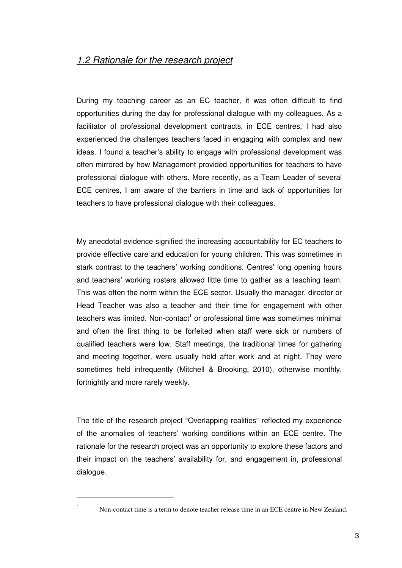# 1.2 Rationale for the research project

During my teaching career as an EC teacher, it was often difficult to find opportunities during the day for professional dialogue with my colleagues. As a facilitator of professional development contracts, in ECE centres, I had also experienced the challenges teachers faced in engaging with complex and new ideas. I found a teacher's ability to engage with professional development was often mirrored by how Management provided opportunities for teachers to have professional dialogue with others. More recently, as a Team Leader of several ECE centres, I am aware of the barriers in time and lack of opportunities for teachers to have professional dialogue with their colleagues.

My anecdotal evidence signified the increasing accountability for EC teachers to provide effective care and education for young children. This was sometimes in stark contrast to the teachers' working conditions. Centres' long opening hours and teachers' working rosters allowed little time to gather as a teaching team. This was often the norm within the ECE sector. Usually the manager, director or Head Teacher was also a teacher and their time for engagement with other teachers was limited. Non-contact<sup>1</sup> or professional time was sometimes minimal and often the first thing to be forfeited when staff were sick or numbers of qualified teachers were low. Staff meetings, the traditional times for gathering and meeting together, were usually held after work and at night. They were sometimes held infrequently (Mitchell & Brooking, 2010), otherwise monthly, fortnightly and more rarely weekly.

The title of the research project "Overlapping realities" reflected my experience of the anomalies of teachers' working conditions within an ECE centre. The rationale for the research project was an opportunity to explore these factors and their impact on the teachers' availability for, and engagement in, professional dialogue.

 $\overline{a}$ 1

Non-contact time is a term to denote teacher release time in an ECE centre in New Zealand.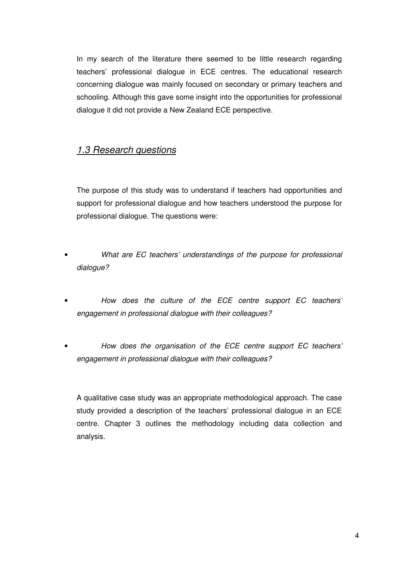In my search of the literature there seemed to be little research regarding teachers' professional dialogue in ECE centres. The educational research concerning dialogue was mainly focused on secondary or primary teachers and schooling. Although this gave some insight into the opportunities for professional dialogue it did not provide a New Zealand ECE perspective.

# 1.3 Research questions

The purpose of this study was to understand if teachers had opportunities and support for professional dialogue and how teachers understood the purpose for professional dialogue. The questions were:

- What are EC teachers' understandings of the purpose for professional dialogue?
- How does the culture of the ECE centre support EC teachers' engagement in professional dialogue with their colleagues?
- How does the organisation of the ECE centre support EC teachers' engagement in professional dialogue with their colleagues?

A qualitative case study was an appropriate methodological approach. The case study provided a description of the teachers' professional dialogue in an ECE centre. Chapter 3 outlines the methodology including data collection and analysis.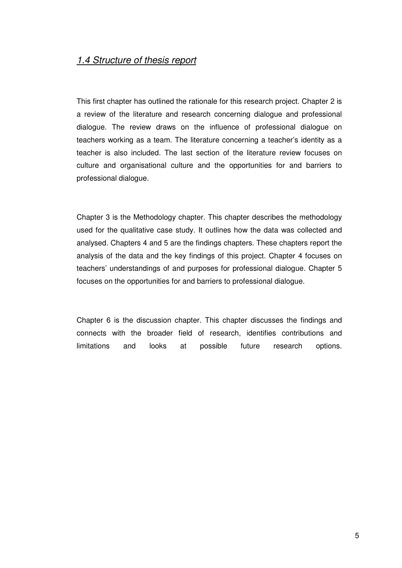## 1.4 Structure of thesis report

This first chapter has outlined the rationale for this research project. Chapter 2 is a review of the literature and research concerning dialogue and professional dialogue. The review draws on the influence of professional dialogue on teachers working as a team. The literature concerning a teacher's identity as a teacher is also included. The last section of the literature review focuses on culture and organisational culture and the opportunities for and barriers to professional dialogue.

Chapter 3 is the Methodology chapter. This chapter describes the methodology used for the qualitative case study. It outlines how the data was collected and analysed. Chapters 4 and 5 are the findings chapters. These chapters report the analysis of the data and the key findings of this project. Chapter 4 focuses on teachers' understandings of and purposes for professional dialogue. Chapter 5 focuses on the opportunities for and barriers to professional dialogue.

Chapter 6 is the discussion chapter. This chapter discusses the findings and connects with the broader field of research, identifies contributions and limitations and looks at possible future research options.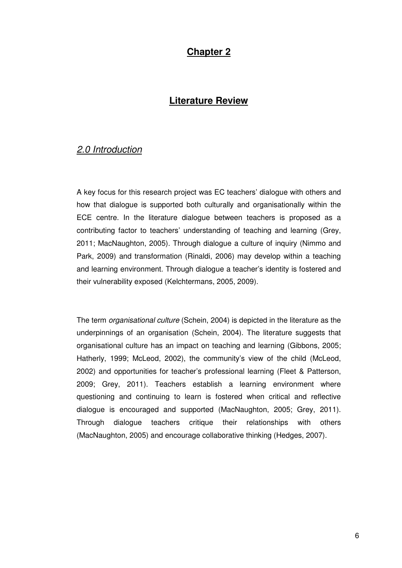# **Chapter 2**

## **Literature Review**

## 2.0 Introduction

A key focus for this research project was EC teachers' dialogue with others and how that dialogue is supported both culturally and organisationally within the ECE centre. In the literature dialogue between teachers is proposed as a contributing factor to teachers' understanding of teaching and learning (Grey, 2011; MacNaughton, 2005). Through dialogue a culture of inquiry (Nimmo and Park, 2009) and transformation (Rinaldi, 2006) may develop within a teaching and learning environment. Through dialogue a teacher's identity is fostered and their vulnerability exposed (Kelchtermans, 2005, 2009).

The term organisational culture (Schein, 2004) is depicted in the literature as the underpinnings of an organisation (Schein, 2004). The literature suggests that organisational culture has an impact on teaching and learning (Gibbons, 2005; Hatherly, 1999; McLeod, 2002), the community's view of the child (McLeod, 2002) and opportunities for teacher's professional learning (Fleet & Patterson, 2009; Grey, 2011). Teachers establish a learning environment where questioning and continuing to learn is fostered when critical and reflective dialogue is encouraged and supported (MacNaughton, 2005; Grey, 2011). Through dialogue teachers critique their relationships with others (MacNaughton, 2005) and encourage collaborative thinking (Hedges, 2007).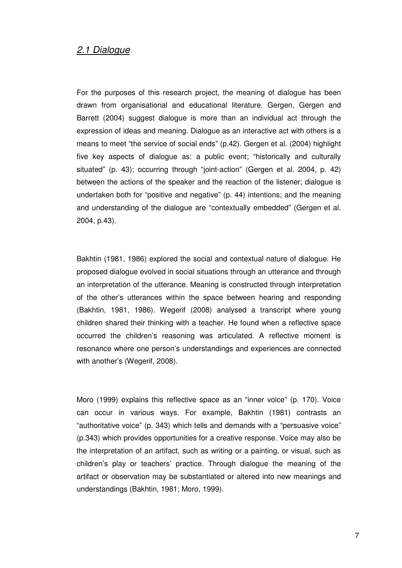## 2.1 Dialogue

For the purposes of this research project, the meaning of dialogue has been drawn from organisational and educational literature. Gergen, Gergen and Barrett (2004) suggest dialogue is more than an individual act through the expression of ideas and meaning. Dialogue as an interactive act with others is a means to meet "the service of social ends" (p.42). Gergen et al. (2004) highlight five key aspects of dialogue as: a public event; "historically and culturally situated" (p. 43); occurring through "joint-action" (Gergen et al. 2004, p. 42) between the actions of the speaker and the reaction of the listener; dialogue is undertaken both for "positive and negative" (p. 44) intentions; and the meaning and understanding of the dialogue are "contextually embedded" (Gergen et al. 2004, p.43).

Bakhtin (1981, 1986) explored the social and contextual nature of dialogue. He proposed dialogue evolved in social situations through an utterance and through an interpretation of the utterance. Meaning is constructed through interpretation of the other's utterances within the space between hearing and responding (Bakhtin, 1981, 1986). Wegerif (2008) analysed a transcript where young children shared their thinking with a teacher. He found when a reflective space occurred the children's reasoning was articulated. A reflective moment is resonance where one person's understandings and experiences are connected with another's (Wegerif, 2008).

Moro (1999) explains this reflective space as an "inner voice" (p. 170). Voice can occur in various ways. For example, Bakhtin (1981) contrasts an "authoritative voice" (p. 343) which tells and demands with a "persuasive voice" (p.343) which provides opportunities for a creative response. Voice may also be the interpretation of an artifact, such as writing or a painting, or visual, such as children's play or teachers' practice. Through dialogue the meaning of the artifact or observation may be substantiated or altered into new meanings and understandings (Bakhtin, 1981; Moro, 1999).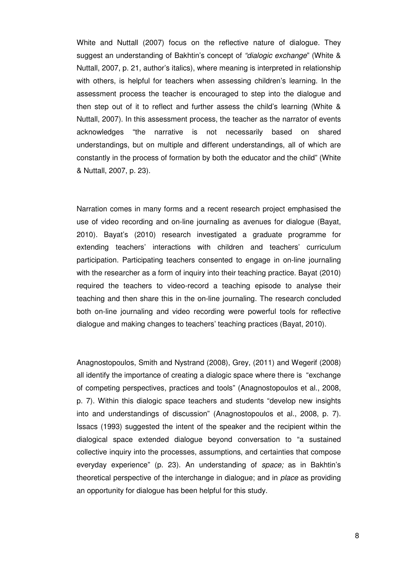White and Nuttall (2007) focus on the reflective nature of dialogue. They suggest an understanding of Bakhtin's concept of "dialogic exchange" (White & Nuttall, 2007, p. 21, author's italics), where meaning is interpreted in relationship with others, is helpful for teachers when assessing children's learning. In the assessment process the teacher is encouraged to step into the dialogue and then step out of it to reflect and further assess the child's learning (White & Nuttall, 2007). In this assessment process, the teacher as the narrator of events acknowledges "the narrative is not necessarily based on shared understandings, but on multiple and different understandings, all of which are constantly in the process of formation by both the educator and the child" (White & Nuttall, 2007, p. 23).

Narration comes in many forms and a recent research project emphasised the use of video recording and on-line journaling as avenues for dialogue (Bayat, 2010). Bayat's (2010) research investigated a graduate programme for extending teachers' interactions with children and teachers' curriculum participation. Participating teachers consented to engage in on-line journaling with the researcher as a form of inquiry into their teaching practice. Bayat (2010) required the teachers to video-record a teaching episode to analyse their teaching and then share this in the on-line journaling. The research concluded both on-line journaling and video recording were powerful tools for reflective dialogue and making changes to teachers' teaching practices (Bayat, 2010).

Anagnostopoulos, Smith and Nystrand (2008), Grey, (2011) and Wegerif (2008) all identify the importance of creating a dialogic space where there is "exchange of competing perspectives, practices and tools" (Anagnostopoulos et al., 2008, p. 7). Within this dialogic space teachers and students "develop new insights into and understandings of discussion" (Anagnostopoulos et al., 2008, p. 7). Issacs (1993) suggested the intent of the speaker and the recipient within the dialogical space extended dialogue beyond conversation to "a sustained collective inquiry into the processes, assumptions, and certainties that compose everyday experience" (p. 23). An understanding of space; as in Bakhtin's theoretical perspective of the interchange in dialogue; and in place as providing an opportunity for dialogue has been helpful for this study.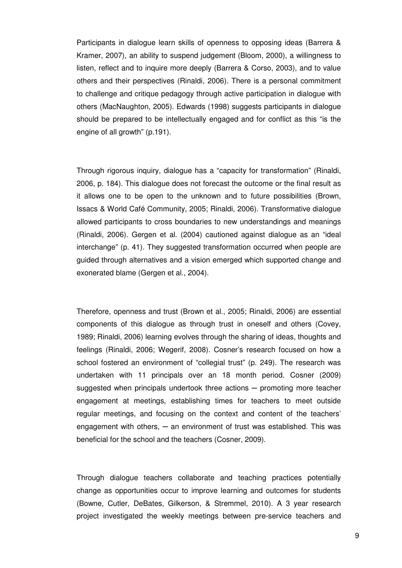Participants in dialogue learn skills of openness to opposing ideas (Barrera & Kramer, 2007), an ability to suspend judgement (Bloom, 2000), a willingness to listen, reflect and to inquire more deeply (Barrera & Corso, 2003), and to value others and their perspectives (Rinaldi, 2006). There is a personal commitment to challenge and critique pedagogy through active participation in dialogue with others (MacNaughton, 2005). Edwards (1998) suggests participants in dialogue should be prepared to be intellectually engaged and for conflict as this "is the engine of all growth" (p.191).

Through rigorous inquiry, dialogue has a "capacity for transformation" (Rinaldi, 2006, p. 184). This dialogue does not forecast the outcome or the final result as it allows one to be open to the unknown and to future possibilities (Brown, Issacs & World Café Community, 2005; Rinaldi, 2006). Transformative dialogue allowed participants to cross boundaries to new understandings and meanings (Rinaldi, 2006). Gergen et al. (2004) cautioned against dialogue as an "ideal interchange" (p. 41). They suggested transformation occurred when people are guided through alternatives and a vision emerged which supported change and exonerated blame (Gergen et al., 2004).

Therefore, openness and trust (Brown et al., 2005; Rinaldi, 2006) are essential components of this dialogue as through trust in oneself and others (Covey, 1989; Rinaldi, 2006) learning evolves through the sharing of ideas, thoughts and feelings (Rinaldi, 2006; Wegerif, 2008). Cosner's research focused on how a school fostered an environment of "collegial trust" (p. 249). The research was undertaken with 11 principals over an 18 month period. Cosner (2009) suggested when principals undertook three actions — promoting more teacher engagement at meetings, establishing times for teachers to meet outside regular meetings, and focusing on the context and content of the teachers' engagement with others,  $-$  an environment of trust was established. This was beneficial for the school and the teachers (Cosner, 2009).

Through dialogue teachers collaborate and teaching practices potentially change as opportunities occur to improve learning and outcomes for students (Bowne, Cutler, DeBates, Gilkerson, & Stremmel, 2010). A 3 year research project investigated the weekly meetings between pre-service teachers and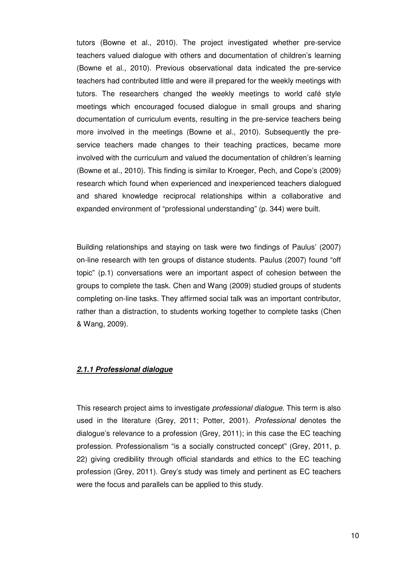tutors (Bowne et al., 2010). The project investigated whether pre-service teachers valued dialogue with others and documentation of children's learning (Bowne et al., 2010). Previous observational data indicated the pre-service teachers had contributed little and were ill prepared for the weekly meetings with tutors. The researchers changed the weekly meetings to world café style meetings which encouraged focused dialogue in small groups and sharing documentation of curriculum events, resulting in the pre-service teachers being more involved in the meetings (Bowne et al., 2010). Subsequently the preservice teachers made changes to their teaching practices, became more involved with the curriculum and valued the documentation of children's learning (Bowne et al., 2010). This finding is similar to Kroeger, Pech, and Cope's (2009) research which found when experienced and inexperienced teachers dialogued and shared knowledge reciprocal relationships within a collaborative and expanded environment of "professional understanding" (p. 344) were built.

Building relationships and staying on task were two findings of Paulus' (2007) on-line research with ten groups of distance students. Paulus (2007) found "off topic" (p.1) conversations were an important aspect of cohesion between the groups to complete the task. Chen and Wang (2009) studied groups of students completing on-line tasks. They affirmed social talk was an important contributor, rather than a distraction, to students working together to complete tasks (Chen & Wang, 2009).

#### **2.1.1 Professional dialogue**

This research project aims to investigate *professional dialogue*. This term is also used in the literature (Grey, 2011; Potter, 2001). Professional denotes the dialogue's relevance to a profession (Grey, 2011); in this case the EC teaching profession. Professionalism "is a socially constructed concept" (Grey, 2011, p. 22) giving credibility through official standards and ethics to the EC teaching profession (Grey, 2011). Grey's study was timely and pertinent as EC teachers were the focus and parallels can be applied to this study.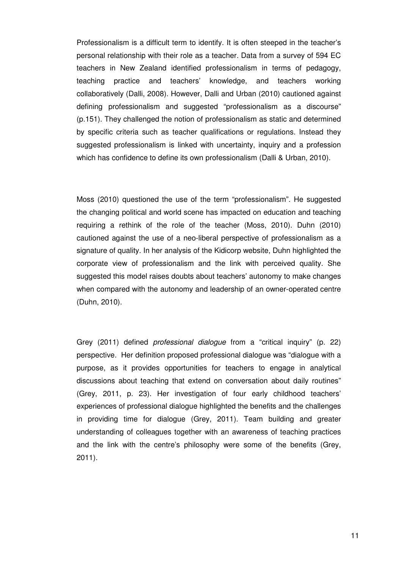Professionalism is a difficult term to identify. It is often steeped in the teacher's personal relationship with their role as a teacher. Data from a survey of 594 EC teachers in New Zealand identified professionalism in terms of pedagogy, teaching practice and teachers' knowledge, and teachers working collaboratively (Dalli, 2008). However, Dalli and Urban (2010) cautioned against defining professionalism and suggested "professionalism as a discourse" (p.151). They challenged the notion of professionalism as static and determined by specific criteria such as teacher qualifications or regulations. Instead they suggested professionalism is linked with uncertainty, inquiry and a profession which has confidence to define its own professionalism (Dalli & Urban, 2010).

Moss (2010) questioned the use of the term "professionalism". He suggested the changing political and world scene has impacted on education and teaching requiring a rethink of the role of the teacher (Moss, 2010). Duhn (2010) cautioned against the use of a neo-liberal perspective of professionalism as a signature of quality. In her analysis of the Kidicorp website, Duhn highlighted the corporate view of professionalism and the link with perceived quality. She suggested this model raises doubts about teachers' autonomy to make changes when compared with the autonomy and leadership of an owner-operated centre (Duhn, 2010).

Grey (2011) defined professional dialogue from a "critical inquiry" (p. 22) perspective. Her definition proposed professional dialogue was "dialogue with a purpose, as it provides opportunities for teachers to engage in analytical discussions about teaching that extend on conversation about daily routines" (Grey, 2011, p. 23). Her investigation of four early childhood teachers' experiences of professional dialogue highlighted the benefits and the challenges in providing time for dialogue (Grey, 2011). Team building and greater understanding of colleagues together with an awareness of teaching practices and the link with the centre's philosophy were some of the benefits (Grey, 2011).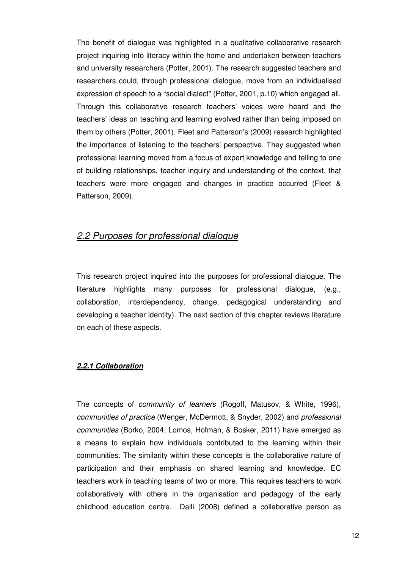The benefit of dialogue was highlighted in a qualitative collaborative research project inquiring into literacy within the home and undertaken between teachers and university researchers (Potter, 2001). The research suggested teachers and researchers could, through professional dialogue, move from an individualised expression of speech to a "social dialect" (Potter, 2001, p.10) which engaged all. Through this collaborative research teachers' voices were heard and the teachers' ideas on teaching and learning evolved rather than being imposed on them by others (Potter, 2001). Fleet and Patterson's (2009) research highlighted the importance of listening to the teachers' perspective. They suggested when professional learning moved from a focus of expert knowledge and telling to one of building relationships, teacher inquiry and understanding of the context, that teachers were more engaged and changes in practice occurred (Fleet & Patterson, 2009).

## 2.2 Purposes for professional dialogue

This research project inquired into the purposes for professional dialogue. The literature highlights many purposes for professional dialogue, (e.g., collaboration, interdependency, change, pedagogical understanding and developing a teacher identity). The next section of this chapter reviews literature on each of these aspects.

#### **2.2.1 Collaboration**

The concepts of community of learners (Rogoff, Matusov, & White, 1996), communities of practice (Wenger, McDermott, & Snyder, 2002) and professional communities (Borko, 2004; Lomos, Hofman, & Bosker, 2011) have emerged as a means to explain how individuals contributed to the learning within their communities. The similarity within these concepts is the collaborative nature of participation and their emphasis on shared learning and knowledge. EC teachers work in teaching teams of two or more. This requires teachers to work collaboratively with others in the organisation and pedagogy of the early childhood education centre. Dalli (2008) defined a collaborative person as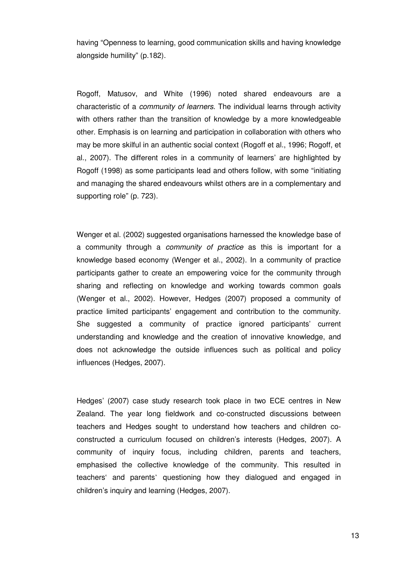having "Openness to learning, good communication skills and having knowledge alongside humility" (p.182).

Rogoff, Matusov, and White (1996) noted shared endeavours are a characteristic of a community of learners. The individual learns through activity with others rather than the transition of knowledge by a more knowledgeable other. Emphasis is on learning and participation in collaboration with others who may be more skilful in an authentic social context (Rogoff et al., 1996; Rogoff, et al., 2007). The different roles in a community of learners' are highlighted by Rogoff (1998) as some participants lead and others follow, with some "initiating and managing the shared endeavours whilst others are in a complementary and supporting role" (p. 723).

Wenger et al. (2002) suggested organisations harnessed the knowledge base of a community through a *community of practice* as this is important for a knowledge based economy (Wenger et al., 2002). In a community of practice participants gather to create an empowering voice for the community through sharing and reflecting on knowledge and working towards common goals (Wenger et al., 2002). However, Hedges (2007) proposed a community of practice limited participants' engagement and contribution to the community. She suggested a community of practice ignored participants' current understanding and knowledge and the creation of innovative knowledge, and does not acknowledge the outside influences such as political and policy influences (Hedges, 2007).

Hedges' (2007) case study research took place in two ECE centres in New Zealand. The year long fieldwork and co-constructed discussions between teachers and Hedges sought to understand how teachers and children coconstructed a curriculum focused on children's interests (Hedges, 2007). A community of inquiry focus, including children, parents and teachers, emphasised the collective knowledge of the community. This resulted in teachers' and parents' questioning how they dialogued and engaged in children's inquiry and learning (Hedges, 2007).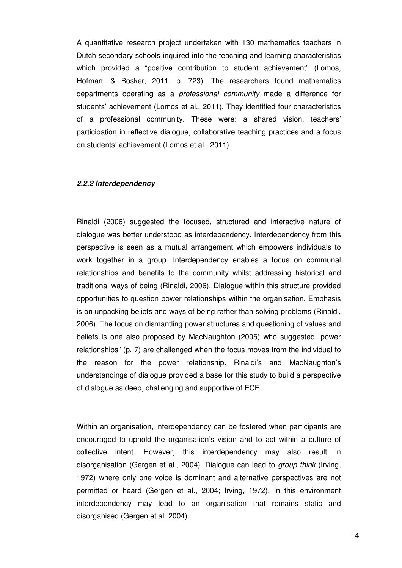A quantitative research project undertaken with 130 mathematics teachers in Dutch secondary schools inquired into the teaching and learning characteristics which provided a "positive contribution to student achievement" (Lomos, Hofman, & Bosker, 2011, p. 723). The researchers found mathematics departments operating as a professional community made a difference for students' achievement (Lomos et al., 2011). They identified four characteristics of a professional community. These were: a shared vision, teachers' participation in reflective dialogue, collaborative teaching practices and a focus on students' achievement (Lomos et al., 2011).

#### **2.2.2 Interdependency**

Rinaldi (2006) suggested the focused, structured and interactive nature of dialogue was better understood as interdependency. Interdependency from this perspective is seen as a mutual arrangement which empowers individuals to work together in a group. Interdependency enables a focus on communal relationships and benefits to the community whilst addressing historical and traditional ways of being (Rinaldi, 2006). Dialogue within this structure provided opportunities to question power relationships within the organisation. Emphasis is on unpacking beliefs and ways of being rather than solving problems (Rinaldi, 2006). The focus on dismantling power structures and questioning of values and beliefs is one also proposed by MacNaughton (2005) who suggested "power relationships" (p. 7) are challenged when the focus moves from the individual to the reason for the power relationship. Rinaldi's and MacNaughton's understandings of dialogue provided a base for this study to build a perspective of dialogue as deep, challenging and supportive of ECE.

Within an organisation, interdependency can be fostered when participants are encouraged to uphold the organisation's vision and to act within a culture of collective intent. However, this interdependency may also result in disorganisation (Gergen et al., 2004). Dialogue can lead to group think (Irving, 1972) where only one voice is dominant and alternative perspectives are not permitted or heard (Gergen et al., 2004; Irving, 1972). In this environment interdependency may lead to an organisation that remains static and disorganised (Gergen et al. 2004).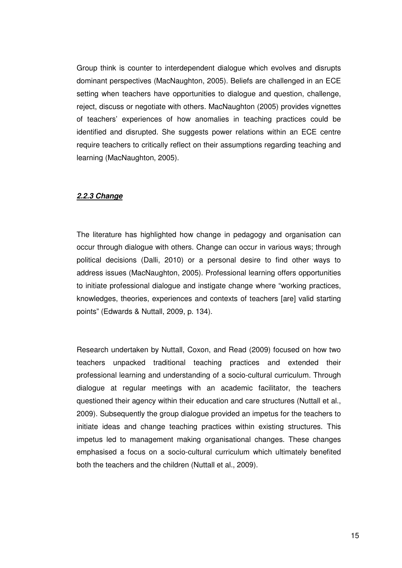Group think is counter to interdependent dialogue which evolves and disrupts dominant perspectives (MacNaughton, 2005). Beliefs are challenged in an ECE setting when teachers have opportunities to dialogue and question, challenge, reject, discuss or negotiate with others. MacNaughton (2005) provides vignettes of teachers' experiences of how anomalies in teaching practices could be identified and disrupted. She suggests power relations within an ECE centre require teachers to critically reflect on their assumptions regarding teaching and learning (MacNaughton, 2005).

#### **2.2.3 Change**

The literature has highlighted how change in pedagogy and organisation can occur through dialogue with others. Change can occur in various ways; through political decisions (Dalli, 2010) or a personal desire to find other ways to address issues (MacNaughton, 2005). Professional learning offers opportunities to initiate professional dialogue and instigate change where "working practices, knowledges, theories, experiences and contexts of teachers [are] valid starting points" (Edwards & Nuttall, 2009, p. 134).

Research undertaken by Nuttall, Coxon, and Read (2009) focused on how two teachers unpacked traditional teaching practices and extended their professional learning and understanding of a socio-cultural curriculum. Through dialogue at regular meetings with an academic facilitator, the teachers questioned their agency within their education and care structures (Nuttall et al., 2009). Subsequently the group dialogue provided an impetus for the teachers to initiate ideas and change teaching practices within existing structures. This impetus led to management making organisational changes. These changes emphasised a focus on a socio-cultural curriculum which ultimately benefited both the teachers and the children (Nuttall et al., 2009).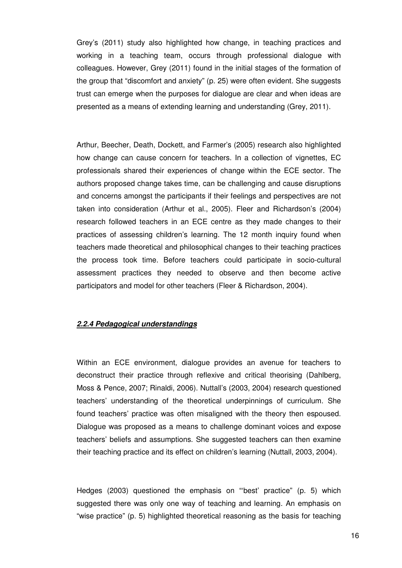Grey's (2011) study also highlighted how change, in teaching practices and working in a teaching team, occurs through professional dialogue with colleagues. However, Grey (2011) found in the initial stages of the formation of the group that "discomfort and anxiety" (p. 25) were often evident. She suggests trust can emerge when the purposes for dialogue are clear and when ideas are presented as a means of extending learning and understanding (Grey, 2011).

Arthur, Beecher, Death, Dockett, and Farmer's (2005) research also highlighted how change can cause concern for teachers. In a collection of vignettes, EC professionals shared their experiences of change within the ECE sector. The authors proposed change takes time, can be challenging and cause disruptions and concerns amongst the participants if their feelings and perspectives are not taken into consideration (Arthur et al., 2005). Fleer and Richardson's (2004) research followed teachers in an ECE centre as they made changes to their practices of assessing children's learning. The 12 month inquiry found when teachers made theoretical and philosophical changes to their teaching practices the process took time. Before teachers could participate in socio-cultural assessment practices they needed to observe and then become active participators and model for other teachers (Fleer & Richardson, 2004).

#### **2.2.4 Pedagogical understandings**

Within an ECE environment, dialogue provides an avenue for teachers to deconstruct their practice through reflexive and critical theorising (Dahlberg, Moss & Pence, 2007; Rinaldi, 2006). Nuttall's (2003, 2004) research questioned teachers' understanding of the theoretical underpinnings of curriculum. She found teachers' practice was often misaligned with the theory then espoused. Dialogue was proposed as a means to challenge dominant voices and expose teachers' beliefs and assumptions. She suggested teachers can then examine their teaching practice and its effect on children's learning (Nuttall, 2003, 2004).

Hedges (2003) questioned the emphasis on "'best' practice" (p. 5) which suggested there was only one way of teaching and learning. An emphasis on "wise practice" (p. 5) highlighted theoretical reasoning as the basis for teaching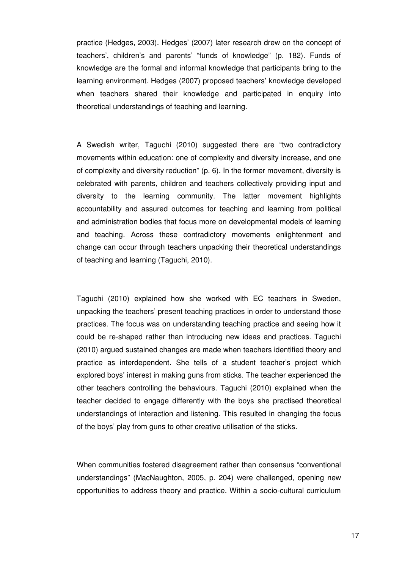practice (Hedges, 2003). Hedges' (2007) later research drew on the concept of teachers', children's and parents' "funds of knowledge" (p. 182). Funds of knowledge are the formal and informal knowledge that participants bring to the learning environment. Hedges (2007) proposed teachers' knowledge developed when teachers shared their knowledge and participated in enquiry into theoretical understandings of teaching and learning.

A Swedish writer, Taguchi (2010) suggested there are "two contradictory movements within education: one of complexity and diversity increase, and one of complexity and diversity reduction" (p. 6). In the former movement, diversity is celebrated with parents, children and teachers collectively providing input and diversity to the learning community. The latter movement highlights accountability and assured outcomes for teaching and learning from political and administration bodies that focus more on developmental models of learning and teaching. Across these contradictory movements enlightenment and change can occur through teachers unpacking their theoretical understandings of teaching and learning (Taguchi, 2010).

Taguchi (2010) explained how she worked with EC teachers in Sweden, unpacking the teachers' present teaching practices in order to understand those practices. The focus was on understanding teaching practice and seeing how it could be re-shaped rather than introducing new ideas and practices. Taguchi (2010) argued sustained changes are made when teachers identified theory and practice as interdependent. She tells of a student teacher's project which explored boys' interest in making guns from sticks. The teacher experienced the other teachers controlling the behaviours. Taguchi (2010) explained when the teacher decided to engage differently with the boys she practised theoretical understandings of interaction and listening. This resulted in changing the focus of the boys' play from guns to other creative utilisation of the sticks.

When communities fostered disagreement rather than consensus "conventional understandings" (MacNaughton, 2005, p. 204) were challenged, opening new opportunities to address theory and practice. Within a socio-cultural curriculum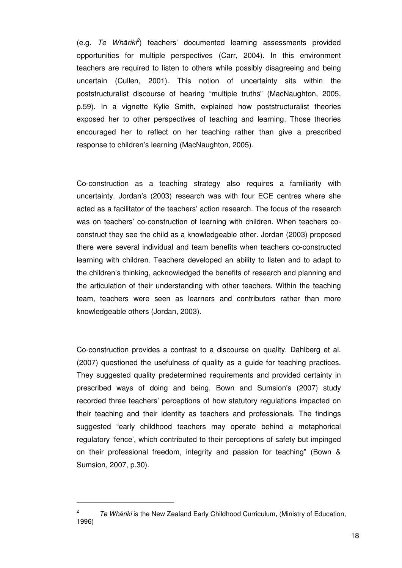$(e.g.$  Te Whārik $\hat{f}$ ) teachers' documented learning assessments provided opportunities for multiple perspectives (Carr, 2004). In this environment teachers are required to listen to others while possibly disagreeing and being uncertain (Cullen, 2001). This notion of uncertainty sits within the poststructuralist discourse of hearing "multiple truths" (MacNaughton, 2005, p.59). In a vignette Kylie Smith, explained how poststructuralist theories exposed her to other perspectives of teaching and learning. Those theories encouraged her to reflect on her teaching rather than give a prescribed response to children's learning (MacNaughton, 2005).

Co-construction as a teaching strategy also requires a familiarity with uncertainty. Jordan's (2003) research was with four ECE centres where she acted as a facilitator of the teachers' action research. The focus of the research was on teachers' co-construction of learning with children. When teachers coconstruct they see the child as a knowledgeable other. Jordan (2003) proposed there were several individual and team benefits when teachers co-constructed learning with children. Teachers developed an ability to listen and to adapt to the children's thinking, acknowledged the benefits of research and planning and the articulation of their understanding with other teachers. Within the teaching team, teachers were seen as learners and contributors rather than more knowledgeable others (Jordan, 2003).

Co-construction provides a contrast to a discourse on quality. Dahlberg et al. (2007) questioned the usefulness of quality as a guide for teaching practices. They suggested quality predetermined requirements and provided certainty in prescribed ways of doing and being. Bown and Sumsion's (2007) study recorded three teachers' perceptions of how statutory regulations impacted on their teaching and their identity as teachers and professionals. The findings suggested "early childhood teachers may operate behind a metaphorical regulatory 'fence', which contributed to their perceptions of safety but impinged on their professional freedom, integrity and passion for teaching" (Bown & Sumsion, 2007, p.30).

 $\overline{a}$ 

<sup>2</sup> Te Whāriki is the New Zealand Early Childhood Curriculum, (Ministry of Education, 1996)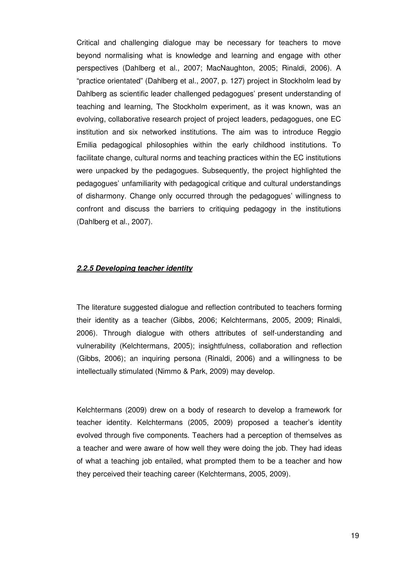Critical and challenging dialogue may be necessary for teachers to move beyond normalising what is knowledge and learning and engage with other perspectives (Dahlberg et al., 2007; MacNaughton, 2005; Rinaldi, 2006). A "practice orientated" (Dahlberg et al., 2007, p. 127) project in Stockholm lead by Dahlberg as scientific leader challenged pedagogues' present understanding of teaching and learning, The Stockholm experiment, as it was known, was an evolving, collaborative research project of project leaders, pedagogues, one EC institution and six networked institutions. The aim was to introduce Reggio Emilia pedagogical philosophies within the early childhood institutions. To facilitate change, cultural norms and teaching practices within the EC institutions were unpacked by the pedagogues. Subsequently, the project highlighted the pedagogues' unfamiliarity with pedagogical critique and cultural understandings of disharmony. Change only occurred through the pedagogues' willingness to confront and discuss the barriers to critiquing pedagogy in the institutions (Dahlberg et al., 2007).

#### **2.2.5 Developing teacher identity**

The literature suggested dialogue and reflection contributed to teachers forming their identity as a teacher (Gibbs, 2006; Kelchtermans, 2005, 2009; Rinaldi, 2006). Through dialogue with others attributes of self-understanding and vulnerability (Kelchtermans, 2005); insightfulness, collaboration and reflection (Gibbs, 2006); an inquiring persona (Rinaldi, 2006) and a willingness to be intellectually stimulated (Nimmo & Park, 2009) may develop.

Kelchtermans (2009) drew on a body of research to develop a framework for teacher identity. Kelchtermans (2005, 2009) proposed a teacher's identity evolved through five components. Teachers had a perception of themselves as a teacher and were aware of how well they were doing the job. They had ideas of what a teaching job entailed, what prompted them to be a teacher and how they perceived their teaching career (Kelchtermans, 2005, 2009).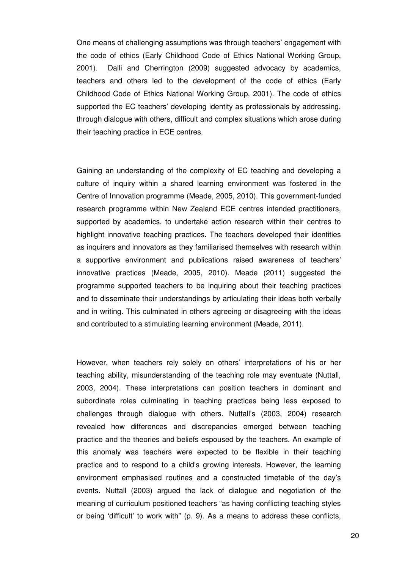One means of challenging assumptions was through teachers' engagement with the code of ethics (Early Childhood Code of Ethics National Working Group, 2001). Dalli and Cherrington (2009) suggested advocacy by academics, teachers and others led to the development of the code of ethics (Early Childhood Code of Ethics National Working Group, 2001). The code of ethics supported the EC teachers' developing identity as professionals by addressing, through dialogue with others, difficult and complex situations which arose during their teaching practice in ECE centres.

Gaining an understanding of the complexity of EC teaching and developing a culture of inquiry within a shared learning environment was fostered in the Centre of Innovation programme (Meade, 2005, 2010). This government-funded research programme within New Zealand ECE centres intended practitioners, supported by academics, to undertake action research within their centres to highlight innovative teaching practices. The teachers developed their identities as inquirers and innovators as they familiarised themselves with research within a supportive environment and publications raised awareness of teachers' innovative practices (Meade, 2005, 2010). Meade (2011) suggested the programme supported teachers to be inquiring about their teaching practices and to disseminate their understandings by articulating their ideas both verbally and in writing. This culminated in others agreeing or disagreeing with the ideas and contributed to a stimulating learning environment (Meade, 2011).

However, when teachers rely solely on others' interpretations of his or her teaching ability, misunderstanding of the teaching role may eventuate (Nuttall, 2003, 2004). These interpretations can position teachers in dominant and subordinate roles culminating in teaching practices being less exposed to challenges through dialogue with others. Nuttall's (2003, 2004) research revealed how differences and discrepancies emerged between teaching practice and the theories and beliefs espoused by the teachers. An example of this anomaly was teachers were expected to be flexible in their teaching practice and to respond to a child's growing interests. However, the learning environment emphasised routines and a constructed timetable of the day's events. Nuttall (2003) argued the lack of dialogue and negotiation of the meaning of curriculum positioned teachers "as having conflicting teaching styles or being 'difficult' to work with" (p. 9). As a means to address these conflicts,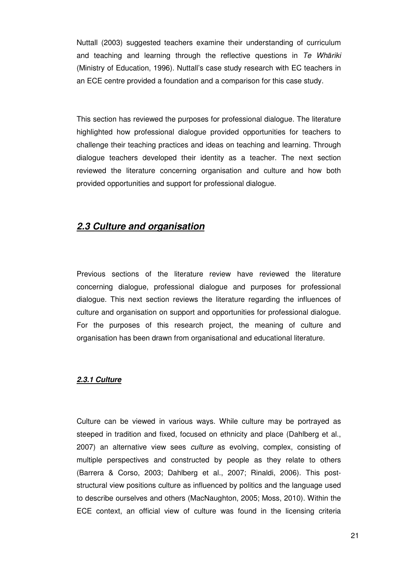Nuttall (2003) suggested teachers examine their understanding of curriculum and teaching and learning through the reflective questions in Te Whāriki (Ministry of Education, 1996). Nuttall's case study research with EC teachers in an ECE centre provided a foundation and a comparison for this case study.

This section has reviewed the purposes for professional dialogue. The literature highlighted how professional dialogue provided opportunities for teachers to challenge their teaching practices and ideas on teaching and learning. Through dialogue teachers developed their identity as a teacher. The next section reviewed the literature concerning organisation and culture and how both provided opportunities and support for professional dialogue.

## **2.3 Culture and organisation**

Previous sections of the literature review have reviewed the literature concerning dialogue, professional dialogue and purposes for professional dialogue. This next section reviews the literature regarding the influences of culture and organisation on support and opportunities for professional dialogue. For the purposes of this research project, the meaning of culture and organisation has been drawn from organisational and educational literature.

#### **2.3.1 Culture**

Culture can be viewed in various ways. While culture may be portrayed as steeped in tradition and fixed, focused on ethnicity and place (Dahlberg et al., 2007) an alternative view sees culture as evolving, complex, consisting of multiple perspectives and constructed by people as they relate to others (Barrera & Corso, 2003; Dahlberg et al., 2007; Rinaldi, 2006). This poststructural view positions culture as influenced by politics and the language used to describe ourselves and others (MacNaughton, 2005; Moss, 2010). Within the ECE context, an official view of culture was found in the licensing criteria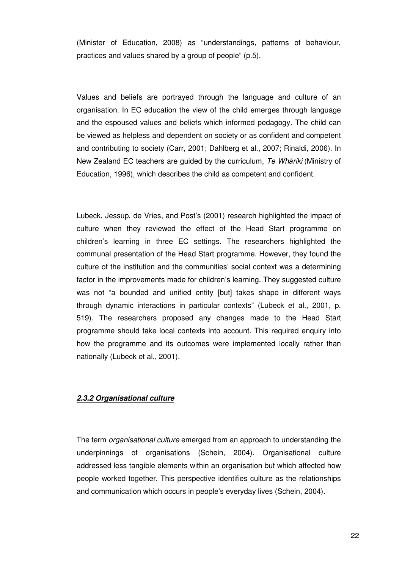(Minister of Education, 2008) as "understandings, patterns of behaviour, practices and values shared by a group of people" (p.5).

Values and beliefs are portrayed through the language and culture of an organisation. In EC education the view of the child emerges through language and the espoused values and beliefs which informed pedagogy. The child can be viewed as helpless and dependent on society or as confident and competent and contributing to society (Carr, 2001; Dahlberg et al., 2007; Rinaldi, 2006). In New Zealand EC teachers are guided by the curriculum, Te Whāriki (Ministry of Education, 1996), which describes the child as competent and confident.

Lubeck, Jessup, de Vries, and Post's (2001) research highlighted the impact of culture when they reviewed the effect of the Head Start programme on children's learning in three EC settings. The researchers highlighted the communal presentation of the Head Start programme. However, they found the culture of the institution and the communities' social context was a determining factor in the improvements made for children's learning. They suggested culture was not "a bounded and unified entity [but] takes shape in different ways through dynamic interactions in particular contexts" (Lubeck et al., 2001, p. 519). The researchers proposed any changes made to the Head Start programme should take local contexts into account. This required enquiry into how the programme and its outcomes were implemented locally rather than nationally (Lubeck et al., 2001).

#### **2.3.2 Organisational culture**

The term organisational culture emerged from an approach to understanding the underpinnings of organisations (Schein, 2004). Organisational culture addressed less tangible elements within an organisation but which affected how people worked together. This perspective identifies culture as the relationships and communication which occurs in people's everyday lives (Schein, 2004).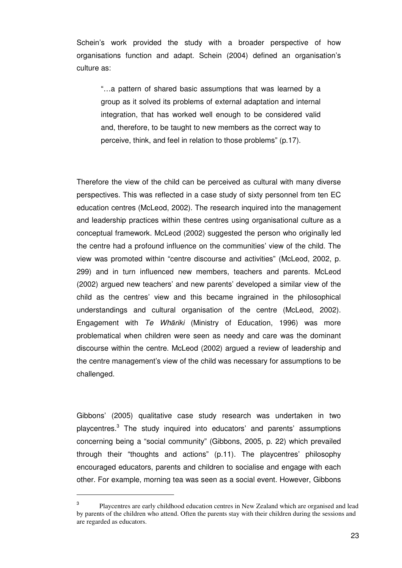Schein's work provided the study with a broader perspective of how organisations function and adapt. Schein (2004) defined an organisation's culture as:

"…a pattern of shared basic assumptions that was learned by a group as it solved its problems of external adaptation and internal integration, that has worked well enough to be considered valid and, therefore, to be taught to new members as the correct way to perceive, think, and feel in relation to those problems" (p.17).

Therefore the view of the child can be perceived as cultural with many diverse perspectives. This was reflected in a case study of sixty personnel from ten EC education centres (McLeod, 2002). The research inquired into the management and leadership practices within these centres using organisational culture as a conceptual framework. McLeod (2002) suggested the person who originally led the centre had a profound influence on the communities' view of the child. The view was promoted within "centre discourse and activities" (McLeod, 2002, p. 299) and in turn influenced new members, teachers and parents. McLeod (2002) argued new teachers' and new parents' developed a similar view of the child as the centres' view and this became ingrained in the philosophical understandings and cultural organisation of the centre (McLeod, 2002). Engagement with Te Whāriki (Ministry of Education, 1996) was more problematical when children were seen as needy and care was the dominant discourse within the centre. McLeod (2002) argued a review of leadership and the centre management's view of the child was necessary for assumptions to be challenged.

Gibbons' (2005) qualitative case study research was undertaken in two playcentres.<sup>3</sup> The study inquired into educators' and parents' assumptions concerning being a "social community" (Gibbons, 2005, p. 22) which prevailed through their "thoughts and actions" (p.11). The playcentres' philosophy encouraged educators, parents and children to socialise and engage with each other. For example, morning tea was seen as a social event. However, Gibbons

 $\overline{a}$ 

<sup>3</sup> Playcentres are early childhood education centres in New Zealand which are organised and lead by parents of the children who attend. Often the parents stay with their children during the sessions and are regarded as educators.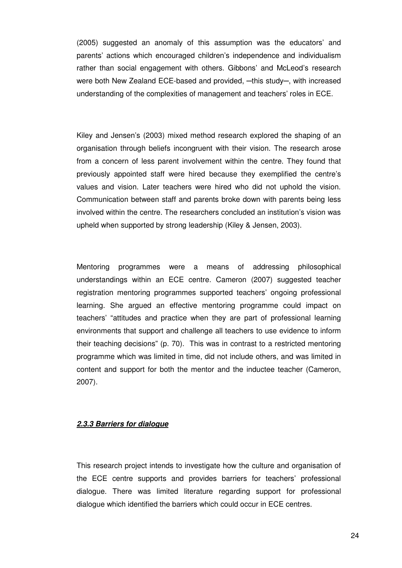(2005) suggested an anomaly of this assumption was the educators' and parents' actions which encouraged children's independence and individualism rather than social engagement with others. Gibbons' and McLeod's research were both New Zealand ECE-based and provided, -this study-, with increased understanding of the complexities of management and teachers' roles in ECE.

Kiley and Jensen's (2003) mixed method research explored the shaping of an organisation through beliefs incongruent with their vision. The research arose from a concern of less parent involvement within the centre. They found that previously appointed staff were hired because they exemplified the centre's values and vision. Later teachers were hired who did not uphold the vision. Communication between staff and parents broke down with parents being less involved within the centre. The researchers concluded an institution's vision was upheld when supported by strong leadership (Kiley & Jensen, 2003).

Mentoring programmes were a means of addressing philosophical understandings within an ECE centre. Cameron (2007) suggested teacher registration mentoring programmes supported teachers' ongoing professional learning. She argued an effective mentoring programme could impact on teachers' "attitudes and practice when they are part of professional learning environments that support and challenge all teachers to use evidence to inform their teaching decisions" (p. 70). This was in contrast to a restricted mentoring programme which was limited in time, did not include others, and was limited in content and support for both the mentor and the inductee teacher (Cameron, 2007).

#### **2.3.3 Barriers for dialogue**

This research project intends to investigate how the culture and organisation of the ECE centre supports and provides barriers for teachers' professional dialogue. There was limited literature regarding support for professional dialogue which identified the barriers which could occur in ECE centres.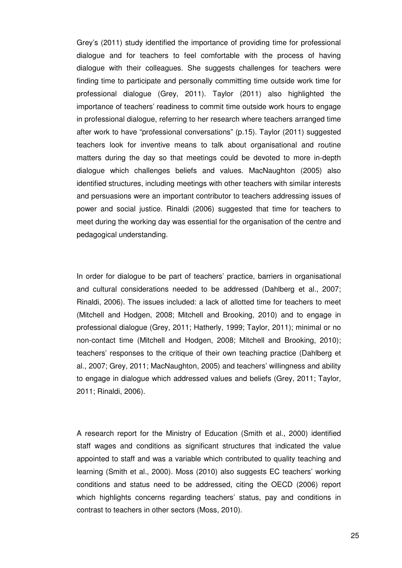Grey's (2011) study identified the importance of providing time for professional dialogue and for teachers to feel comfortable with the process of having dialogue with their colleagues. She suggests challenges for teachers were finding time to participate and personally committing time outside work time for professional dialogue (Grey, 2011). Taylor (2011) also highlighted the importance of teachers' readiness to commit time outside work hours to engage in professional dialogue, referring to her research where teachers arranged time after work to have "professional conversations" (p.15). Taylor (2011) suggested teachers look for inventive means to talk about organisational and routine matters during the day so that meetings could be devoted to more in-depth dialogue which challenges beliefs and values. MacNaughton (2005) also identified structures, including meetings with other teachers with similar interests and persuasions were an important contributor to teachers addressing issues of power and social justice. Rinaldi (2006) suggested that time for teachers to meet during the working day was essential for the organisation of the centre and pedagogical understanding.

In order for dialogue to be part of teachers' practice, barriers in organisational and cultural considerations needed to be addressed (Dahlberg et al., 2007; Rinaldi, 2006). The issues included: a lack of allotted time for teachers to meet (Mitchell and Hodgen, 2008; Mitchell and Brooking, 2010) and to engage in professional dialogue (Grey, 2011; Hatherly, 1999; Taylor, 2011); minimal or no non-contact time (Mitchell and Hodgen, 2008; Mitchell and Brooking, 2010); teachers' responses to the critique of their own teaching practice (Dahlberg et al., 2007; Grey, 2011; MacNaughton, 2005) and teachers' willingness and ability to engage in dialogue which addressed values and beliefs (Grey, 2011; Taylor, 2011; Rinaldi, 2006).

A research report for the Ministry of Education (Smith et al., 2000) identified staff wages and conditions as significant structures that indicated the value appointed to staff and was a variable which contributed to quality teaching and learning (Smith et al., 2000). Moss (2010) also suggests EC teachers' working conditions and status need to be addressed, citing the OECD (2006) report which highlights concerns regarding teachers' status, pay and conditions in contrast to teachers in other sectors (Moss, 2010).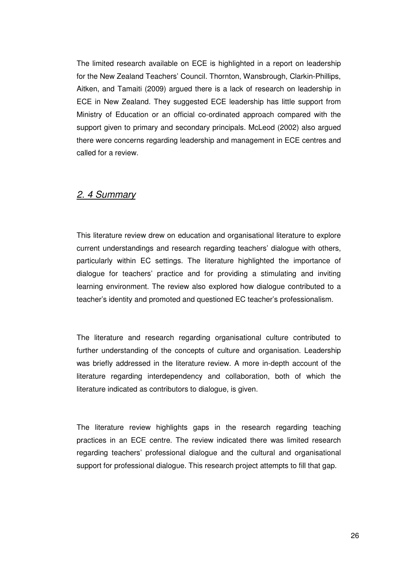The limited research available on ECE is highlighted in a report on leadership for the New Zealand Teachers' Council. Thornton, Wansbrough, Clarkin-Phillips, Aitken, and Tamaiti (2009) argued there is a lack of research on leadership in ECE in New Zealand. They suggested ECE leadership has little support from Ministry of Education or an official co-ordinated approach compared with the support given to primary and secondary principals. McLeod (2002) also argued there were concerns regarding leadership and management in ECE centres and called for a review.

## 2. 4 Summary

This literature review drew on education and organisational literature to explore current understandings and research regarding teachers' dialogue with others, particularly within EC settings. The literature highlighted the importance of dialogue for teachers' practice and for providing a stimulating and inviting learning environment. The review also explored how dialogue contributed to a teacher's identity and promoted and questioned EC teacher's professionalism.

The literature and research regarding organisational culture contributed to further understanding of the concepts of culture and organisation. Leadership was briefly addressed in the literature review. A more in-depth account of the literature regarding interdependency and collaboration, both of which the literature indicated as contributors to dialogue, is given.

The literature review highlights gaps in the research regarding teaching practices in an ECE centre. The review indicated there was limited research regarding teachers' professional dialogue and the cultural and organisational support for professional dialogue. This research project attempts to fill that gap.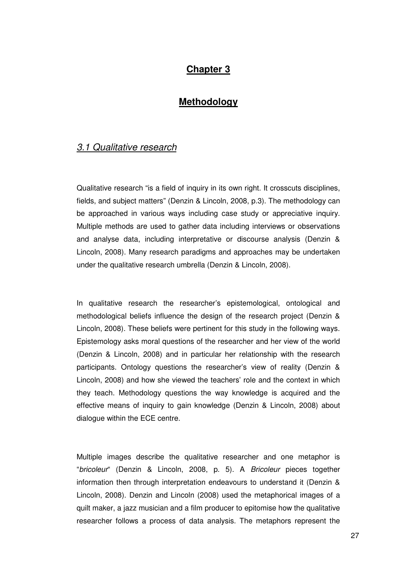# **Chapter 3**

## **Methodology**

## 3.1 Qualitative research

Qualitative research "is a field of inquiry in its own right. It crosscuts disciplines, fields, and subject matters" (Denzin & Lincoln, 2008, p.3). The methodology can be approached in various ways including case study or appreciative inquiry. Multiple methods are used to gather data including interviews or observations and analyse data, including interpretative or discourse analysis (Denzin & Lincoln, 2008). Many research paradigms and approaches may be undertaken under the qualitative research umbrella (Denzin & Lincoln, 2008).

In qualitative research the researcher's epistemological, ontological and methodological beliefs influence the design of the research project (Denzin & Lincoln, 2008). These beliefs were pertinent for this study in the following ways. Epistemology asks moral questions of the researcher and her view of the world (Denzin & Lincoln, 2008) and in particular her relationship with the research participants. Ontology questions the researcher's view of reality (Denzin & Lincoln, 2008) and how she viewed the teachers' role and the context in which they teach. Methodology questions the way knowledge is acquired and the effective means of inquiry to gain knowledge (Denzin & Lincoln, 2008) about dialogue within the ECE centre.

Multiple images describe the qualitative researcher and one metaphor is "bricoleur" (Denzin & Lincoln, 2008, p. 5). A Bricoleur pieces together information then through interpretation endeavours to understand it (Denzin & Lincoln, 2008). Denzin and Lincoln (2008) used the metaphorical images of a quilt maker, a jazz musician and a film producer to epitomise how the qualitative researcher follows a process of data analysis. The metaphors represent the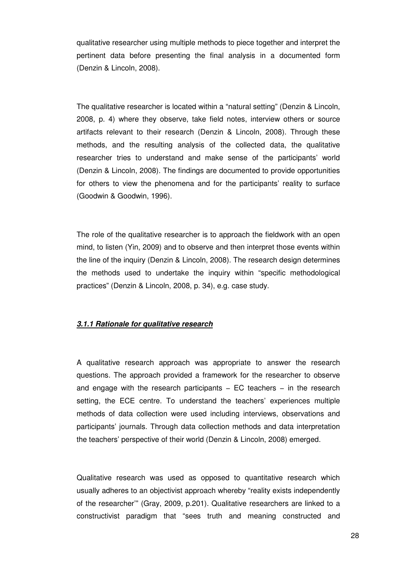qualitative researcher using multiple methods to piece together and interpret the pertinent data before presenting the final analysis in a documented form (Denzin & Lincoln, 2008).

The qualitative researcher is located within a "natural setting" (Denzin & Lincoln, 2008, p. 4) where they observe, take field notes, interview others or source artifacts relevant to their research (Denzin & Lincoln, 2008). Through these methods, and the resulting analysis of the collected data, the qualitative researcher tries to understand and make sense of the participants' world (Denzin & Lincoln, 2008). The findings are documented to provide opportunities for others to view the phenomena and for the participants' reality to surface (Goodwin & Goodwin, 1996).

The role of the qualitative researcher is to approach the fieldwork with an open mind, to listen (Yin, 2009) and to observe and then interpret those events within the line of the inquiry (Denzin & Lincoln, 2008). The research design determines the methods used to undertake the inquiry within "specific methodological practices" (Denzin & Lincoln, 2008, p. 34), e.g. case study.

#### **3.1.1 Rationale for qualitative research**

A qualitative research approach was appropriate to answer the research questions. The approach provided a framework for the researcher to observe and engage with the research participants – EC teachers – in the research setting, the ECE centre. To understand the teachers' experiences multiple methods of data collection were used including interviews, observations and participants' journals. Through data collection methods and data interpretation the teachers' perspective of their world (Denzin & Lincoln, 2008) emerged.

Qualitative research was used as opposed to quantitative research which usually adheres to an objectivist approach whereby "reality exists independently of the researcher'" (Gray, 2009, p.201). Qualitative researchers are linked to a constructivist paradigm that "sees truth and meaning constructed and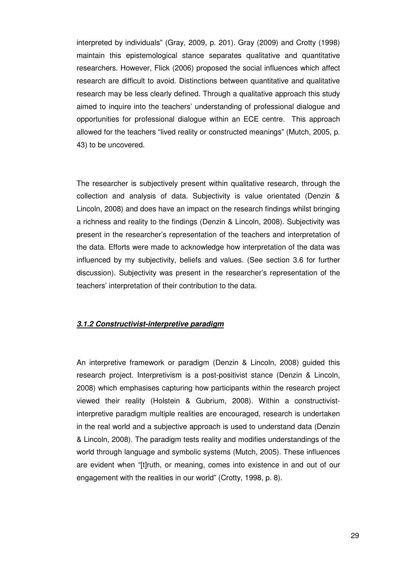interpreted by individuals" (Gray, 2009, p. 201). Gray (2009) and Crotty (1998) maintain this epistemological stance separates qualitative and quantitative researchers. However, Flick (2006) proposed the social influences which affect research are difficult to avoid. Distinctions between quantitative and qualitative research may be less clearly defined. Through a qualitative approach this study aimed to inquire into the teachers' understanding of professional dialogue and opportunities for professional dialogue within an ECE centre. This approach allowed for the teachers "lived reality or constructed meanings" (Mutch, 2005, p. 43) to be uncovered.

The researcher is subjectively present within qualitative research, through the collection and analysis of data. Subjectivity is value orientated (Denzin & Lincoln, 2008) and does have an impact on the research findings whilst bringing a richness and reality to the findings (Denzin & Lincoln, 2008). Subjectivity was present in the researcher's representation of the teachers and interpretation of the data. Efforts were made to acknowledge how interpretation of the data was influenced by my subjectivity, beliefs and values. (See section 3.6 for further discussion). Subjectivity was present in the researcher's representation of the teachers' interpretation of their contribution to the data.

#### **3.1.2 Constructivist-interpretive paradigm**

An interpretive framework or paradigm (Denzin & Lincoln, 2008) guided this research project. Interpretivism is a post-positivist stance (Denzin & Lincoln, 2008) which emphasises capturing how participants within the research project viewed their reality (Holstein & Gubrium, 2008). Within a constructivistinterpretive paradigm multiple realities are encouraged, research is undertaken in the real world and a subjective approach is used to understand data (Denzin & Lincoln, 2008). The paradigm tests reality and modifies understandings of the world through language and symbolic systems (Mutch, 2005). These influences are evident when "[t]ruth, or meaning, comes into existence in and out of our engagement with the realities in our world" (Crotty, 1998, p. 8).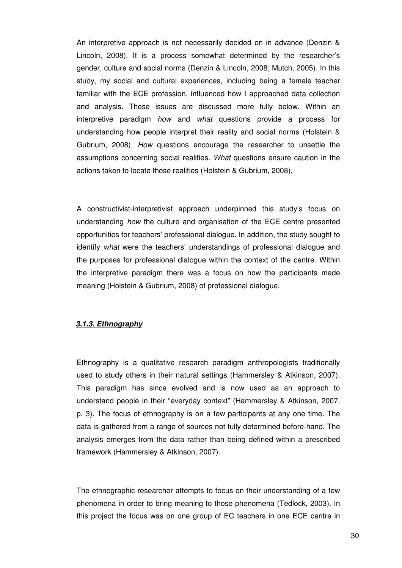An interpretive approach is not necessarily decided on in advance (Denzin & Lincoln, 2008). It is a process somewhat determined by the researcher's gender, culture and social norms (Denzin & Lincoln, 2008; Mutch, 2005). In this study, my social and cultural experiences, including being a female teacher familiar with the ECE profession, influenced how I approached data collection and analysis. These issues are discussed more fully below. Within an interpretive paradigm how and what questions provide a process for understanding how people interpret their reality and social norms (Holstein & Gubrium, 2008). How questions encourage the researcher to unsettle the assumptions concerning social realities. What questions ensure caution in the actions taken to locate those realities (Holstein & Gubrium, 2008).

A constructivist-interpretivist approach underpinned this study's focus on understanding *how* the culture and organisation of the ECE centre presented opportunities for teachers' professional dialogue. In addition, the study sought to identify what were the teachers' understandings of professional dialogue and the purposes for professional dialogue within the context of the centre. Within the interpretive paradigm there was a focus on how the participants made meaning (Holstein & Gubrium, 2008) of professional dialogue.

### **3.1.3. Ethnography**

Ethnography is a qualitative research paradigm anthropologists traditionally used to study others in their natural settings (Hammersley & Atkinson, 2007). This paradigm has since evolved and is now used as an approach to understand people in their "everyday context" (Hammersley & Atkinson, 2007, p. 3). The focus of ethnography is on a few participants at any one time. The data is gathered from a range of sources not fully determined before-hand. The analysis emerges from the data rather than being defined within a prescribed framework (Hammersley & Atkinson, 2007).

The ethnographic researcher attempts to focus on their understanding of a few phenomena in order to bring meaning to those phenomena (Tedlock, 2003). In this project the focus was on one group of EC teachers in one ECE centre in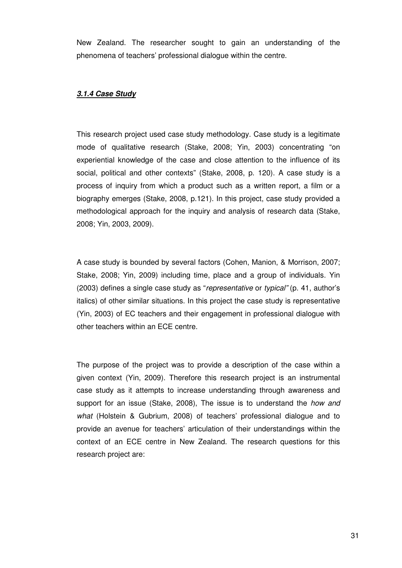New Zealand. The researcher sought to gain an understanding of the phenomena of teachers' professional dialogue within the centre.

## **3.1.4 Case Study**

This research project used case study methodology. Case study is a legitimate mode of qualitative research (Stake, 2008; Yin, 2003) concentrating "on experiential knowledge of the case and close attention to the influence of its social, political and other contexts" (Stake, 2008, p. 120). A case study is a process of inquiry from which a product such as a written report, a film or a biography emerges (Stake, 2008, p.121). In this project, case study provided a methodological approach for the inquiry and analysis of research data (Stake, 2008; Yin, 2003, 2009).

A case study is bounded by several factors (Cohen, Manion, & Morrison, 2007; Stake, 2008; Yin, 2009) including time, place and a group of individuals. Yin (2003) defines a single case study as "representative or typical" (p. 41, author's italics) of other similar situations. In this project the case study is representative (Yin, 2003) of EC teachers and their engagement in professional dialogue with other teachers within an ECE centre.

The purpose of the project was to provide a description of the case within a given context (Yin, 2009). Therefore this research project is an instrumental case study as it attempts to increase understanding through awareness and support for an issue (Stake, 2008). The issue is to understand the *how and* what (Holstein & Gubrium, 2008) of teachers' professional dialogue and to provide an avenue for teachers' articulation of their understandings within the context of an ECE centre in New Zealand. The research questions for this research project are: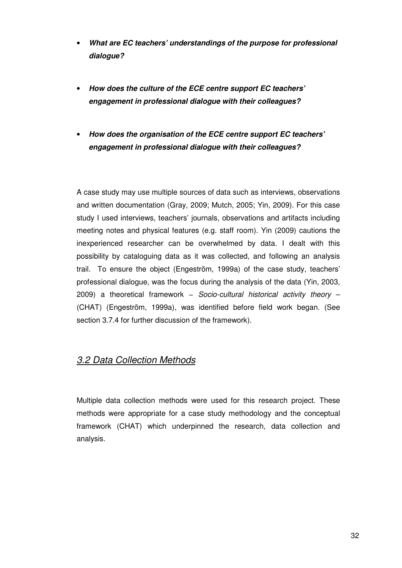- **What are EC teachers' understandings of the purpose for professional dialogue?**
- **How does the culture of the ECE centre support EC teachers' engagement in professional dialogue with their colleagues?**
- **How does the organisation of the ECE centre support EC teachers' engagement in professional dialogue with their colleagues?**

A case study may use multiple sources of data such as interviews, observations and written documentation (Gray, 2009; Mutch, 2005; Yin, 2009). For this case study I used interviews, teachers' journals, observations and artifacts including meeting notes and physical features (e.g. staff room). Yin (2009) cautions the inexperienced researcher can be overwhelmed by data. I dealt with this possibility by cataloguing data as it was collected, and following an analysis trail. To ensure the object (Engeström, 1999a) of the case study, teachers' professional dialogue, was the focus during the analysis of the data (Yin, 2003, 2009) a theoretical framework - Socio-cultural historical activity theory -(CHAT) (Engeström, 1999a), was identified before field work began. (See section 3.7.4 for further discussion of the framework).

# 3.2 Data Collection Methods

Multiple data collection methods were used for this research project. These methods were appropriate for a case study methodology and the conceptual framework (CHAT) which underpinned the research, data collection and analysis.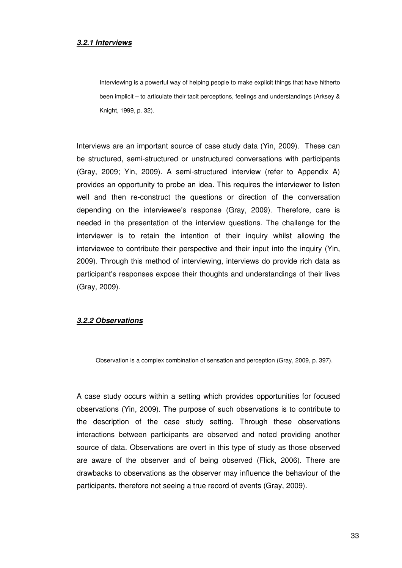#### **3.2.1 Interviews**

Interviewing is a powerful way of helping people to make explicit things that have hitherto been implicit – to articulate their tacit perceptions, feelings and understandings (Arksey & Knight, 1999, p. 32).

Interviews are an important source of case study data (Yin, 2009). These can be structured, semi-structured or unstructured conversations with participants (Gray, 2009; Yin, 2009). A semi-structured interview (refer to Appendix A) provides an opportunity to probe an idea. This requires the interviewer to listen well and then re-construct the questions or direction of the conversation depending on the interviewee's response (Gray, 2009). Therefore, care is needed in the presentation of the interview questions. The challenge for the interviewer is to retain the intention of their inquiry whilst allowing the interviewee to contribute their perspective and their input into the inquiry (Yin, 2009). Through this method of interviewing, interviews do provide rich data as participant's responses expose their thoughts and understandings of their lives (Gray, 2009).

## **3.2.2 Observations**

Observation is a complex combination of sensation and perception (Gray, 2009, p. 397).

A case study occurs within a setting which provides opportunities for focused observations (Yin, 2009). The purpose of such observations is to contribute to the description of the case study setting. Through these observations interactions between participants are observed and noted providing another source of data. Observations are overt in this type of study as those observed are aware of the observer and of being observed (Flick, 2006). There are drawbacks to observations as the observer may influence the behaviour of the participants, therefore not seeing a true record of events (Gray, 2009).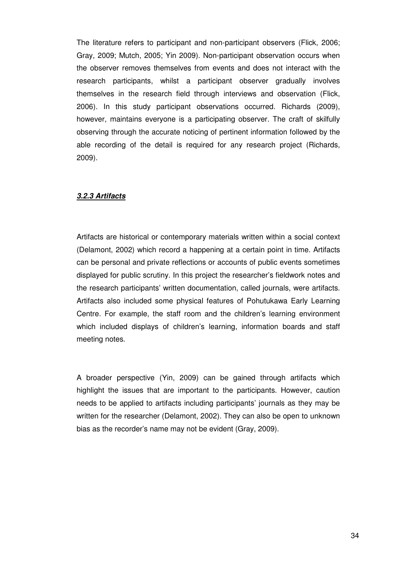The literature refers to participant and non-participant observers (Flick, 2006; Gray, 2009; Mutch, 2005; Yin 2009). Non-participant observation occurs when the observer removes themselves from events and does not interact with the research participants, whilst a participant observer gradually involves themselves in the research field through interviews and observation (Flick, 2006). In this study participant observations occurred. Richards (2009), however, maintains everyone is a participating observer. The craft of skilfully observing through the accurate noticing of pertinent information followed by the able recording of the detail is required for any research project (Richards, 2009).

## **3.2.3 Artifacts**

Artifacts are historical or contemporary materials written within a social context (Delamont, 2002) which record a happening at a certain point in time. Artifacts can be personal and private reflections or accounts of public events sometimes displayed for public scrutiny. In this project the researcher's fieldwork notes and the research participants' written documentation, called journals, were artifacts. Artifacts also included some physical features of Pohutukawa Early Learning Centre. For example, the staff room and the children's learning environment which included displays of children's learning, information boards and staff meeting notes.

A broader perspective (Yin, 2009) can be gained through artifacts which highlight the issues that are important to the participants. However, caution needs to be applied to artifacts including participants' journals as they may be written for the researcher (Delamont, 2002). They can also be open to unknown bias as the recorder's name may not be evident (Gray, 2009).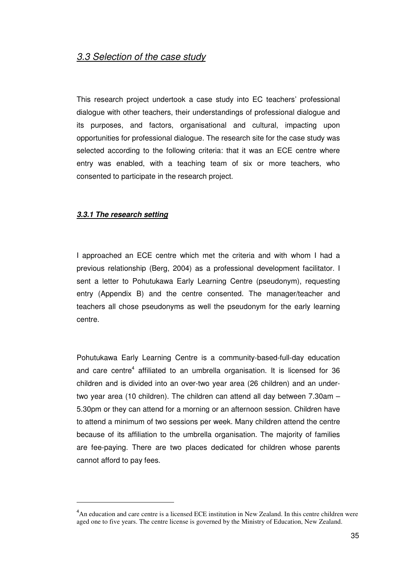# 3.3 Selection of the case study

This research project undertook a case study into EC teachers' professional dialogue with other teachers, their understandings of professional dialogue and its purposes, and factors, organisational and cultural, impacting upon opportunities for professional dialogue. The research site for the case study was selected according to the following criteria: that it was an ECE centre where entry was enabled, with a teaching team of six or more teachers, who consented to participate in the research project.

## **3.3.1 The research setting**

 $\overline{a}$ 

I approached an ECE centre which met the criteria and with whom I had a previous relationship (Berg, 2004) as a professional development facilitator. I sent a letter to Pohutukawa Early Learning Centre (pseudonym), requesting entry (Appendix B) and the centre consented. The manager/teacher and teachers all chose pseudonyms as well the pseudonym for the early learning centre.

Pohutukawa Early Learning Centre is a community-based-full-day education and care centre<sup>4</sup> affiliated to an umbrella organisation. It is licensed for 36 children and is divided into an over-two year area (26 children) and an undertwo year area (10 children). The children can attend all day between 7.30am – 5.30pm or they can attend for a morning or an afternoon session. Children have to attend a minimum of two sessions per week. Many children attend the centre because of its affiliation to the umbrella organisation. The majority of families are fee-paying. There are two places dedicated for children whose parents cannot afford to pay fees.

<sup>&</sup>lt;sup>4</sup>An education and care centre is a licensed ECE institution in New Zealand. In this centre children were aged one to five years. The centre license is governed by the Ministry of Education, New Zealand.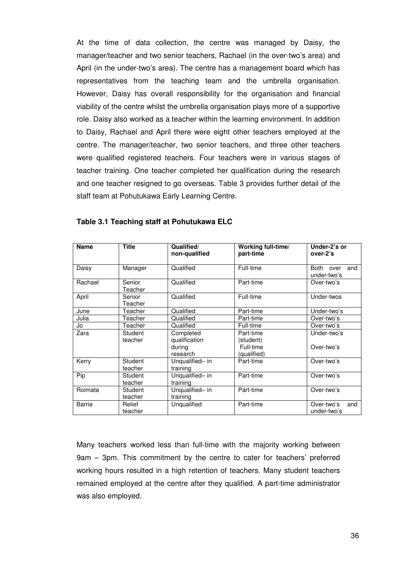At the time of data collection, the centre was managed by Daisy, the manager/teacher and two senior teachers, Rachael (in the over-two's area) and April (in the under-two's area). The centre has a management board which has representatives from the teaching team and the umbrella organisation. However, Daisy has overall responsibility for the organisation and financial viability of the centre whilst the umbrella organisation plays more of a supportive role. Daisy also worked as a teacher within the learning environment. In addition to Daisy, Rachael and April there were eight other teachers employed at the centre. The manager/teacher, two senior teachers, and three other teachers were qualified registered teachers. Four teachers were in various stages of teacher training. One teacher completed her qualification during the research and one teacher resigned to go overseas. Table 3 provides further detail of the staff team at Pohutukawa Early Learning Centre.

| <b>Name</b> | <b>Title</b>       | Qualified/<br>non-qualified                      | Working full-time/<br>part-time                    | Under-2's or<br>over-2's         |
|-------------|--------------------|--------------------------------------------------|----------------------------------------------------|----------------------------------|
| Daisy       | Manager            | Qualified                                        | Full-time                                          | Both over<br>and<br>under-two's  |
| Rachael     | Senior<br>Teacher  | Qualified                                        | Part-time                                          | Over-two's                       |
| April       | Senior<br>Teacher  | Qualified                                        | Full-time                                          | Under-twos                       |
| June        | Teacher            | Qualified                                        | Part-time                                          | Under-two's                      |
| Julia       | Teacher            | Qualified                                        | Part-time                                          | Over-two's                       |
| Jo          | Teacher            | Qualified                                        | Full-time                                          | Over-two's                       |
| Zara        | Student<br>teacher | Completed<br>qualification<br>during<br>research | Part-time<br>(student)<br>Full-time<br>(qualified) | Under-two's<br>Over-two's        |
| Kerry       | Student<br>teacher | Unqualified- in<br>training                      | Part-time                                          | Over-two's                       |
| Pip         | Student<br>teacher | Unqualified- in<br>training                      | Part-time                                          | Over-two's                       |
| Roimata     | Student<br>teacher | Unqualified- in<br>training                      | Part-time                                          | Over-two's                       |
| Barrie      | Relief<br>teacher  | Unqualified                                      | Part-time                                          | Over-two's<br>and<br>under-two's |

## **Table 3.1 Teaching staff at Pohutukawa ELC**

Many teachers worked less than full-time with the majority working between 9am – 3pm. This commitment by the centre to cater for teachers' preferred working hours resulted in a high retention of teachers. Many student teachers remained employed at the centre after they qualified. A part-time administrator was also employed.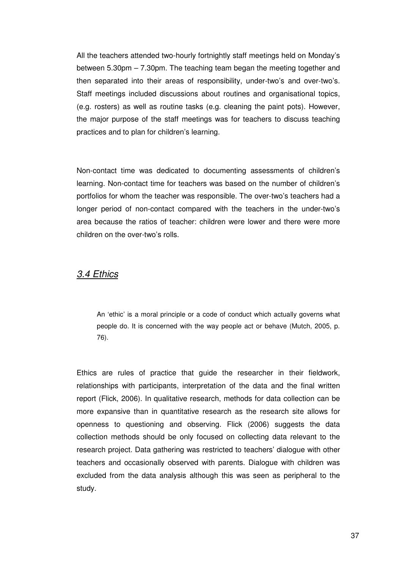All the teachers attended two-hourly fortnightly staff meetings held on Monday's between 5.30pm – 7.30pm. The teaching team began the meeting together and then separated into their areas of responsibility, under-two's and over-two's. Staff meetings included discussions about routines and organisational topics, (e.g. rosters) as well as routine tasks (e.g. cleaning the paint pots). However, the major purpose of the staff meetings was for teachers to discuss teaching practices and to plan for children's learning.

Non-contact time was dedicated to documenting assessments of children's learning. Non-contact time for teachers was based on the number of children's portfolios for whom the teacher was responsible. The over-two's teachers had a longer period of non-contact compared with the teachers in the under-two's area because the ratios of teacher: children were lower and there were more children on the over-two's rolls.

## 3.4 Ethics

An 'ethic' is a moral principle or a code of conduct which actually governs what people do. It is concerned with the way people act or behave (Mutch, 2005, p. 76).

Ethics are rules of practice that guide the researcher in their fieldwork, relationships with participants, interpretation of the data and the final written report (Flick, 2006). In qualitative research, methods for data collection can be more expansive than in quantitative research as the research site allows for openness to questioning and observing. Flick (2006) suggests the data collection methods should be only focused on collecting data relevant to the research project. Data gathering was restricted to teachers' dialogue with other teachers and occasionally observed with parents. Dialogue with children was excluded from the data analysis although this was seen as peripheral to the study.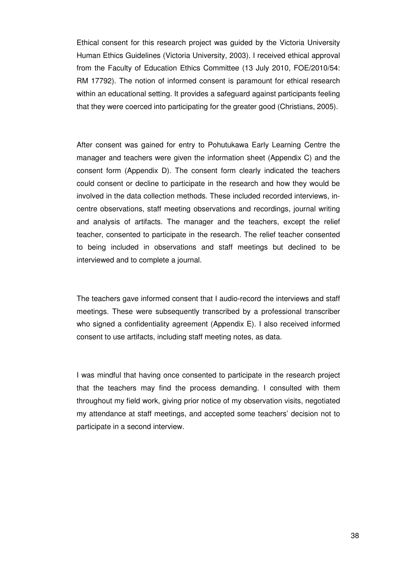Ethical consent for this research project was guided by the Victoria University Human Ethics Guidelines (Victoria University, 2003). I received ethical approval from the Faculty of Education Ethics Committee (13 July 2010, FOE/2010/54: RM 17792). The notion of informed consent is paramount for ethical research within an educational setting. It provides a safeguard against participants feeling that they were coerced into participating for the greater good (Christians, 2005).

After consent was gained for entry to Pohutukawa Early Learning Centre the manager and teachers were given the information sheet (Appendix C) and the consent form (Appendix D). The consent form clearly indicated the teachers could consent or decline to participate in the research and how they would be involved in the data collection methods. These included recorded interviews, incentre observations, staff meeting observations and recordings, journal writing and analysis of artifacts. The manager and the teachers, except the relief teacher, consented to participate in the research. The relief teacher consented to being included in observations and staff meetings but declined to be interviewed and to complete a journal.

The teachers gave informed consent that I audio-record the interviews and staff meetings. These were subsequently transcribed by a professional transcriber who signed a confidentiality agreement (Appendix E). I also received informed consent to use artifacts, including staff meeting notes, as data.

I was mindful that having once consented to participate in the research project that the teachers may find the process demanding. I consulted with them throughout my field work, giving prior notice of my observation visits, negotiated my attendance at staff meetings, and accepted some teachers' decision not to participate in a second interview.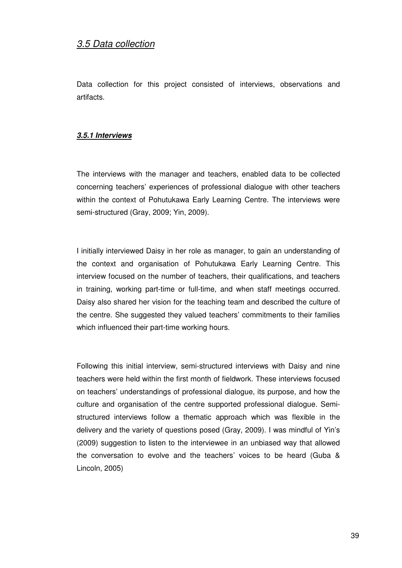# 3.5 Data collection

Data collection for this project consisted of interviews, observations and artifacts.

## **3.5.1 Interviews**

The interviews with the manager and teachers, enabled data to be collected concerning teachers' experiences of professional dialogue with other teachers within the context of Pohutukawa Early Learning Centre. The interviews were semi-structured (Gray, 2009; Yin, 2009).

I initially interviewed Daisy in her role as manager, to gain an understanding of the context and organisation of Pohutukawa Early Learning Centre. This interview focused on the number of teachers, their qualifications, and teachers in training, working part-time or full-time, and when staff meetings occurred. Daisy also shared her vision for the teaching team and described the culture of the centre. She suggested they valued teachers' commitments to their families which influenced their part-time working hours.

Following this initial interview, semi-structured interviews with Daisy and nine teachers were held within the first month of fieldwork. These interviews focused on teachers' understandings of professional dialogue, its purpose, and how the culture and organisation of the centre supported professional dialogue. Semistructured interviews follow a thematic approach which was flexible in the delivery and the variety of questions posed (Gray, 2009). I was mindful of Yin's (2009) suggestion to listen to the interviewee in an unbiased way that allowed the conversation to evolve and the teachers' voices to be heard (Guba & Lincoln, 2005)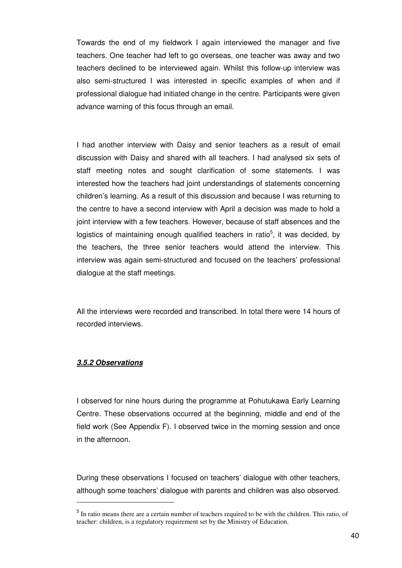Towards the end of my fieldwork I again interviewed the manager and five teachers. One teacher had left to go overseas, one teacher was away and two teachers declined to be interviewed again. Whilst this follow-up interview was also semi-structured I was interested in specific examples of when and if professional dialogue had initiated change in the centre. Participants were given advance warning of this focus through an email.

I had another interview with Daisy and senior teachers as a result of email discussion with Daisy and shared with all teachers. I had analysed six sets of staff meeting notes and sought clarification of some statements. I was interested how the teachers had joint understandings of statements concerning children's learning. As a result of this discussion and because I was returning to the centre to have a second interview with April a decision was made to hold a joint interview with a few teachers. However, because of staff absences and the logistics of maintaining enough qualified teachers in ratio<sup>5</sup>, it was decided, by the teachers, the three senior teachers would attend the interview. This interview was again semi-structured and focused on the teachers' professional dialogue at the staff meetings.

All the interviews were recorded and transcribed. In total there were 14 hours of recorded interviews.

## **3.5.2 Observations**

 $\overline{a}$ 

I observed for nine hours during the programme at Pohutukawa Early Learning Centre. These observations occurred at the beginning, middle and end of the field work (See Appendix F). I observed twice in the morning session and once in the afternoon.

During these observations I focused on teachers' dialogue with other teachers, although some teachers' dialogue with parents and children was also observed.

<sup>&</sup>lt;sup>5</sup> In ratio means there are a certain number of teachers required to be with the children. This ratio, of teacher: children, is a regulatory requirement set by the Ministry of Education.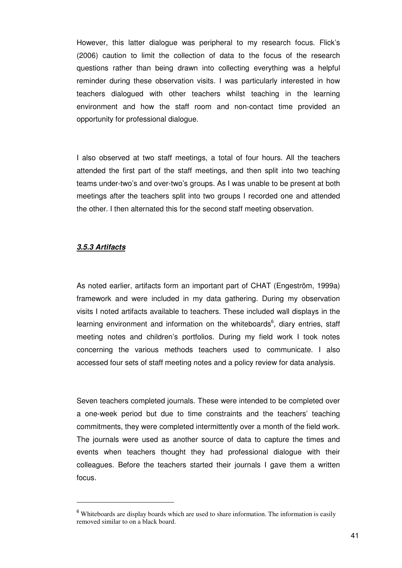However, this latter dialogue was peripheral to my research focus. Flick's (2006) caution to limit the collection of data to the focus of the research questions rather than being drawn into collecting everything was a helpful reminder during these observation visits. I was particularly interested in how teachers dialogued with other teachers whilst teaching in the learning environment and how the staff room and non-contact time provided an opportunity for professional dialogue.

I also observed at two staff meetings, a total of four hours. All the teachers attended the first part of the staff meetings, and then split into two teaching teams under-two's and over-two's groups. As I was unable to be present at both meetings after the teachers split into two groups I recorded one and attended the other. I then alternated this for the second staff meeting observation.

## **3.5.3 Artifacts**

 $\overline{a}$ 

As noted earlier, artifacts form an important part of CHAT (Engeström, 1999a) framework and were included in my data gathering. During my observation visits I noted artifacts available to teachers. These included wall displays in the learning environment and information on the whiteboards<sup>6</sup>, diary entries, staff meeting notes and children's portfolios. During my field work I took notes concerning the various methods teachers used to communicate. I also accessed four sets of staff meeting notes and a policy review for data analysis.

Seven teachers completed journals. These were intended to be completed over a one-week period but due to time constraints and the teachers' teaching commitments, they were completed intermittently over a month of the field work. The journals were used as another source of data to capture the times and events when teachers thought they had professional dialogue with their colleagues. Before the teachers started their journals I gave them a written focus.

<sup>&</sup>lt;sup>6</sup> Whiteboards are display boards which are used to share information. The information is easily removed similar to on a black board.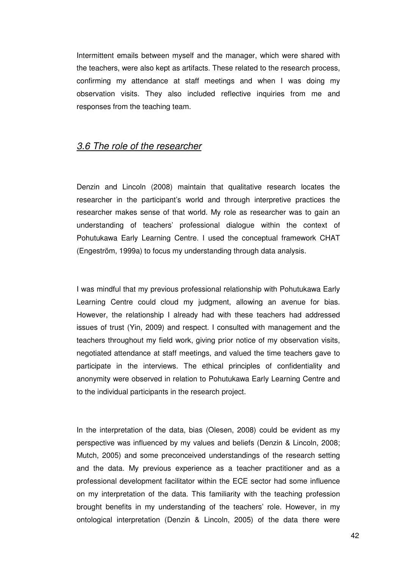Intermittent emails between myself and the manager, which were shared with the teachers, were also kept as artifacts. These related to the research process, confirming my attendance at staff meetings and when I was doing my observation visits. They also included reflective inquiries from me and responses from the teaching team.

## 3.6 The role of the researcher

Denzin and Lincoln (2008) maintain that qualitative research locates the researcher in the participant's world and through interpretive practices the researcher makes sense of that world. My role as researcher was to gain an understanding of teachers' professional dialogue within the context of Pohutukawa Early Learning Centre. I used the conceptual framework CHAT (Engeström, 1999a) to focus my understanding through data analysis.

I was mindful that my previous professional relationship with Pohutukawa Early Learning Centre could cloud my judgment, allowing an avenue for bias. However, the relationship I already had with these teachers had addressed issues of trust (Yin, 2009) and respect. I consulted with management and the teachers throughout my field work, giving prior notice of my observation visits, negotiated attendance at staff meetings, and valued the time teachers gave to participate in the interviews. The ethical principles of confidentiality and anonymity were observed in relation to Pohutukawa Early Learning Centre and to the individual participants in the research project.

In the interpretation of the data, bias (Olesen, 2008) could be evident as my perspective was influenced by my values and beliefs (Denzin & Lincoln, 2008; Mutch, 2005) and some preconceived understandings of the research setting and the data. My previous experience as a teacher practitioner and as a professional development facilitator within the ECE sector had some influence on my interpretation of the data. This familiarity with the teaching profession brought benefits in my understanding of the teachers' role. However, in my ontological interpretation (Denzin & Lincoln, 2005) of the data there were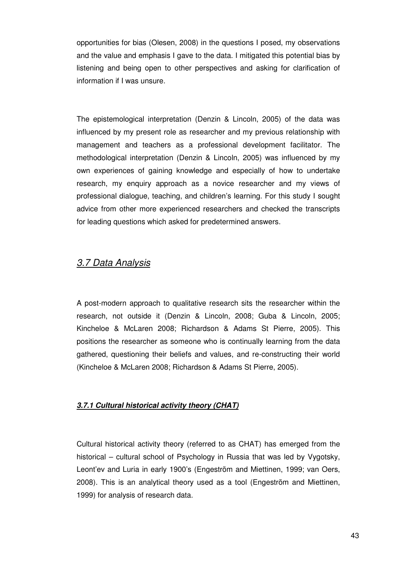opportunities for bias (Olesen, 2008) in the questions I posed, my observations and the value and emphasis I gave to the data. I mitigated this potential bias by listening and being open to other perspectives and asking for clarification of information if I was unsure.

The epistemological interpretation (Denzin & Lincoln, 2005) of the data was influenced by my present role as researcher and my previous relationship with management and teachers as a professional development facilitator. The methodological interpretation (Denzin & Lincoln, 2005) was influenced by my own experiences of gaining knowledge and especially of how to undertake research, my enquiry approach as a novice researcher and my views of professional dialogue, teaching, and children's learning. For this study I sought advice from other more experienced researchers and checked the transcripts for leading questions which asked for predetermined answers.

# 3.7 Data Analysis

A post-modern approach to qualitative research sits the researcher within the research, not outside it (Denzin & Lincoln, 2008; Guba & Lincoln, 2005; Kincheloe & McLaren 2008; Richardson & Adams St Pierre, 2005). This positions the researcher as someone who is continually learning from the data gathered, questioning their beliefs and values, and re-constructing their world (Kincheloe & McLaren 2008; Richardson & Adams St Pierre, 2005).

## **3.7.1 Cultural historical activity theory (CHAT)**

Cultural historical activity theory (referred to as CHAT) has emerged from the historical – cultural school of Psychology in Russia that was led by Vygotsky, Leont'ev and Luria in early 1900's (Engeström and Miettinen, 1999; van Oers, 2008). This is an analytical theory used as a tool (Engeström and Miettinen, 1999) for analysis of research data.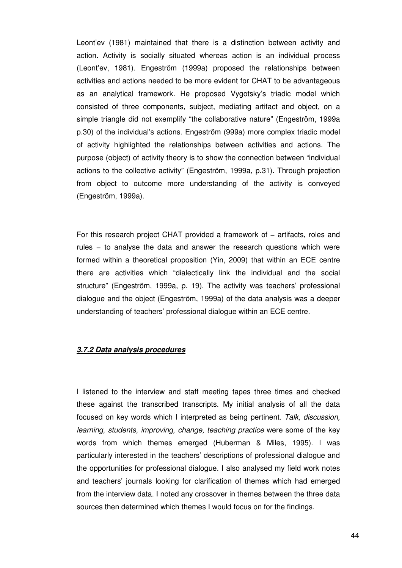Leont'ev (1981) maintained that there is a distinction between activity and action. Activity is socially situated whereas action is an individual process (Leont'ev, 1981). Engeström (1999a) proposed the relationships between activities and actions needed to be more evident for CHAT to be advantageous as an analytical framework. He proposed Vygotsky's triadic model which consisted of three components, subject, mediating artifact and object, on a simple triangle did not exemplify "the collaborative nature" (Engeström, 1999a p.30) of the individual's actions. Engeström (999a) more complex triadic model of activity highlighted the relationships between activities and actions. The purpose (object) of activity theory is to show the connection between "individual actions to the collective activity" (Engeström, 1999a, p.31). Through projection from object to outcome more understanding of the activity is conveyed (Engeström, 1999a).

For this research project CHAT provided a framework of − artifacts, roles and rules − to analyse the data and answer the research questions which were formed within a theoretical proposition (Yin, 2009) that within an ECE centre there are activities which "dialectically link the individual and the social structure" (Engeström, 1999a, p. 19). The activity was teachers' professional dialogue and the object (Engeström, 1999a) of the data analysis was a deeper understanding of teachers' professional dialogue within an ECE centre.

### **3.7.2 Data analysis procedures**

I listened to the interview and staff meeting tapes three times and checked these against the transcribed transcripts. My initial analysis of all the data focused on key words which I interpreted as being pertinent. Talk, discussion, learning, students, improving, change, teaching practice were some of the key words from which themes emerged (Huberman & Miles, 1995). I was particularly interested in the teachers' descriptions of professional dialogue and the opportunities for professional dialogue. I also analysed my field work notes and teachers' journals looking for clarification of themes which had emerged from the interview data. I noted any crossover in themes between the three data sources then determined which themes I would focus on for the findings.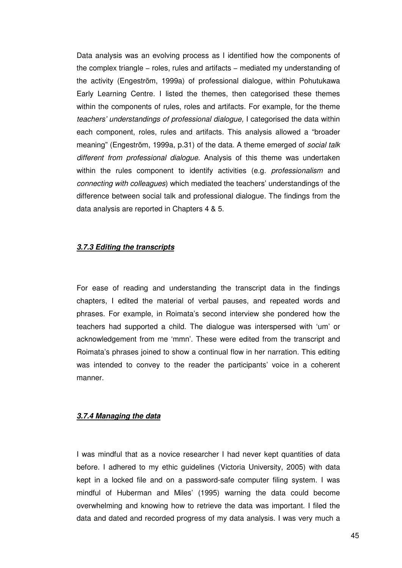Data analysis was an evolving process as I identified how the components of the complex triangle – roles, rules and artifacts – mediated my understanding of the activity (Engeström, 1999a) of professional dialogue, within Pohutukawa Early Learning Centre. I listed the themes, then categorised these themes within the components of rules, roles and artifacts. For example, for the theme teachers' understandings of professional dialogue, I categorised the data within each component, roles, rules and artifacts. This analysis allowed a "broader meaning" (Engeström, 1999a, p.31) of the data. A theme emerged of *social talk* different from professional dialogue. Analysis of this theme was undertaken within the rules component to identify activities (e.g. *professionalism* and connecting with colleagues) which mediated the teachers' understandings of the difference between social talk and professional dialogue. The findings from the data analysis are reported in Chapters 4 & 5.

## **3.7.3 Editing the transcripts**

For ease of reading and understanding the transcript data in the findings chapters, I edited the material of verbal pauses, and repeated words and phrases. For example, in Roimata's second interview she pondered how the teachers had supported a child. The dialogue was interspersed with 'um' or acknowledgement from me 'mmn'. These were edited from the transcript and Roimata's phrases joined to show a continual flow in her narration. This editing was intended to convey to the reader the participants' voice in a coherent manner.

#### **3.7.4 Managing the data**

I was mindful that as a novice researcher I had never kept quantities of data before. I adhered to my ethic guidelines (Victoria University, 2005) with data kept in a locked file and on a password-safe computer filing system. I was mindful of Huberman and Miles' (1995) warning the data could become overwhelming and knowing how to retrieve the data was important. I filed the data and dated and recorded progress of my data analysis. I was very much a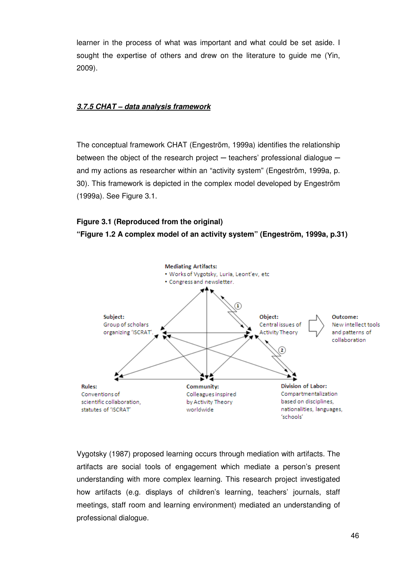learner in the process of what was important and what could be set aside. I sought the expertise of others and drew on the literature to guide me (Yin, 2009).

## **3.7.5 CHAT – data analysis framework**

The conceptual framework CHAT (Engeström, 1999a) identifies the relationship between the object of the research project  $-$  teachers' professional dialogue  $$ and my actions as researcher within an "activity system" (Engeström, 1999a, p. 30). This framework is depicted in the complex model developed by Engeström (1999a). See Figure 3.1.

## **Figure 3.1 (Reproduced from the original)**

**"Figure 1.2 A complex model of an activity system" (Engeström, 1999a, p.31)** 



Vygotsky (1987) proposed learning occurs through mediation with artifacts. The artifacts are social tools of engagement which mediate a person's present understanding with more complex learning. This research project investigated how artifacts (e.g. displays of children's learning, teachers' journals, staff meetings, staff room and learning environment) mediated an understanding of professional dialogue.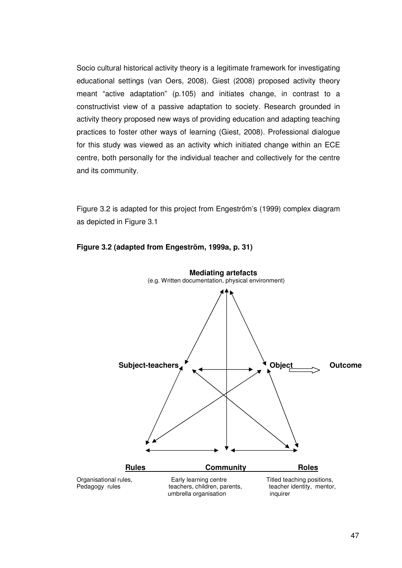Socio cultural historical activity theory is a legitimate framework for investigating educational settings (van Oers, 2008). Giest (2008) proposed activity theory meant "active adaptation" (p.105) and initiates change, in contrast to a constructivist view of a passive adaptation to society. Research grounded in activity theory proposed new ways of providing education and adapting teaching practices to foster other ways of learning (Giest, 2008). Professional dialogue for this study was viewed as an activity which initiated change within an ECE centre, both personally for the individual teacher and collectively for the centre and its community.

Figure 3.2 is adapted for this project from Engeström's (1999) complex diagram as depicted in Figure 3.1



## **Figure 3.2 (adapted from Engeström, 1999a, p. 31)**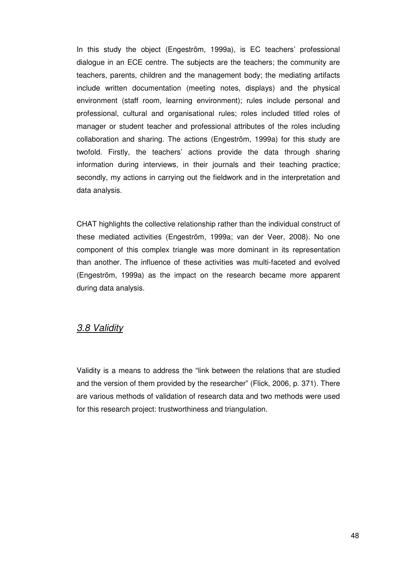In this study the object (Engeström, 1999a), is EC teachers' professional dialogue in an ECE centre. The subjects are the teachers; the community are teachers, parents, children and the management body; the mediating artifacts include written documentation (meeting notes, displays) and the physical environment (staff room, learning environment); rules include personal and professional, cultural and organisational rules; roles included titled roles of manager or student teacher and professional attributes of the roles including collaboration and sharing. The actions (Engeström, 1999a) for this study are twofold. Firstly, the teachers' actions provide the data through sharing information during interviews, in their journals and their teaching practice; secondly, my actions in carrying out the fieldwork and in the interpretation and data analysis.

CHAT highlights the collective relationship rather than the individual construct of these mediated activities (Engeström, 1999a; van der Veer, 2008). No one component of this complex triangle was more dominant in its representation than another. The influence of these activities was multi-faceted and evolved (Engeström, 1999a) as the impact on the research became more apparent during data analysis.

## 3.8 Validity

Validity is a means to address the "link between the relations that are studied and the version of them provided by the researcher" (Flick, 2006, p. 371). There are various methods of validation of research data and two methods were used for this research project: trustworthiness and triangulation.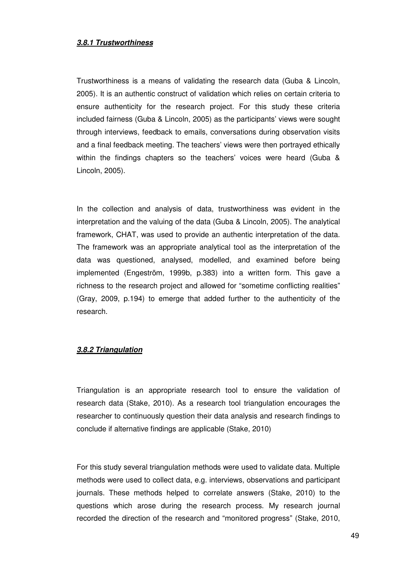### **3.8.1 Trustworthiness**

Trustworthiness is a means of validating the research data (Guba & Lincoln, 2005). It is an authentic construct of validation which relies on certain criteria to ensure authenticity for the research project. For this study these criteria included fairness (Guba & Lincoln, 2005) as the participants' views were sought through interviews, feedback to emails, conversations during observation visits and a final feedback meeting. The teachers' views were then portrayed ethically within the findings chapters so the teachers' voices were heard (Guba & Lincoln, 2005).

In the collection and analysis of data, trustworthiness was evident in the interpretation and the valuing of the data (Guba & Lincoln, 2005). The analytical framework, CHAT, was used to provide an authentic interpretation of the data. The framework was an appropriate analytical tool as the interpretation of the data was questioned, analysed, modelled, and examined before being implemented (Engeström, 1999b, p.383) into a written form. This gave a richness to the research project and allowed for "sometime conflicting realities" (Gray, 2009, p.194) to emerge that added further to the authenticity of the research.

### **3.8.2 Triangulation**

Triangulation is an appropriate research tool to ensure the validation of research data (Stake, 2010). As a research tool triangulation encourages the researcher to continuously question their data analysis and research findings to conclude if alternative findings are applicable (Stake, 2010)

For this study several triangulation methods were used to validate data. Multiple methods were used to collect data, e.g. interviews, observations and participant journals. These methods helped to correlate answers (Stake, 2010) to the questions which arose during the research process. My research journal recorded the direction of the research and "monitored progress" (Stake, 2010,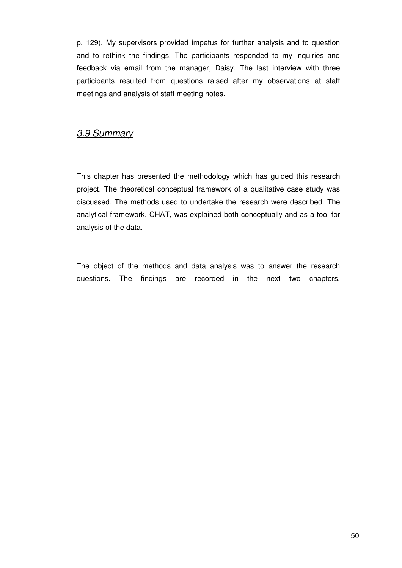p. 129). My supervisors provided impetus for further analysis and to question and to rethink the findings. The participants responded to my inquiries and feedback via email from the manager, Daisy. The last interview with three participants resulted from questions raised after my observations at staff meetings and analysis of staff meeting notes.

# 3.9 Summary

This chapter has presented the methodology which has guided this research project. The theoretical conceptual framework of a qualitative case study was discussed. The methods used to undertake the research were described. The analytical framework, CHAT, was explained both conceptually and as a tool for analysis of the data.

The object of the methods and data analysis was to answer the research questions. The findings are recorded in the next two chapters.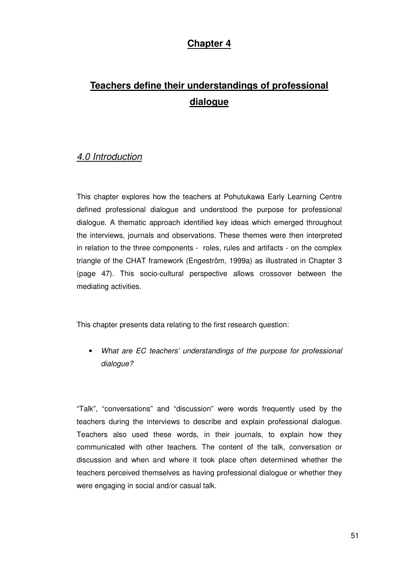# **Chapter 4**

# **Teachers define their understandings of professional dialogue**

# 4.0 Introduction

This chapter explores how the teachers at Pohutukawa Early Learning Centre defined professional dialogue and understood the purpose for professional dialogue. A thematic approach identified key ideas which emerged throughout the interviews, journals and observations. These themes were then interpreted in relation to the three components - roles, rules and artifacts - on the complex triangle of the CHAT framework (Engeström, 1999a) as illustrated in Chapter 3 (page 47). This socio-cultural perspective allows crossover between the mediating activities.

This chapter presents data relating to the first research question:

• What are EC teachers' understandings of the purpose for professional dialogue?

"Talk", "conversations" and "discussion" were words frequently used by the teachers during the interviews to describe and explain professional dialogue. Teachers also used these words, in their journals, to explain how they communicated with other teachers. The content of the talk, conversation or discussion and when and where it took place often determined whether the teachers perceived themselves as having professional dialogue or whether they were engaging in social and/or casual talk.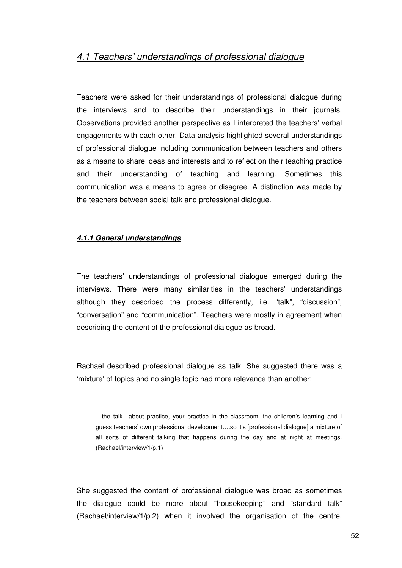# 4.1 Teachers' understandings of professional dialogue

Teachers were asked for their understandings of professional dialogue during the interviews and to describe their understandings in their journals. Observations provided another perspective as I interpreted the teachers' verbal engagements with each other. Data analysis highlighted several understandings of professional dialogue including communication between teachers and others as a means to share ideas and interests and to reflect on their teaching practice and their understanding of teaching and learning. Sometimes this communication was a means to agree or disagree. A distinction was made by the teachers between social talk and professional dialogue.

## **4.1.1 General understandings**

The teachers' understandings of professional dialogue emerged during the interviews. There were many similarities in the teachers' understandings although they described the process differently, i.e. "talk", "discussion", "conversation" and "communication". Teachers were mostly in agreement when describing the content of the professional dialogue as broad.

Rachael described professional dialogue as talk. She suggested there was a 'mixture' of topics and no single topic had more relevance than another:

…the talk…about practice, your practice in the classroom, the children's learning and I guess teachers' own professional development….so it's [professional dialogue] a mixture of all sorts of different talking that happens during the day and at night at meetings. (Rachael/interview/1/p.1)

She suggested the content of professional dialogue was broad as sometimes the dialogue could be more about "housekeeping" and "standard talk" (Rachael/interview/1/p.2) when it involved the organisation of the centre.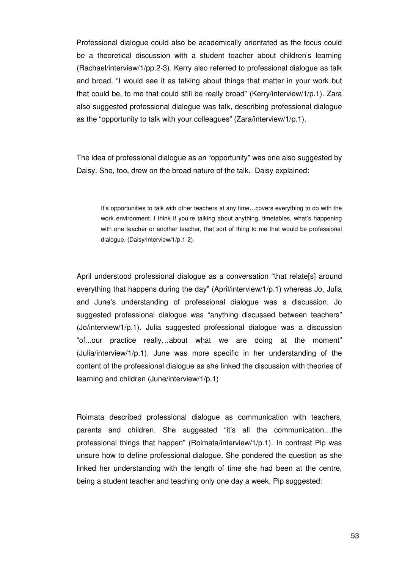Professional dialogue could also be academically orientated as the focus could be a theoretical discussion with a student teacher about children's learning (Rachael/interview/1/pp.2-3). Kerry also referred to professional dialogue as talk and broad. "I would see it as talking about things that matter in your work but that could be, to me that could still be really broad" (Kerry/interview/1/p.1). Zara also suggested professional dialogue was talk, describing professional dialogue as the "opportunity to talk with your colleagues" (Zara/interview/1/p.1).

The idea of professional dialogue as an "opportunity" was one also suggested by Daisy. She, too, drew on the broad nature of the talk. Daisy explained:

It's opportunities to talk with other teachers at any time…covers everything to do with the work environment. I think if you're talking about anything, timetables, what's happening with one teacher or another teacher, that sort of thing to me that would be professional dialogue. (Daisy/interview/1/p.1-2).

April understood professional dialogue as a conversation "that relate[s] around everything that happens during the day" (April/interview/1/p.1) whereas Jo, Julia and June's understanding of professional dialogue was a discussion. Jo suggested professional dialogue was "anything discussed between teachers" (Jo/interview/1/p.1). Julia suggested professional dialogue was a discussion "of...our practice really…about what we are doing at the moment" (Julia/interview/1/p.1). June was more specific in her understanding of the content of the professional dialogue as she linked the discussion with theories of learning and children (June/interview/1/p.1)

Roimata described professional dialogue as communication with teachers, parents and children. She suggested "it's all the communication…the professional things that happen" (Roimata/interview/1/p.1). In contrast Pip was unsure how to define professional dialogue. She pondered the question as she linked her understanding with the length of time she had been at the centre, being a student teacher and teaching only one day a week. Pip suggested: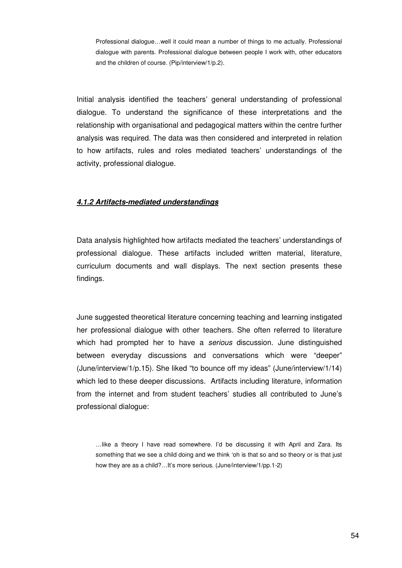Professional dialogue…well it could mean a number of things to me actually. Professional dialogue with parents. Professional dialogue between people I work with, other educators and the children of course. (Pip/interview/1/p.2).

Initial analysis identified the teachers' general understanding of professional dialogue. To understand the significance of these interpretations and the relationship with organisational and pedagogical matters within the centre further analysis was required. The data was then considered and interpreted in relation to how artifacts, rules and roles mediated teachers' understandings of the activity, professional dialogue.

## **4.1.2 Artifacts-mediated understandings**

Data analysis highlighted how artifacts mediated the teachers' understandings of professional dialogue. These artifacts included written material, literature, curriculum documents and wall displays. The next section presents these findings.

June suggested theoretical literature concerning teaching and learning instigated her professional dialogue with other teachers. She often referred to literature which had prompted her to have a serious discussion. June distinguished between everyday discussions and conversations which were "deeper" (June/interview/1/p.15). She liked "to bounce off my ideas" (June/interview/1/14) which led to these deeper discussions. Artifacts including literature, information from the internet and from student teachers' studies all contributed to June's professional dialogue:

…like a theory I have read somewhere. I'd be discussing it with April and Zara. Its something that we see a child doing and we think 'oh is that so and so theory or is that just how they are as a child?…It's more serious. (June/interview/1/pp.1-2)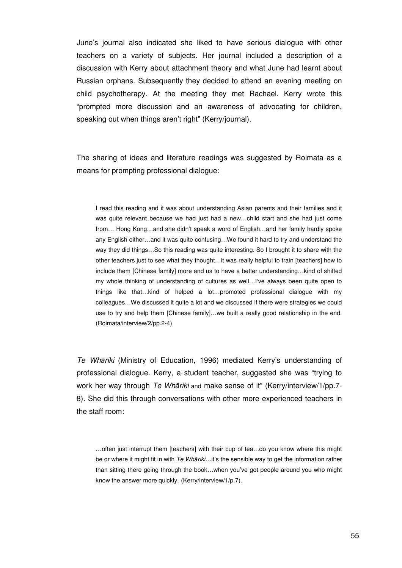June's journal also indicated she liked to have serious dialogue with other teachers on a variety of subjects. Her journal included a description of a discussion with Kerry about attachment theory and what June had learnt about Russian orphans. Subsequently they decided to attend an evening meeting on child psychotherapy. At the meeting they met Rachael. Kerry wrote this "prompted more discussion and an awareness of advocating for children, speaking out when things aren't right" (Kerry/journal).

The sharing of ideas and literature readings was suggested by Roimata as a means for prompting professional dialogue:

I read this reading and it was about understanding Asian parents and their families and it was quite relevant because we had just had a new…child start and she had just come from… Hong Kong…and she didn't speak a word of English…and her family hardly spoke any English either…and it was quite confusing…We found it hard to try and understand the way they did things…So this reading was quite interesting. So I brought it to share with the other teachers just to see what they thought…it was really helpful to train [teachers] how to include them [Chinese family] more and us to have a better understanding…kind of shifted my whole thinking of understanding of cultures as well…I've always been quite open to things like that…kind of helped a lot…promoted professional dialogue with my colleagues…We discussed it quite a lot and we discussed if there were strategies we could use to try and help them [Chinese family]…we built a really good relationship in the end. (Roimata/interview/2/pp.2-4)

Te Whāriki (Ministry of Education, 1996) mediated Kerry's understanding of professional dialogue. Kerry, a student teacher, suggested she was "trying to work her way through Te Whāriki and make sense of it" (Kerry/interview/1/pp.7-8). She did this through conversations with other more experienced teachers in the staff room:

…often just interrupt them [teachers] with their cup of tea…do you know where this might be or where it might fit in with Te Whariki...it's the sensible way to get the information rather than sitting there going through the book…when you've got people around you who might know the answer more quickly. (Kerry/interview/1/p.7).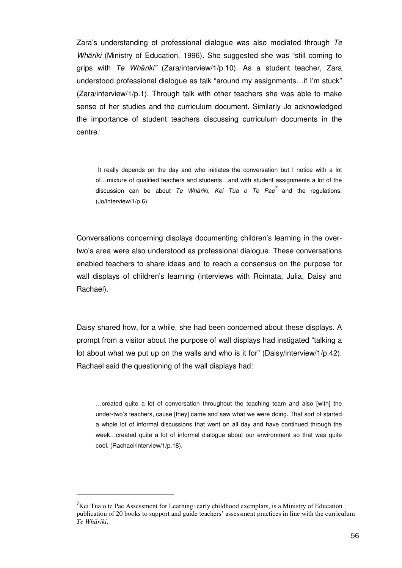Zara's understanding of professional dialogue was also mediated through Te Whāriki (Ministry of Education, 1996). She suggested she was "still coming to grips with Te Whāriki" (Zara/interview/1/p.10). As a student teacher, Zara understood professional dialogue as talk "around my assignments…if I'm stuck" (Zara/interview/1/p.1). Through talk with other teachers she was able to make sense of her studies and the curriculum document. Similarly Jo acknowledged the importance of student teachers discussing curriculum documents in the centre:

It really depends on the day and who initiates the conversation but I notice with a lot of…mixture of qualified teachers and students…and with student assignments a lot of the discussion can be about Te Whāriki, Kei Tua o Te Pae<sup>7</sup> and the regulations. (Jo/interview/1/p.6).

Conversations concerning displays documenting children's learning in the overtwo's area were also understood as professional dialogue. These conversations enabled teachers to share ideas and to reach a consensus on the purpose for wall displays of children's learning (interviews with Roimata, Julia, Daisy and Rachael).

Daisy shared how, for a while, she had been concerned about these displays. A prompt from a visitor about the purpose of wall displays had instigated "talking a lot about what we put up on the walls and who is it for" (Daisy/interview/1/p.42). Rachael said the questioning of the wall displays had:

…created quite a lot of conversation throughout the teaching team and also [with] the under-two's teachers, cause [they] came and saw what we were doing. That sort of started a whole lot of informal discussions that went on all day and have continued through the week…created quite a lot of informal dialogue about our environment so that was quite cool. (Rachael/interview/1/p.18).

 $\overline{a}$ 

 ${}^{7}$ Kei Tua o te Pae Assessment for Learning: early childhood exemplars, is a Ministry of Education publication of 20 books to support and guide teachers' assessment practices in line with the curriculum *Te Wh*ā*riki.*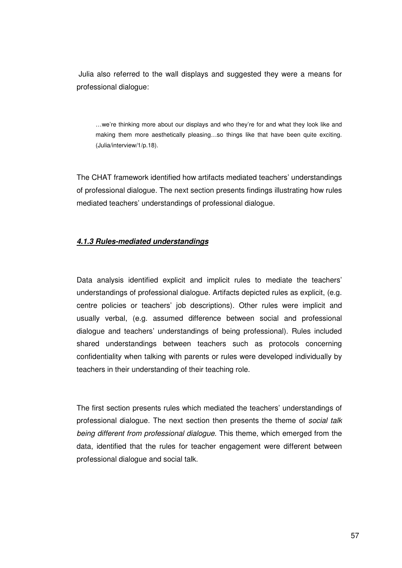Julia also referred to the wall displays and suggested they were a means for professional dialogue:

…we're thinking more about our displays and who they're for and what they look like and making them more aesthetically pleasing…so things like that have been quite exciting. (Julia/interview/1/p.18).

The CHAT framework identified how artifacts mediated teachers' understandings of professional dialogue. The next section presents findings illustrating how rules mediated teachers' understandings of professional dialogue.

## **4.1.3 Rules-mediated understandings**

Data analysis identified explicit and implicit rules to mediate the teachers' understandings of professional dialogue. Artifacts depicted rules as explicit, (e.g. centre policies or teachers' job descriptions). Other rules were implicit and usually verbal, (e.g. assumed difference between social and professional dialogue and teachers' understandings of being professional). Rules included shared understandings between teachers such as protocols concerning confidentiality when talking with parents or rules were developed individually by teachers in their understanding of their teaching role.

The first section presents rules which mediated the teachers' understandings of professional dialogue. The next section then presents the theme of social talk being different from professional dialogue. This theme, which emerged from the data, identified that the rules for teacher engagement were different between professional dialogue and social talk.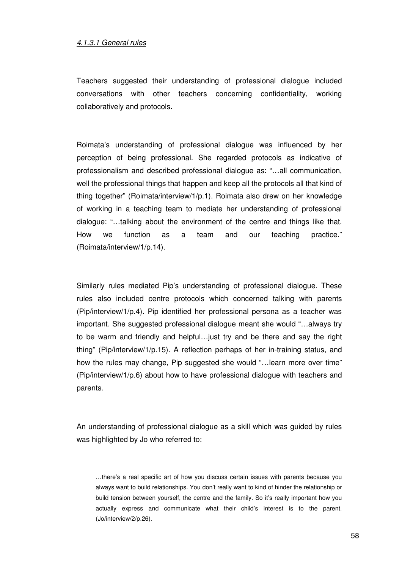#### 4.1.3.1 General rules

Teachers suggested their understanding of professional dialogue included conversations with other teachers concerning confidentiality, working collaboratively and protocols.

Roimata's understanding of professional dialogue was influenced by her perception of being professional. She regarded protocols as indicative of professionalism and described professional dialogue as: "…all communication, well the professional things that happen and keep all the protocols all that kind of thing together" (Roimata/interview/1/p.1). Roimata also drew on her knowledge of working in a teaching team to mediate her understanding of professional dialogue: "…talking about the environment of the centre and things like that. How we function as a team and our teaching practice." (Roimata/interview/1/p.14).

Similarly rules mediated Pip's understanding of professional dialogue. These rules also included centre protocols which concerned talking with parents (Pip/interview/1/p.4). Pip identified her professional persona as a teacher was important. She suggested professional dialogue meant she would "…always try to be warm and friendly and helpful…just try and be there and say the right thing" (Pip/interview/1/p.15). A reflection perhaps of her in-training status, and how the rules may change, Pip suggested she would "... learn more over time" (Pip/interview/1/p.6) about how to have professional dialogue with teachers and parents.

An understanding of professional dialogue as a skill which was guided by rules was highlighted by Jo who referred to:

…there's a real specific art of how you discuss certain issues with parents because you always want to build relationships. You don't really want to kind of hinder the relationship or build tension between yourself, the centre and the family. So it's really important how you actually express and communicate what their child's interest is to the parent. (Jo/interview/2/p.26).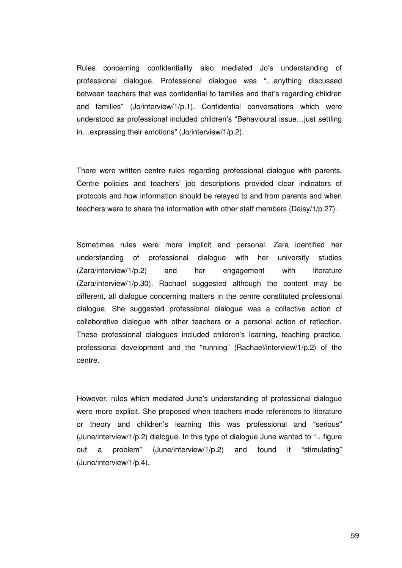Rules concerning confidentiality also mediated Jo's understanding of professional dialogue. Professional dialogue was "…anything discussed between teachers that was confidential to families and that's regarding children and families" (Jo/interview/1/p.1). Confidential conversations which were understood as professional included children's "Behavioural issue…just settling in…expressing their emotions" (Jo/interview/1/p.2).

There were written centre rules regarding professional dialogue with parents. Centre policies and teachers' job descriptions provided clear indicators of protocols and how information should be relayed to and from parents and when teachers were to share the information with other staff members (Daisy/1/p.27).

Sometimes rules were more implicit and personal. Zara identified her understanding of professional dialogue with her university studies (Zara/interview/1/p.2) and her engagement with literature  $(Zara/interview/1/p.30)$ . Rachael suggested although the content may be different, all dialogue concerning matters in the centre constituted professional dialogue. She suggested professional dialogue was a collective action of collaborative dialogue with other teachers or a personal action of reflection. These professional dialogues included children's learning, teaching practice, professional development and the "running" (Rachael/interview/1/p.2) of the centre.

However, rules which mediated June's understanding of professional dialogue were more explicit. She proposed when teachers made references to literature or theory and children's learning this was professional and "serious" (June/interview/1/p.2) dialogue. In this type of dialogue June wanted to "…figure out a problem" (June/interview/1/p.2) and found it "stimulating" (June/interview/1/p.4).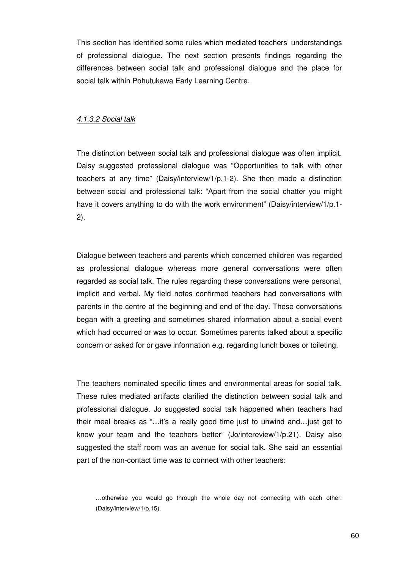This section has identified some rules which mediated teachers' understandings of professional dialogue. The next section presents findings regarding the differences between social talk and professional dialogue and the place for social talk within Pohutukawa Early Learning Centre.

#### 4.1.3.2 Social talk

The distinction between social talk and professional dialogue was often implicit. Daisy suggested professional dialogue was "Opportunities to talk with other teachers at any time" (Daisy/interview/1/p.1-2). She then made a distinction between social and professional talk: "Apart from the social chatter you might have it covers anything to do with the work environment" (Daisy/interview/1/p.1- 2).

Dialogue between teachers and parents which concerned children was regarded as professional dialogue whereas more general conversations were often regarded as social talk. The rules regarding these conversations were personal, implicit and verbal. My field notes confirmed teachers had conversations with parents in the centre at the beginning and end of the day. These conversations began with a greeting and sometimes shared information about a social event which had occurred or was to occur. Sometimes parents talked about a specific concern or asked for or gave information e.g. regarding lunch boxes or toileting.

The teachers nominated specific times and environmental areas for social talk. These rules mediated artifacts clarified the distinction between social talk and professional dialogue. Jo suggested social talk happened when teachers had their meal breaks as "…it's a really good time just to unwind and…just get to know your team and the teachers better" (Jo/intereview/1/p.21). Daisy also suggested the staff room was an avenue for social talk. She said an essential part of the non-contact time was to connect with other teachers:

<sup>…</sup>otherwise you would go through the whole day not connecting with each other. (Daisy/interview/1/p.15).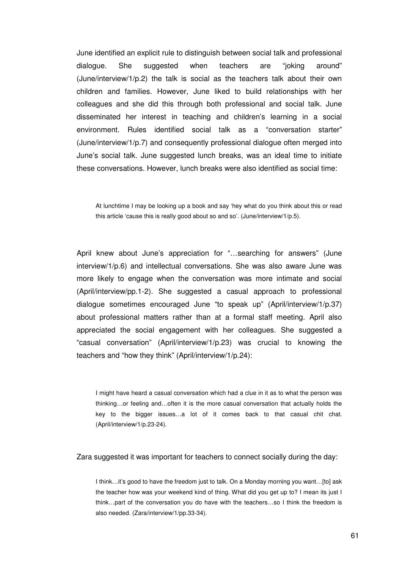June identified an explicit rule to distinguish between social talk and professional dialogue. She suggested when teachers are "joking around" (June/interview/1/p.2) the talk is social as the teachers talk about their own children and families. However, June liked to build relationships with her colleagues and she did this through both professional and social talk. June disseminated her interest in teaching and children's learning in a social environment. Rules identified social talk as a "conversation starter" (June/interview/1/p.7) and consequently professional dialogue often merged into June's social talk. June suggested lunch breaks, was an ideal time to initiate these conversations. However, lunch breaks were also identified as social time:

At lunchtime I may be looking up a book and say 'hey what do you think about this or read this article 'cause this is really good about so and so'. (June/interview/1/p.5).

April knew about June's appreciation for "…searching for answers" (June interview/1/p.6) and intellectual conversations. She was also aware June was more likely to engage when the conversation was more intimate and social (April/interview/pp.1-2). She suggested a casual approach to professional dialogue sometimes encouraged June "to speak up" (April/interview/1/p.37) about professional matters rather than at a formal staff meeting. April also appreciated the social engagement with her colleagues. She suggested a "casual conversation" (April/interview/1/p.23) was crucial to knowing the teachers and "how they think" (April/interview/1/p.24):

I might have heard a casual conversation which had a clue in it as to what the person was thinking…or feeling and…often it is the more casual conversation that actually holds the key to the bigger issues…a lot of it comes back to that casual chit chat. (April/interview/1/p.23-24).

Zara suggested it was important for teachers to connect socially during the day:

I think…it's good to have the freedom just to talk. On a Monday morning you want…[to] ask the teacher how was your weekend kind of thing. What did you get up to? I mean its just I think…part of the conversation you do have with the teachers…so I think the freedom is also needed. (Zara/interview/1/pp.33-34).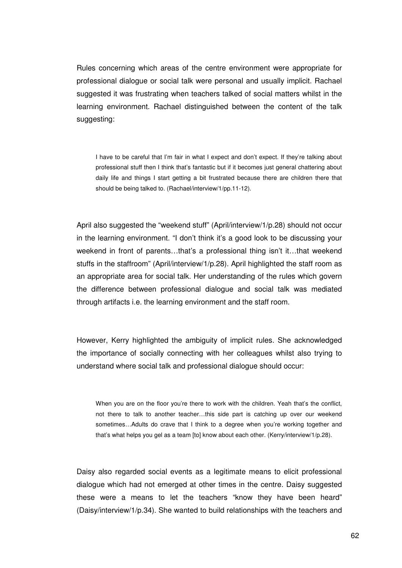Rules concerning which areas of the centre environment were appropriate for professional dialogue or social talk were personal and usually implicit. Rachael suggested it was frustrating when teachers talked of social matters whilst in the learning environment. Rachael distinguished between the content of the talk suggesting:

I have to be careful that I'm fair in what I expect and don't expect. If they're talking about professional stuff then I think that's fantastic but if it becomes just general chattering about daily life and things I start getting a bit frustrated because there are children there that should be being talked to. (Rachael/interview/1/pp.11-12).

April also suggested the "weekend stuff" (April/interview/1/p.28) should not occur in the learning environment. "I don't think it's a good look to be discussing your weekend in front of parents…that's a professional thing isn't it…that weekend stuffs in the staffroom" (April/interview/1/p.28). April highlighted the staff room as an appropriate area for social talk. Her understanding of the rules which govern the difference between professional dialogue and social talk was mediated through artifacts i.e. the learning environment and the staff room.

However, Kerry highlighted the ambiguity of implicit rules. She acknowledged the importance of socially connecting with her colleagues whilst also trying to understand where social talk and professional dialogue should occur:

When you are on the floor you're there to work with the children. Yeah that's the conflict, not there to talk to another teacher…this side part is catching up over our weekend sometimes...Adults do crave that I think to a degree when you're working together and that's what helps you gel as a team [to] know about each other. (Kerry/interview/1/p.28).

Daisy also regarded social events as a legitimate means to elicit professional dialogue which had not emerged at other times in the centre. Daisy suggested these were a means to let the teachers "know they have been heard" (Daisy/interview/1/p.34). She wanted to build relationships with the teachers and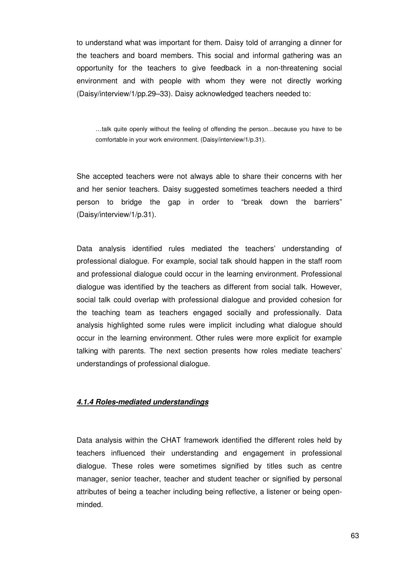to understand what was important for them. Daisy told of arranging a dinner for the teachers and board members. This social and informal gathering was an opportunity for the teachers to give feedback in a non-threatening social environment and with people with whom they were not directly working (Daisy/interview/1/pp.29–33). Daisy acknowledged teachers needed to:

…talk quite openly without the feeling of offending the person…because you have to be comfortable in your work environment. (Daisy/interview/1/p.31).

She accepted teachers were not always able to share their concerns with her and her senior teachers. Daisy suggested sometimes teachers needed a third person to bridge the gap in order to "break down the barriers" (Daisy/interview/1/p.31).

Data analysis identified rules mediated the teachers' understanding of professional dialogue. For example, social talk should happen in the staff room and professional dialogue could occur in the learning environment. Professional dialogue was identified by the teachers as different from social talk. However, social talk could overlap with professional dialogue and provided cohesion for the teaching team as teachers engaged socially and professionally. Data analysis highlighted some rules were implicit including what dialogue should occur in the learning environment. Other rules were more explicit for example talking with parents. The next section presents how roles mediate teachers' understandings of professional dialogue.

#### **4.1.4 Roles-mediated understandings**

Data analysis within the CHAT framework identified the different roles held by teachers influenced their understanding and engagement in professional dialogue. These roles were sometimes signified by titles such as centre manager, senior teacher, teacher and student teacher or signified by personal attributes of being a teacher including being reflective, a listener or being openminded.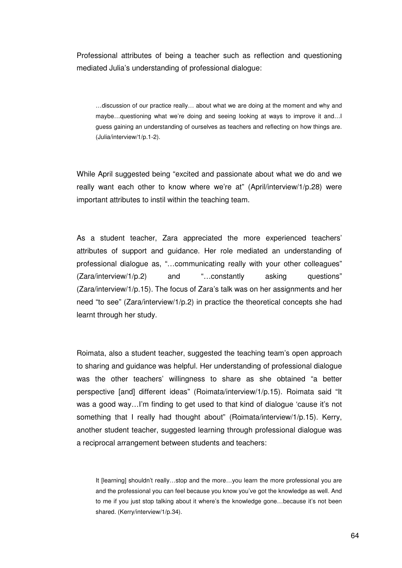Professional attributes of being a teacher such as reflection and questioning mediated Julia's understanding of professional dialogue:

…discussion of our practice really… about what we are doing at the moment and why and maybe…questioning what we're doing and seeing looking at ways to improve it and…I guess gaining an understanding of ourselves as teachers and reflecting on how things are. (Julia/interview/1/p.1-2).

While April suggested being "excited and passionate about what we do and we really want each other to know where we're at" (April/interview/1/p.28) were important attributes to instil within the teaching team.

As a student teacher, Zara appreciated the more experienced teachers' attributes of support and guidance. Her role mediated an understanding of professional dialogue as, "…communicating really with your other colleagues" (Zara/interview/1/p.2) and "…constantly asking questions" (Zara/interview/1/p.15). The focus of Zara's talk was on her assignments and her need "to see" (Zara/interview/1/p.2) in practice the theoretical concepts she had learnt through her study.

Roimata, also a student teacher, suggested the teaching team's open approach to sharing and guidance was helpful. Her understanding of professional dialogue was the other teachers' willingness to share as she obtained "a better perspective [and] different ideas" (Roimata/interview/1/p.15). Roimata said "It was a good way…I'm finding to get used to that kind of dialogue 'cause it's not something that I really had thought about" (Roimata/interview/1/p.15). Kerry, another student teacher, suggested learning through professional dialogue was a reciprocal arrangement between students and teachers:

It [learning] shouldn't really...stop and the more...you learn the more professional you are and the professional you can feel because you know you've got the knowledge as well. And to me if you just stop talking about it where's the knowledge gone…because it's not been shared. (Kerry/interview/1/p.34).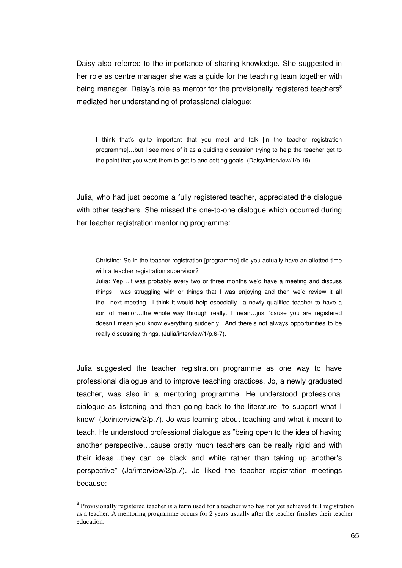Daisy also referred to the importance of sharing knowledge. She suggested in her role as centre manager she was a guide for the teaching team together with being manager. Daisy's role as mentor for the provisionally registered teachers<sup>8</sup> mediated her understanding of professional dialogue:

I think that's quite important that you meet and talk [in the teacher registration programme]…but I see more of it as a guiding discussion trying to help the teacher get to the point that you want them to get to and setting goals. (Daisy/interview/1/p.19).

Julia, who had just become a fully registered teacher, appreciated the dialogue with other teachers. She missed the one-to-one dialogue which occurred during her teacher registration mentoring programme:

Christine: So in the teacher registration [programme] did you actually have an allotted time with a teacher registration supervisor?

Julia: Yep…It was probably every two or three months we'd have a meeting and discuss things I was struggling with or things that I was enjoying and then we'd review it all the…next meeting…I think it would help especially…a newly qualified teacher to have a sort of mentor…the whole way through really. I mean…just 'cause you are registered doesn't mean you know everything suddenly…And there's not always opportunities to be really discussing things. (Julia/interview/1/p.6-7).

Julia suggested the teacher registration programme as one way to have professional dialogue and to improve teaching practices. Jo, a newly graduated teacher, was also in a mentoring programme. He understood professional dialogue as listening and then going back to the literature "to support what I know" (Jo/interview/2/p.7). Jo was learning about teaching and what it meant to teach. He understood professional dialogue as "being open to the idea of having another perspective…cause pretty much teachers can be really rigid and with their ideas…they can be black and white rather than taking up another's perspective" (Jo/interview/2/p.7). Jo liked the teacher registration meetings because:

 $\overline{a}$ 

<sup>&</sup>lt;sup>8</sup> Provisionally registered teacher is a term used for a teacher who has not yet achieved full registration as a teacher. A mentoring programme occurs for 2 years usually after the teacher finishes their teacher education.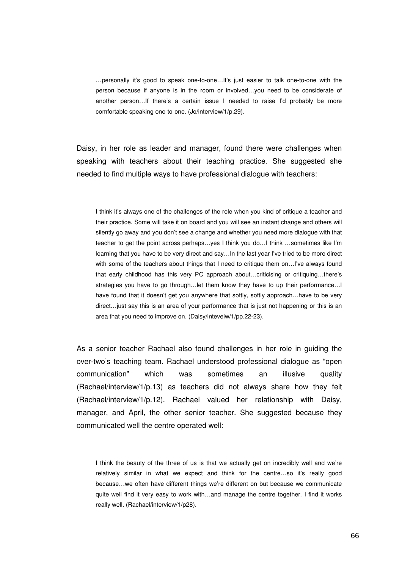…personally it's good to speak one-to-one…It's just easier to talk one-to-one with the person because if anyone is in the room or involved…you need to be considerate of another person…If there's a certain issue I needed to raise I'd probably be more comfortable speaking one-to-one. (Jo/interview/1/p.29).

Daisy, in her role as leader and manager, found there were challenges when speaking with teachers about their teaching practice. She suggested she needed to find multiple ways to have professional dialogue with teachers:

I think it's always one of the challenges of the role when you kind of critique a teacher and their practice. Some will take it on board and you will see an instant change and others will silently go away and you don't see a change and whether you need more dialogue with that teacher to get the point across perhaps…yes I think you do…I think …sometimes like I'm learning that you have to be very direct and say…In the last year I've tried to be more direct with some of the teachers about things that I need to critique them on...I've always found that early childhood has this very PC approach about…criticising or critiquing…there's strategies you have to go through…let them know they have to up their performance…I have found that it doesn't get you anywhere that softly, softly approach...have to be very direct…just say this is an area of your performance that is just not happening or this is an area that you need to improve on. (Daisy/inteveiw/1/pp.22-23).

As a senior teacher Rachael also found challenges in her role in guiding the over-two's teaching team. Rachael understood professional dialogue as "open communication" which was sometimes an illusive quality (Rachael/interview/1/p.13) as teachers did not always share how they felt (Rachael/interview/1/p.12). Rachael valued her relationship with Daisy, manager, and April, the other senior teacher. She suggested because they communicated well the centre operated well:

I think the beauty of the three of us is that we actually get on incredibly well and we're relatively similar in what we expect and think for the centre…so it's really good because…we often have different things we're different on but because we communicate quite well find it very easy to work with…and manage the centre together. I find it works really well. (Rachael/interview/1/p28).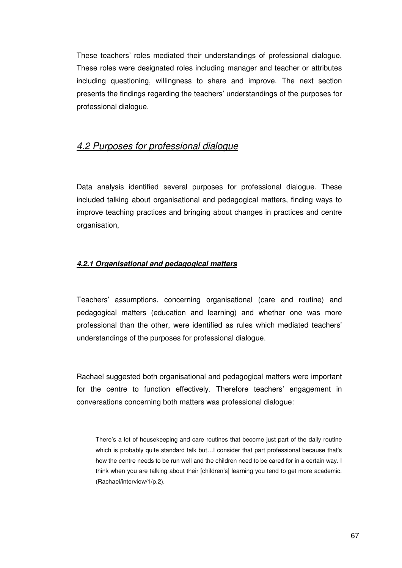These teachers' roles mediated their understandings of professional dialogue. These roles were designated roles including manager and teacher or attributes including questioning, willingness to share and improve. The next section presents the findings regarding the teachers' understandings of the purposes for professional dialogue.

# 4.2 Purposes for professional dialogue

Data analysis identified several purposes for professional dialogue. These included talking about organisational and pedagogical matters, finding ways to improve teaching practices and bringing about changes in practices and centre organisation,

### **4.2.1 Organisational and pedagogical matters**

Teachers' assumptions, concerning organisational (care and routine) and pedagogical matters (education and learning) and whether one was more professional than the other, were identified as rules which mediated teachers' understandings of the purposes for professional dialogue.

Rachael suggested both organisational and pedagogical matters were important for the centre to function effectively. Therefore teachers' engagement in conversations concerning both matters was professional dialogue:

There's a lot of housekeeping and care routines that become just part of the daily routine which is probably quite standard talk but...I consider that part professional because that's how the centre needs to be run well and the children need to be cared for in a certain way. I think when you are talking about their [children's] learning you tend to get more academic. (Rachael/interview/1/p.2).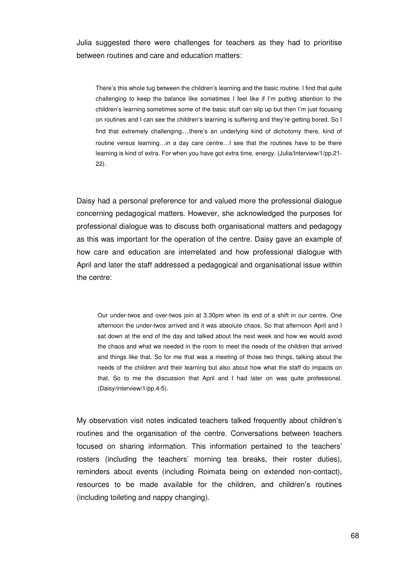Julia suggested there were challenges for teachers as they had to prioritise between routines and care and education matters:

There's this whole tug between the children's learning and the basic routine. I find that quite challenging to keep the balance like sometimes I feel like if I'm putting attention to the children's learning sometimes some of the basic stuff can slip up but then I'm just focusing on routines and I can see the children's learning is suffering and they're getting bored. So I find that extremely challenging…there's an underlying kind of dichotomy there, kind of routine versus learning…in a day care centre…I see that the routines have to be there learning is kind of extra. For when you have got extra time, energy. (Julia/Interview/1/pp.21- 22).

Daisy had a personal preference for and valued more the professional dialogue concerning pedagogical matters. However, she acknowledged the purposes for professional dialogue was to discuss both organisational matters and pedagogy as this was important for the operation of the centre. Daisy gave an example of how care and education are interrelated and how professional dialogue with April and later the staff addressed a pedagogical and organisational issue within the centre:

Our under-twos and over-twos join at 3.30pm when its end of a shift in our centre. One afternoon the under-twos arrived and it was absolute chaos. So that afternoon April and I sat down at the end of the day and talked about the next week and how we would avoid the chaos and what we needed in the room to meet the needs of the children that arrived and things like that. So for me that was a meeting of those two things, talking about the needs of the children and their learning but also about how what the staff do impacts on that. So to me the discussion that April and I had later on was quite professional. (Daisy/interview/1/pp.4-5).

My observation visit notes indicated teachers talked frequently about children's routines and the organisation of the centre. Conversations between teachers focused on sharing information. This information pertained to the teachers' rosters (including the teachers' morning tea breaks, their roster duties), reminders about events (including Roimata being on extended non-contact), resources to be made available for the children, and children's routines (including toileting and nappy changing).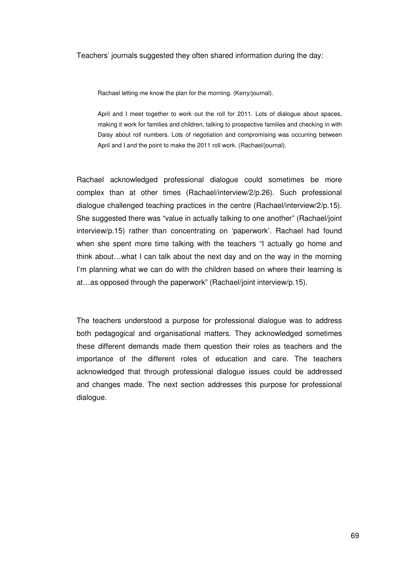Teachers' journals suggested they often shared information during the day:

Rachael letting me know the plan for the morning. (Kerry/journal).

April and I meet together to work out the roll for 2011. Lots of dialogue about spaces, making it work for families and children, talking to prospective families and checking in with Daisy about roll numbers. Lots of negotiation and compromising was occurring between April and I and the point to make the 2011 roll work. (Rachael/journal).

Rachael acknowledged professional dialogue could sometimes be more complex than at other times (Rachael/interview/2/p.26). Such professional dialogue challenged teaching practices in the centre (Rachael/interview/2/p.15). She suggested there was "value in actually talking to one another" (Rachael/joint interview/p.15) rather than concentrating on 'paperwork'. Rachael had found when she spent more time talking with the teachers "I actually go home and think about…what I can talk about the next day and on the way in the morning I'm planning what we can do with the children based on where their learning is at…as opposed through the paperwork" (Rachael/joint interview/p.15).

The teachers understood a purpose for professional dialogue was to address both pedagogical and organisational matters. They acknowledged sometimes these different demands made them question their roles as teachers and the importance of the different roles of education and care. The teachers acknowledged that through professional dialogue issues could be addressed and changes made. The next section addresses this purpose for professional dialogue.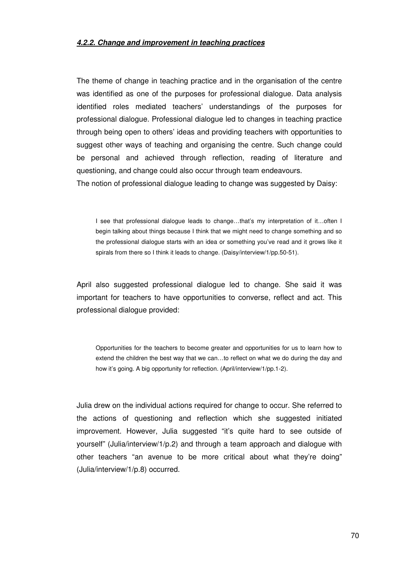#### **4.2.2. Change and improvement in teaching practices**

The theme of change in teaching practice and in the organisation of the centre was identified as one of the purposes for professional dialogue. Data analysis identified roles mediated teachers' understandings of the purposes for professional dialogue. Professional dialogue led to changes in teaching practice through being open to others' ideas and providing teachers with opportunities to suggest other ways of teaching and organising the centre. Such change could be personal and achieved through reflection, reading of literature and questioning, and change could also occur through team endeavours.

The notion of professional dialogue leading to change was suggested by Daisy:

I see that professional dialogue leads to change…that's my interpretation of it…often I begin talking about things because I think that we might need to change something and so the professional dialogue starts with an idea or something you've read and it grows like it spirals from there so I think it leads to change. (Daisy/interview/1/pp.50-51).

April also suggested professional dialogue led to change. She said it was important for teachers to have opportunities to converse, reflect and act. This professional dialogue provided:

Opportunities for the teachers to become greater and opportunities for us to learn how to extend the children the best way that we can…to reflect on what we do during the day and how it's going. A big opportunity for reflection. (April/interview/1/pp.1-2).

Julia drew on the individual actions required for change to occur. She referred to the actions of questioning and reflection which she suggested initiated improvement. However, Julia suggested "it's quite hard to see outside of yourself" (Julia/interview/1/p.2) and through a team approach and dialogue with other teachers "an avenue to be more critical about what they're doing" (Julia/interview/1/p.8) occurred.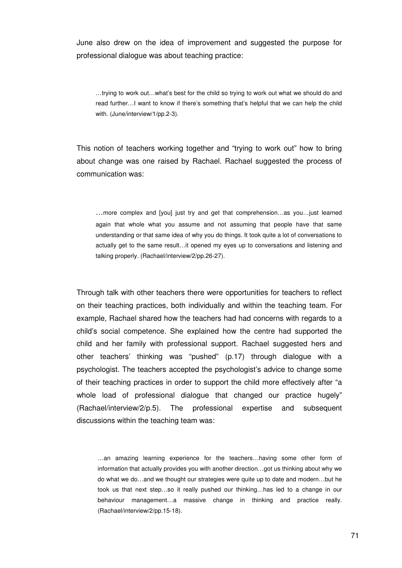June also drew on the idea of improvement and suggested the purpose for professional dialogue was about teaching practice:

…trying to work out…what's best for the child so trying to work out what we should do and read further…I want to know if there's something that's helpful that we can help the child with. (June/interview/1/pp.2-3).

This notion of teachers working together and "trying to work out" how to bring about change was one raised by Rachael. Rachael suggested the process of communication was:

…more complex and [you] just try and get that comprehension…as you…just learned again that whole what you assume and not assuming that people have that same understanding or that same idea of why you do things. It took quite a lot of conversations to actually get to the same result…it opened my eyes up to conversations and listening and talking properly. (Rachael/interview/2/pp.26-27).

Through talk with other teachers there were opportunities for teachers to reflect on their teaching practices, both individually and within the teaching team. For example, Rachael shared how the teachers had had concerns with regards to a child's social competence. She explained how the centre had supported the child and her family with professional support. Rachael suggested hers and other teachers' thinking was "pushed" (p.17) through dialogue with a psychologist. The teachers accepted the psychologist's advice to change some of their teaching practices in order to support the child more effectively after "a whole load of professional dialogue that changed our practice hugely" (Rachael/interview/2/p.5). The professional expertise and subsequent discussions within the teaching team was:

…an amazing learning experience for the teachers…having some other form of information that actually provides you with another direction…got us thinking about why we do what we do…and we thought our strategies were quite up to date and modern…but he took us that next step…so it really pushed our thinking…has led to a change in our behaviour management…a massive change in thinking and practice really. (Rachael/interview/2/pp.15-18).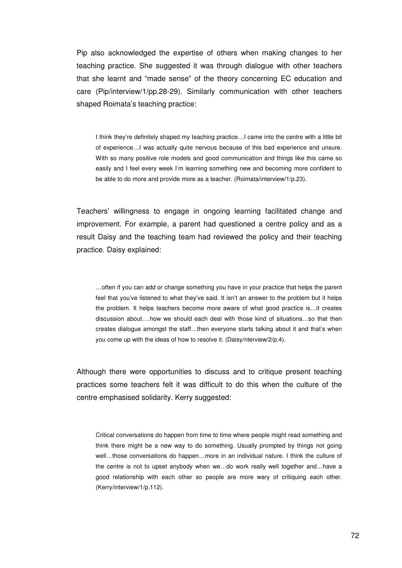Pip also acknowledged the expertise of others when making changes to her teaching practice. She suggested it was through dialogue with other teachers that she learnt and "made sense" of the theory concerning EC education and care (Pip/interview/1/pp.28-29). Similarly communication with other teachers shaped Roimata's teaching practice:

I think they're definitely shaped my teaching practice…I came into the centre with a little bit of experience…I was actually quite nervous because of this bad experience and unsure. With so many positive role models and good communication and things like this came so easily and I feel every week I'm learning something new and becoming more confident to be able to do more and provide more as a teacher. (Roimata/interview/1/p.23).

Teachers' willingness to engage in ongoing learning facilitated change and improvement. For example, a parent had questioned a centre policy and as a result Daisy and the teaching team had reviewed the policy and their teaching practice. Daisy explained:

…often if you can add or change something you have in your practice that helps the parent feel that you've listened to what they've said. It isn't an answer to the problem but it helps the problem. It helps teachers become more aware of what good practice is…it creates discussion about….how we should each deal with those kind of situations…so that then creates dialogue amongst the staff…then everyone starts talking about it and that's when you come up with the ideas of how to resolve it. (Daisy/nterview/2/p.4).

Although there were opportunities to discuss and to critique present teaching practices some teachers felt it was difficult to do this when the culture of the centre emphasised solidarity. Kerry suggested:

Critical conversations do happen from time to time where people might read something and think there might be a new way to do something. Usually prompted by things not going well…those conversations do happen…more in an individual nature. I think the culture of the centre is not to upset anybody when we…do work really well together and…have a good relationship with each other so people are more wary of critiquing each other. (Kerry/interview/1/p.112).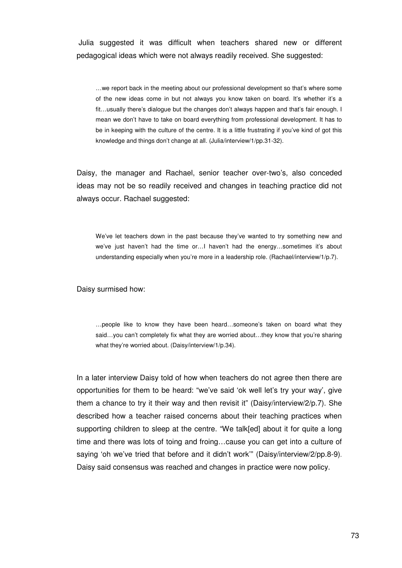Julia suggested it was difficult when teachers shared new or different pedagogical ideas which were not always readily received. She suggested:

…we report back in the meeting about our professional development so that's where some of the new ideas come in but not always you know taken on board. It's whether it's a fit…usually there's dialogue but the changes don't always happen and that's fair enough. I mean we don't have to take on board everything from professional development. It has to be in keeping with the culture of the centre. It is a little frustrating if you've kind of got this knowledge and things don't change at all. (Julia/interview/1/pp.31-32).

Daisy, the manager and Rachael, senior teacher over-two's, also conceded ideas may not be so readily received and changes in teaching practice did not always occur. Rachael suggested:

We've let teachers down in the past because they've wanted to try something new and we've just haven't had the time or…I haven't had the energy…sometimes it's about understanding especially when you're more in a leadership role. (Rachael/interview/1/p.7).

#### Daisy surmised how:

…people like to know they have been heard…someone's taken on board what they said...you can't completely fix what they are worried about...they know that you're sharing what they're worried about. (Daisy/interview/1/p.34).

In a later interview Daisy told of how when teachers do not agree then there are opportunities for them to be heard: "we've said 'ok well let's try your way', give them a chance to try it their way and then revisit it" (Daisy/interview/2/p.7). She described how a teacher raised concerns about their teaching practices when supporting children to sleep at the centre. "We talk[ed] about it for quite a long time and there was lots of toing and froing…cause you can get into a culture of saying 'oh we've tried that before and it didn't work'" (Daisy/interview/2/pp.8-9). Daisy said consensus was reached and changes in practice were now policy.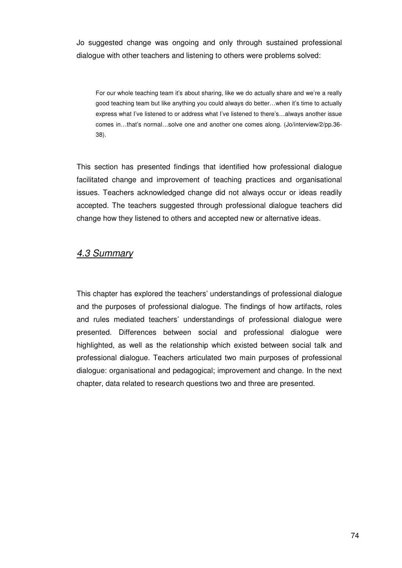Jo suggested change was ongoing and only through sustained professional dialogue with other teachers and listening to others were problems solved:

For our whole teaching team it's about sharing, like we do actually share and we're a really good teaching team but like anything you could always do better…when it's time to actually express what I've listened to or address what I've listened to there's…always another issue comes in…that's normal…solve one and another one comes along. (Jo/interview/2/pp.36- 38).

This section has presented findings that identified how professional dialogue facilitated change and improvement of teaching practices and organisational issues. Teachers acknowledged change did not always occur or ideas readily accepted. The teachers suggested through professional dialogue teachers did change how they listened to others and accepted new or alternative ideas.

## 4.3 Summary

This chapter has explored the teachers' understandings of professional dialogue and the purposes of professional dialogue. The findings of how artifacts, roles and rules mediated teachers' understandings of professional dialogue were presented. Differences between social and professional dialogue were highlighted, as well as the relationship which existed between social talk and professional dialogue. Teachers articulated two main purposes of professional dialogue: organisational and pedagogical; improvement and change. In the next chapter, data related to research questions two and three are presented.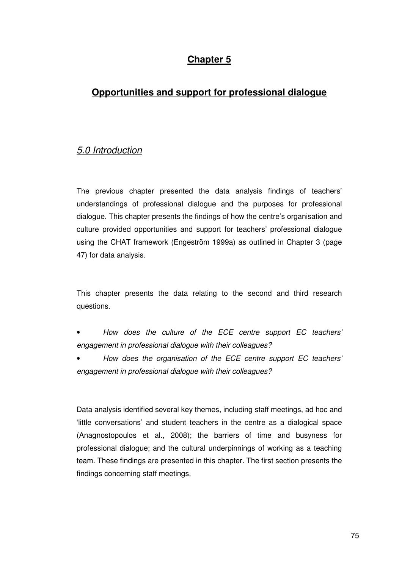# **Chapter 5**

# **Opportunities and support for professional dialogue**

# 5.0 Introduction

The previous chapter presented the data analysis findings of teachers' understandings of professional dialogue and the purposes for professional dialogue. This chapter presents the findings of how the centre's organisation and culture provided opportunities and support for teachers' professional dialogue using the CHAT framework (Engeström 1999a) as outlined in Chapter 3 (page 47) for data analysis.

This chapter presents the data relating to the second and third research questions.

- How does the culture of the ECE centre support EC teachers' engagement in professional dialogue with their colleagues?
- How does the organisation of the ECE centre support EC teachers' engagement in professional dialogue with their colleagues?

Data analysis identified several key themes, including staff meetings, ad hoc and 'little conversations' and student teachers in the centre as a dialogical space (Anagnostopoulos et al., 2008); the barriers of time and busyness for professional dialogue; and the cultural underpinnings of working as a teaching team. These findings are presented in this chapter. The first section presents the findings concerning staff meetings.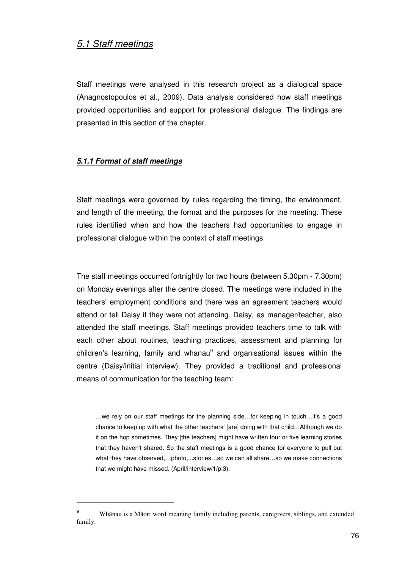## 5.1 Staff meetings

Staff meetings were analysed in this research project as a dialogical space (Anagnostopoulos et al., 2009). Data analysis considered how staff meetings provided opportunities and support for professional dialogue. The findings are presented in this section of the chapter.

### **5.1.1 Format of staff meetings**

 $\overline{a}$ 

Staff meetings were governed by rules regarding the timing, the environment, and length of the meeting, the format and the purposes for the meeting. These rules identified when and how the teachers had opportunities to engage in professional dialogue within the context of staff meetings.

The staff meetings occurred fortnightly for two hours (between 5.30pm - 7.30pm) on Monday evenings after the centre closed. The meetings were included in the teachers' employment conditions and there was an agreement teachers would attend or tell Daisy if they were not attending. Daisy, as manager/teacher, also attended the staff meetings. Staff meetings provided teachers time to talk with each other about routines, teaching practices, assessment and planning for children's learning, family and whanau<sup>9</sup> and organisational issues within the centre (Daisy/initial interview). They provided a traditional and professional means of communication for the teaching team:

…we rely on our staff meetings for the planning side…for keeping in touch…it's a good chance to keep up with what the other teachers' [are] doing with that child…Although we do it on the hop sometimes. They [the teachers] might have written four or five learning stories that they haven't shared. So the staff meetings is a good chance for everyone to pull out what they have observed,…photo,...stories…so we can all share…so we make connections that we might have missed. (April/interview/1/p.3).

<sup>9</sup> Whānau is a Māori word meaning family including parents, caregivers, siblings, and extended family.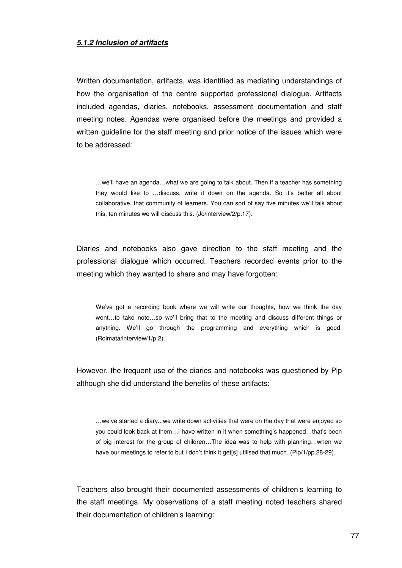#### **5.1.2 Inclusion of artifacts**

Written documentation, artifacts, was identified as mediating understandings of how the organisation of the centre supported professional dialogue. Artifacts included agendas, diaries, notebooks, assessment documentation and staff meeting notes. Agendas were organised before the meetings and provided a written guideline for the staff meeting and prior notice of the issues which were to be addressed:

…we'll have an agenda…what we are going to talk about. Then if a teacher has something they would like to …discuss, write it down on the agenda. So it's better all about collaborative, that community of learners. You can sort of say five minutes we'll talk about this, ten minutes we will discuss this. (Jo/interview/2/p.17).

Diaries and notebooks also gave direction to the staff meeting and the professional dialogue which occurred. Teachers recorded events prior to the meeting which they wanted to share and may have forgotten:

We've got a recording book where we will write our thoughts, how we think the day went…to take note…so we'll bring that to the meeting and discuss different things or anything. We'll go through the programming and everything which is good. (Roimata/interview/1/p.2).

However, the frequent use of the diaries and notebooks was questioned by Pip although she did understand the benefits of these artifacts:

…we've started a diary...we write down activities that were on the day that were enjoyed so you could look back at them…I have written in it when something's happened…that's been of big interest for the group of children…The idea was to help with planning…when we have our meetings to refer to but I don't think it get[s] utilised that much. (Pip/1/pp.28-29).

Teachers also brought their documented assessments of children's learning to the staff meetings. My observations of a staff meeting noted teachers shared their documentation of children's learning: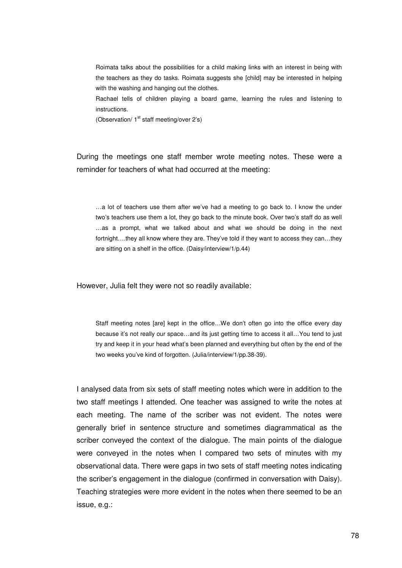Roimata talks about the possibilities for a child making links with an interest in being with the teachers as they do tasks. Roimata suggests she [child] may be interested in helping with the washing and hanging out the clothes.

Rachael tells of children playing a board game, learning the rules and listening to instructions.

(Observation/ 1<sup>st</sup> staff meeting/over 2's)

During the meetings one staff member wrote meeting notes. These were a reminder for teachers of what had occurred at the meeting:

…a lot of teachers use them after we've had a meeting to go back to. I know the under two's teachers use them a lot, they go back to the minute book. Over two's staff do as well …as a prompt, what we talked about and what we should be doing in the next fortnight….they all know where they are. They've told if they want to access they can…they are sitting on a shelf in the office. (Daisy/interview/1/p.44)

However, Julia felt they were not so readily available:

Staff meeting notes [are] kept in the office…We don't often go into the office every day because it's not really our space…and its just getting time to access it all…You tend to just try and keep it in your head what's been planned and everything but often by the end of the two weeks you've kind of forgotten. (Julia/interview/1/pp.38-39).

I analysed data from six sets of staff meeting notes which were in addition to the two staff meetings I attended. One teacher was assigned to write the notes at each meeting. The name of the scriber was not evident. The notes were generally brief in sentence structure and sometimes diagrammatical as the scriber conveyed the context of the dialogue. The main points of the dialogue were conveyed in the notes when I compared two sets of minutes with my observational data. There were gaps in two sets of staff meeting notes indicating the scriber's engagement in the dialogue (confirmed in conversation with Daisy). Teaching strategies were more evident in the notes when there seemed to be an issue, e.g.: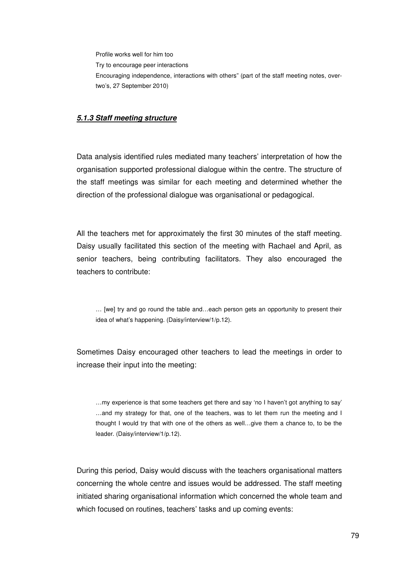Profile works well for him too Try to encourage peer interactions Encouraging independence, interactions with others" (part of the staff meeting notes, overtwo's, 27 September 2010)

#### **5.1.3 Staff meeting structure**

Data analysis identified rules mediated many teachers' interpretation of how the organisation supported professional dialogue within the centre. The structure of the staff meetings was similar for each meeting and determined whether the direction of the professional dialogue was organisational or pedagogical.

All the teachers met for approximately the first 30 minutes of the staff meeting. Daisy usually facilitated this section of the meeting with Rachael and April, as senior teachers, being contributing facilitators. They also encouraged the teachers to contribute:

… [we] try and go round the table and…each person gets an opportunity to present their idea of what's happening. (Daisy/interview/1/p.12).

Sometimes Daisy encouraged other teachers to lead the meetings in order to increase their input into the meeting:

…my experience is that some teachers get there and say 'no I haven't got anything to say' …and my strategy for that, one of the teachers, was to let them run the meeting and I thought I would try that with one of the others as well…give them a chance to, to be the leader. (Daisy/interview/1/p.12).

During this period, Daisy would discuss with the teachers organisational matters concerning the whole centre and issues would be addressed. The staff meeting initiated sharing organisational information which concerned the whole team and which focused on routines, teachers' tasks and up coming events: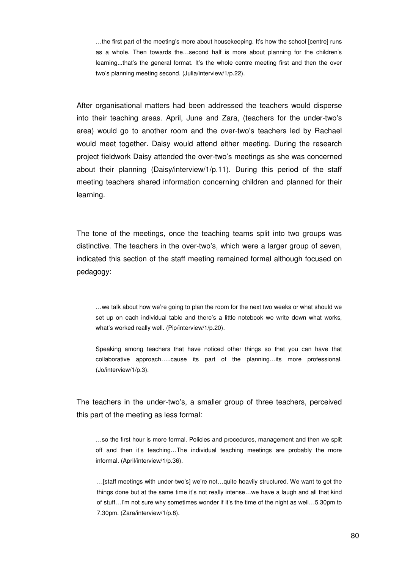…the first part of the meeting's more about housekeeping. It's how the school [centre] runs as a whole. Then towards the…second half is more about planning for the children's learning...that's the general format. It's the whole centre meeting first and then the over two's planning meeting second. (Julia/interview/1/p.22).

After organisational matters had been addressed the teachers would disperse into their teaching areas. April, June and Zara, (teachers for the under-two's area) would go to another room and the over-two's teachers led by Rachael would meet together. Daisy would attend either meeting. During the research project fieldwork Daisy attended the over-two's meetings as she was concerned about their planning (Daisy/interview/1/p.11). During this period of the staff meeting teachers shared information concerning children and planned for their learning.

The tone of the meetings, once the teaching teams split into two groups was distinctive. The teachers in the over-two's, which were a larger group of seven, indicated this section of the staff meeting remained formal although focused on pedagogy:

…we talk about how we're going to plan the room for the next two weeks or what should we set up on each individual table and there's a little notebook we write down what works, what's worked really well. (Pip/interview/1/p.20).

Speaking among teachers that have noticed other things so that you can have that collaborative approach…..cause its part of the planning…its more professional. (Jo/interview/1/p.3).

The teachers in the under-two's, a smaller group of three teachers, perceived this part of the meeting as less formal:

…so the first hour is more formal. Policies and procedures, management and then we split off and then it's teaching…The individual teaching meetings are probably the more informal. (April/interview/1/p.36).

…[staff meetings with under-two's] we're not…quite heavily structured. We want to get the things done but at the same time it's not really intense…we have a laugh and all that kind of stuff…I'm not sure why sometimes wonder if it's the time of the night as well…5.30pm to 7.30pm. (Zara/interview/1/p.8).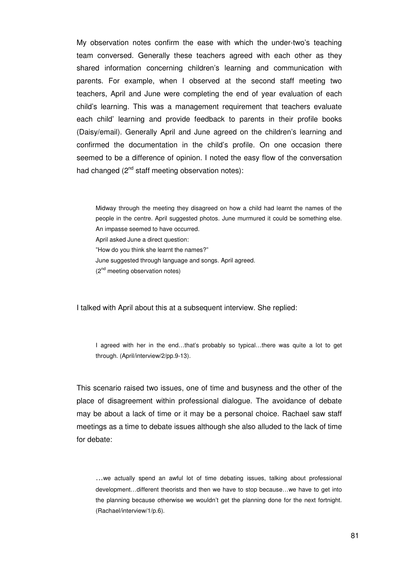My observation notes confirm the ease with which the under-two's teaching team conversed. Generally these teachers agreed with each other as they shared information concerning children's learning and communication with parents. For example, when I observed at the second staff meeting two teachers, April and June were completing the end of year evaluation of each child's learning. This was a management requirement that teachers evaluate each child' learning and provide feedback to parents in their profile books (Daisy/email). Generally April and June agreed on the children's learning and confirmed the documentation in the child's profile. On one occasion there seemed to be a difference of opinion. I noted the easy flow of the conversation had changed  $(2^{nd}$  staff meeting observation notes):

Midway through the meeting they disagreed on how a child had learnt the names of the people in the centre. April suggested photos. June murmured it could be something else. An impasse seemed to have occurred.

April asked June a direct question:

"How do you think she learnt the names?"

June suggested through language and songs. April agreed.

(2<sup>nd</sup> meeting observation notes)

I talked with April about this at a subsequent interview. She replied:

I agreed with her in the end...that's probably so typical...there was quite a lot to get through. (April/interview/2/pp.9-13).

This scenario raised two issues, one of time and busyness and the other of the place of disagreement within professional dialogue. The avoidance of debate may be about a lack of time or it may be a personal choice. Rachael saw staff meetings as a time to debate issues although she also alluded to the lack of time for debate:

…we actually spend an awful lot of time debating issues, talking about professional development…different theorists and then we have to stop because…we have to get into the planning because otherwise we wouldn't get the planning done for the next fortnight. (Rachael/interview/1/p.6).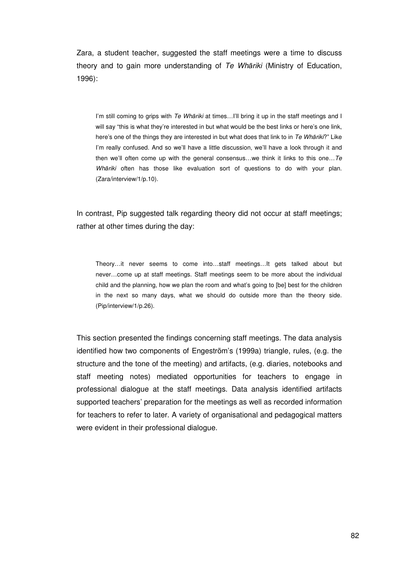Zara, a student teacher, suggested the staff meetings were a time to discuss theory and to gain more understanding of Te Whāriki (Ministry of Education, 1996):

I'm still coming to grips with Te Whāriki at times... I'll bring it up in the staff meetings and I will say "this is what they're interested in but what would be the best links or here's one link, here's one of the things they are interested in but what does that link to in Te Whāriki?" Like I'm really confused. And so we'll have a little discussion, we'll have a look through it and then we'll often come up with the general consensus…we think it links to this one…Te Whāriki often has those like evaluation sort of questions to do with your plan. (Zara/interview/1/p.10).

In contrast, Pip suggested talk regarding theory did not occur at staff meetings; rather at other times during the day:

Theory…it never seems to come into…staff meetings…It gets talked about but never…come up at staff meetings. Staff meetings seem to be more about the individual child and the planning, how we plan the room and what's going to [be] best for the children in the next so many days, what we should do outside more than the theory side. (Pip/interview/1/p.26).

This section presented the findings concerning staff meetings. The data analysis identified how two components of Engeström's (1999a) triangle, rules, (e.g. the structure and the tone of the meeting) and artifacts, (e.g. diaries, notebooks and staff meeting notes) mediated opportunities for teachers to engage in professional dialogue at the staff meetings. Data analysis identified artifacts supported teachers' preparation for the meetings as well as recorded information for teachers to refer to later. A variety of organisational and pedagogical matters were evident in their professional dialogue.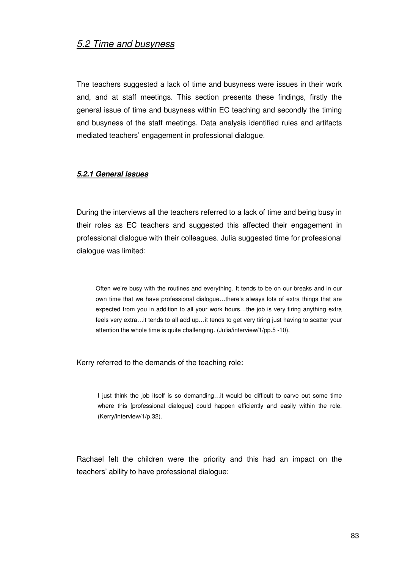## 5.2 Time and busyness

The teachers suggested a lack of time and busyness were issues in their work and, and at staff meetings. This section presents these findings, firstly the general issue of time and busyness within EC teaching and secondly the timing and busyness of the staff meetings. Data analysis identified rules and artifacts mediated teachers' engagement in professional dialogue.

### **5.2.1 General issues**

During the interviews all the teachers referred to a lack of time and being busy in their roles as EC teachers and suggested this affected their engagement in professional dialogue with their colleagues. Julia suggested time for professional dialogue was limited:

Often we're busy with the routines and everything. It tends to be on our breaks and in our own time that we have professional dialogue…there's always lots of extra things that are expected from you in addition to all your work hours…the job is very tiring anything extra feels very extra…it tends to all add up…it tends to get very tiring just having to scatter your attention the whole time is quite challenging. (Julia/interview/1/pp.5 -10).

Kerry referred to the demands of the teaching role:

I just think the job itself is so demanding…it would be difficult to carve out some time where this [professional dialogue] could happen efficiently and easily within the role. (Kerry/interview/1/p.32).

Rachael felt the children were the priority and this had an impact on the teachers' ability to have professional dialogue: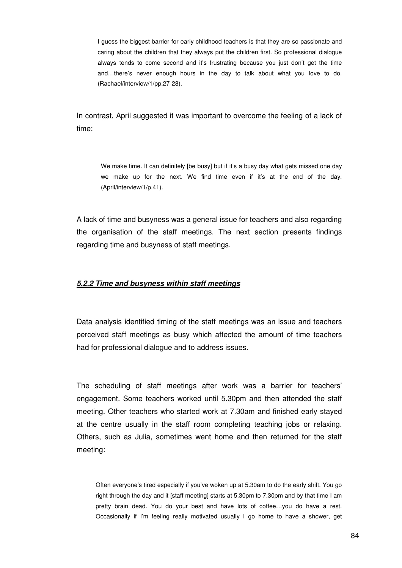I guess the biggest barrier for early childhood teachers is that they are so passionate and caring about the children that they always put the children first. So professional dialogue always tends to come second and it's frustrating because you just don't get the time and…there's never enough hours in the day to talk about what you love to do. (Rachael/interview/1/pp.27-28).

In contrast, April suggested it was important to overcome the feeling of a lack of time:

We make time. It can definitely [be busy] but if it's a busy day what gets missed one day we make up for the next. We find time even if it's at the end of the day. (April/interview/1/p.41).

A lack of time and busyness was a general issue for teachers and also regarding the organisation of the staff meetings. The next section presents findings regarding time and busyness of staff meetings.

#### **5.2.2 Time and busyness within staff meetings**

Data analysis identified timing of the staff meetings was an issue and teachers perceived staff meetings as busy which affected the amount of time teachers had for professional dialogue and to address issues.

The scheduling of staff meetings after work was a barrier for teachers' engagement. Some teachers worked until 5.30pm and then attended the staff meeting. Other teachers who started work at 7.30am and finished early stayed at the centre usually in the staff room completing teaching jobs or relaxing. Others, such as Julia, sometimes went home and then returned for the staff meeting:

Often everyone's tired especially if you've woken up at 5.30am to do the early shift. You go right through the day and it [staff meeting] starts at 5.30pm to 7.30pm and by that time I am pretty brain dead. You do your best and have lots of coffee…you do have a rest. Occasionally if I'm feeling really motivated usually I go home to have a shower, get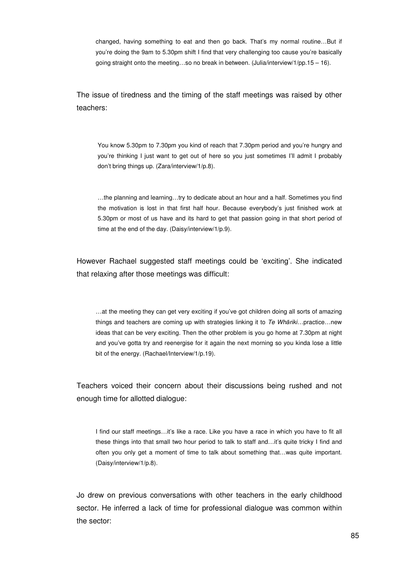changed, having something to eat and then go back. That's my normal routine…But if you're doing the 9am to 5.30pm shift I find that very challenging too cause you're basically going straight onto the meeting…so no break in between. (Julia/interview/1/pp.15 – 16).

The issue of tiredness and the timing of the staff meetings was raised by other teachers:

You know 5.30pm to 7.30pm you kind of reach that 7.30pm period and you're hungry and you're thinking I just want to get out of here so you just sometimes I'll admit I probably don't bring things up. (Zara/interview/1/p.8).

…the planning and learning…try to dedicate about an hour and a half. Sometimes you find the motivation is lost in that first half hour. Because everybody's just finished work at 5.30pm or most of us have and its hard to get that passion going in that short period of time at the end of the day. (Daisy/interview/1/p.9).

However Rachael suggested staff meetings could be 'exciting'. She indicated that relaxing after those meetings was difficult:

…at the meeting they can get very exciting if you've got children doing all sorts of amazing things and teachers are coming up with strategies linking it to Te Whāriki...practice...new ideas that can be very exciting. Then the other problem is you go home at 7.30pm at night and you've gotta try and reenergise for it again the next morning so you kinda lose a little bit of the energy. (Rachael/Interview/1/p.19).

Teachers voiced their concern about their discussions being rushed and not enough time for allotted dialogue:

I find our staff meetings…it's like a race. Like you have a race in which you have to fit all these things into that small two hour period to talk to staff and…it's quite tricky I find and often you only get a moment of time to talk about something that…was quite important. (Daisy/interview/1/p.8).

Jo drew on previous conversations with other teachers in the early childhood sector. He inferred a lack of time for professional dialogue was common within the sector: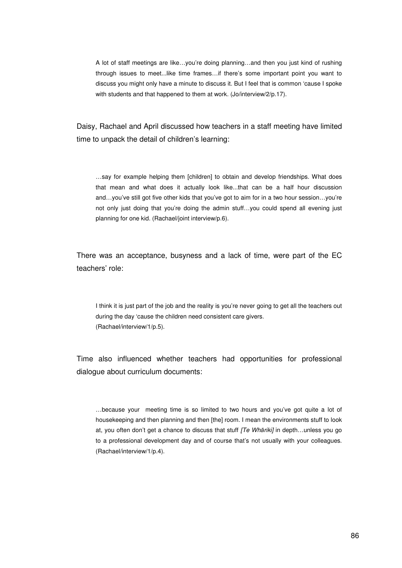A lot of staff meetings are like…you're doing planning…and then you just kind of rushing through issues to meet...like time frames…if there's some important point you want to discuss you might only have a minute to discuss it. But I feel that is common 'cause I spoke with students and that happened to them at work. (Jo/interview/2/p.17).

Daisy, Rachael and April discussed how teachers in a staff meeting have limited time to unpack the detail of children's learning:

…say for example helping them [children] to obtain and develop friendships. What does that mean and what does it actually look like...that can be a half hour discussion and…you've still got five other kids that you've got to aim for in a two hour session…you're not only just doing that you're doing the admin stuff...you could spend all evening just planning for one kid. (Rachael/joint interview/p.6).

There was an acceptance, busyness and a lack of time, were part of the EC teachers' role:

I think it is just part of the job and the reality is you're never going to get all the teachers out during the day 'cause the children need consistent care givers. (Rachael/interview/1/p.5).

Time also influenced whether teachers had opportunities for professional dialogue about curriculum documents:

…because your meeting time is so limited to two hours and you've got quite a lot of housekeeping and then planning and then [the] room. I mean the environments stuff to look at, you often don't get a chance to discuss that stuff  $\overline{I}$  Wharikij in depth...unless you go to a professional development day and of course that's not usually with your colleagues. (Rachael/interview/1/p.4).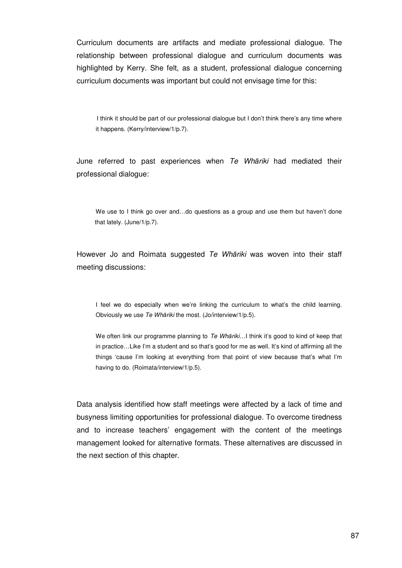Curriculum documents are artifacts and mediate professional dialogue. The relationship between professional dialogue and curriculum documents was highlighted by Kerry. She felt, as a student, professional dialogue concerning curriculum documents was important but could not envisage time for this:

I think it should be part of our professional dialogue but I don't think there's any time where it happens. (Kerry/interview/1/p.7).

June referred to past experiences when Te Whariki had mediated their professional dialogue:

We use to I think go over and...do questions as a group and use them but haven't done that lately. (June/1/p.7).

However Jo and Roimata suggested Te Whariki was woven into their staff meeting discussions:

I feel we do especially when we're linking the curriculum to what's the child learning. Obviously we use Te Whāriki the most. (Jo/interview/1/p.5).

We often link our programme planning to Te Whariki...I think it's good to kind of keep that in practice…Like I'm a student and so that's good for me as well. It's kind of affirming all the things 'cause I'm looking at everything from that point of view because that's what I'm having to do. (Roimata/interview/1/p.5).

Data analysis identified how staff meetings were affected by a lack of time and busyness limiting opportunities for professional dialogue. To overcome tiredness and to increase teachers' engagement with the content of the meetings management looked for alternative formats. These alternatives are discussed in the next section of this chapter.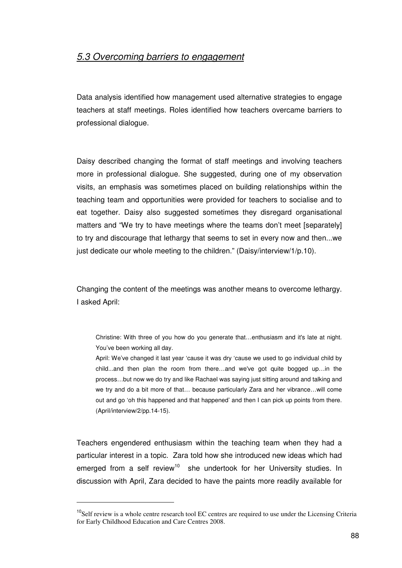## 5.3 Overcoming barriers to engagement

Data analysis identified how management used alternative strategies to engage teachers at staff meetings. Roles identified how teachers overcame barriers to professional dialogue.

Daisy described changing the format of staff meetings and involving teachers more in professional dialogue. She suggested, during one of my observation visits, an emphasis was sometimes placed on building relationships within the teaching team and opportunities were provided for teachers to socialise and to eat together. Daisy also suggested sometimes they disregard organisational matters and "We try to have meetings where the teams don't meet [separately] to try and discourage that lethargy that seems to set in every now and then...we just dedicate our whole meeting to the children." (Daisy/interview/1/p.10).

Changing the content of the meetings was another means to overcome lethargy. I asked April:

Teachers engendered enthusiasm within the teaching team when they had a particular interest in a topic. Zara told how she introduced new ideas which had emerged from a self review<sup>10</sup> she undertook for her University studies. In discussion with April, Zara decided to have the paints more readily available for

 $\overline{a}$ 

Christine: With three of you how do you generate that…enthusiasm and it's late at night. You've been working all day.

April: We've changed it last year 'cause it was dry 'cause we used to go individual child by child...and then plan the room from there…and we've got quite bogged up…in the process…but now we do try and like Rachael was saying just sitting around and talking and we try and do a bit more of that… because particularly Zara and her vibrance…will come out and go 'oh this happened and that happened' and then I can pick up points from there. (April/interview/2/pp.14-15).

<sup>&</sup>lt;sup>10</sup>Self review is a whole centre research tool EC centres are required to use under the Licensing Criteria for Early Childhood Education and Care Centres 2008.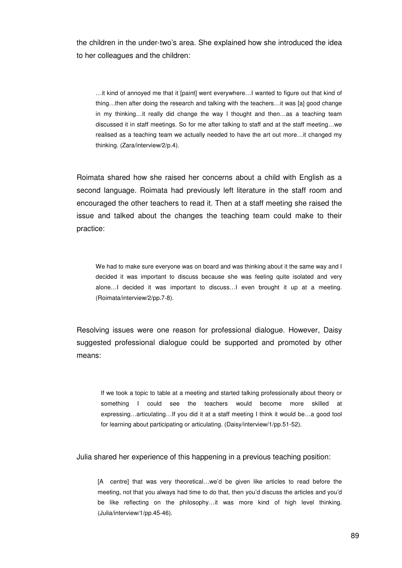the children in the under-two's area. She explained how she introduced the idea to her colleagues and the children:

…it kind of annoyed me that it [paint] went everywhere…I wanted to figure out that kind of thing…then after doing the research and talking with the teachers…it was [a] good change in my thinking…it really did change the way I thought and then…as a teaching team discussed it in staff meetings. So for me after talking to staff and at the staff meeting…we realised as a teaching team we actually needed to have the art out more…it changed my thinking. (Zara/interview/2/p.4).

Roimata shared how she raised her concerns about a child with English as a second language. Roimata had previously left literature in the staff room and encouraged the other teachers to read it. Then at a staff meeting she raised the issue and talked about the changes the teaching team could make to their practice:

We had to make sure everyone was on board and was thinking about it the same way and I decided it was important to discuss because she was feeling quite isolated and very alone…I decided it was important to discuss…I even brought it up at a meeting. (Roimata/interview/2/pp.7-8).

Resolving issues were one reason for professional dialogue. However, Daisy suggested professional dialogue could be supported and promoted by other means:

If we took a topic to table at a meeting and started talking professionally about theory or something I could see the teachers would become more skilled at expressing…articulating…If you did it at a staff meeting I think it would be…a good tool for learning about participating or articulating. (Daisy/interview/1/pp.51-52).

Julia shared her experience of this happening in a previous teaching position:

[A centre] that was very theoretical…we'd be given like articles to read before the meeting, not that you always had time to do that, then you'd discuss the articles and you'd be like reflecting on the philosophy…it was more kind of high level thinking. (Julia/interview/1/pp.45-46).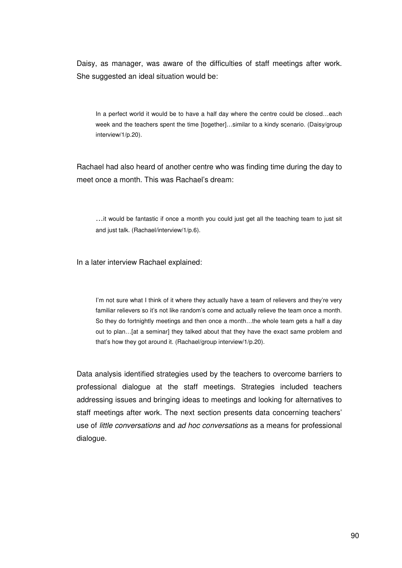Daisy, as manager, was aware of the difficulties of staff meetings after work. She suggested an ideal situation would be:

In a perfect world it would be to have a half day where the centre could be closed...each week and the teachers spent the time [together]…similar to a kindy scenario. (Daisy/group interview/1/p.20).

Rachael had also heard of another centre who was finding time during the day to meet once a month. This was Rachael's dream:

…it would be fantastic if once a month you could just get all the teaching team to just sit and just talk. (Rachael/interview/1/p.6).

In a later interview Rachael explained:

I'm not sure what I think of it where they actually have a team of relievers and they're very familiar relievers so it's not like random's come and actually relieve the team once a month. So they do fortnightly meetings and then once a month…the whole team gets a half a day out to plan…[at a seminar] they talked about that they have the exact same problem and that's how they got around it. (Rachael/group interview/1/p.20).

Data analysis identified strategies used by the teachers to overcome barriers to professional dialogue at the staff meetings. Strategies included teachers addressing issues and bringing ideas to meetings and looking for alternatives to staff meetings after work. The next section presents data concerning teachers' use of little conversations and ad hoc conversations as a means for professional dialogue.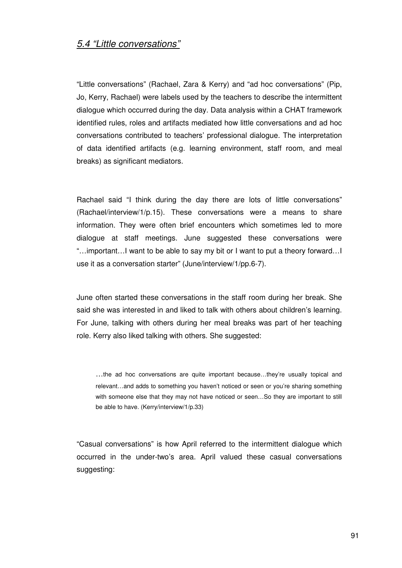### 5.4 "Little conversations"

"Little conversations" (Rachael, Zara & Kerry) and "ad hoc conversations" (Pip, Jo, Kerry, Rachael) were labels used by the teachers to describe the intermittent dialogue which occurred during the day. Data analysis within a CHAT framework identified rules, roles and artifacts mediated how little conversations and ad hoc conversations contributed to teachers' professional dialogue. The interpretation of data identified artifacts (e.g. learning environment, staff room, and meal breaks) as significant mediators.

Rachael said "I think during the day there are lots of little conversations" (Rachael/interview/1/p.15). These conversations were a means to share information. They were often brief encounters which sometimes led to more dialogue at staff meetings. June suggested these conversations were "…important…I want to be able to say my bit or I want to put a theory forward…I use it as a conversation starter" (June/interview/1/pp.6-7).

June often started these conversations in the staff room during her break. She said she was interested in and liked to talk with others about children's learning. For June, talking with others during her meal breaks was part of her teaching role. Kerry also liked talking with others. She suggested:

…the ad hoc conversations are quite important because…they're usually topical and relevant…and adds to something you haven't noticed or seen or you're sharing something with someone else that they may not have noticed or seen…So they are important to still be able to have. (Kerry/interview/1/p.33)

"Casual conversations" is how April referred to the intermittent dialogue which occurred in the under-two's area. April valued these casual conversations suggesting: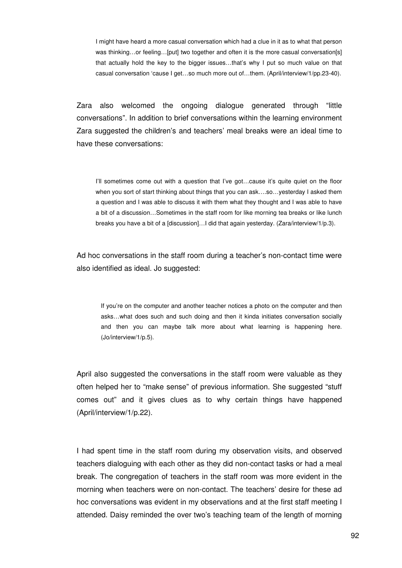I might have heard a more casual conversation which had a clue in it as to what that person was thinking...or feeling...[put] two together and often it is the more casual conversation[s] that actually hold the key to the bigger issues…that's why I put so much value on that casual conversation 'cause I get…so much more out of…them. (April/interview/1/pp.23-40).

Zara also welcomed the ongoing dialogue generated through "little conversations". In addition to brief conversations within the learning environment Zara suggested the children's and teachers' meal breaks were an ideal time to have these conversations:

I'll sometimes come out with a question that I've got…cause it's quite quiet on the floor when you sort of start thinking about things that you can ask….so…yesterday I asked them a question and I was able to discuss it with them what they thought and I was able to have a bit of a discussion…Sometimes in the staff room for like morning tea breaks or like lunch breaks you have a bit of a [discussion]…I did that again yesterday. (Zara/interview/1/p.3).

Ad hoc conversations in the staff room during a teacher's non-contact time were also identified as ideal. Jo suggested:

If you're on the computer and another teacher notices a photo on the computer and then asks…what does such and such doing and then it kinda initiates conversation socially and then you can maybe talk more about what learning is happening here. (Jo/interview/1/p.5).

April also suggested the conversations in the staff room were valuable as they often helped her to "make sense" of previous information. She suggested "stuff comes out" and it gives clues as to why certain things have happened (April/interview/1/p.22).

I had spent time in the staff room during my observation visits, and observed teachers dialoguing with each other as they did non-contact tasks or had a meal break. The congregation of teachers in the staff room was more evident in the morning when teachers were on non-contact. The teachers' desire for these ad hoc conversations was evident in my observations and at the first staff meeting I attended. Daisy reminded the over two's teaching team of the length of morning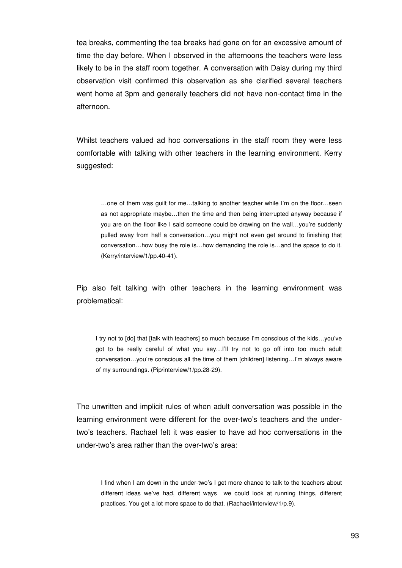tea breaks, commenting the tea breaks had gone on for an excessive amount of time the day before. When I observed in the afternoons the teachers were less likely to be in the staff room together. A conversation with Daisy during my third observation visit confirmed this observation as she clarified several teachers went home at 3pm and generally teachers did not have non-contact time in the afternoon.

Whilst teachers valued ad hoc conversations in the staff room they were less comfortable with talking with other teachers in the learning environment. Kerry suggested:

…one of them was guilt for me…talking to another teacher while I'm on the floor…seen as not appropriate maybe…then the time and then being interrupted anyway because if you are on the floor like I said someone could be drawing on the wall...you're suddenly pulled away from half a conversation…you might not even get around to finishing that conversation…how busy the role is…how demanding the role is…and the space to do it. (Kerry/interview/1/pp.40-41).

Pip also felt talking with other teachers in the learning environment was problematical:

I try not to [do] that [talk with teachers] so much because I'm conscious of the kids…you've got to be really careful of what you say…I'll try not to go off into too much adult conversation...you're conscious all the time of them [children] listening...I'm always aware of my surroundings. (Pip/interview/1/pp.28-29).

The unwritten and implicit rules of when adult conversation was possible in the learning environment were different for the over-two's teachers and the undertwo's teachers. Rachael felt it was easier to have ad hoc conversations in the under-two's area rather than the over-two's area:

I find when I am down in the under-two's I get more chance to talk to the teachers about different ideas we've had, different ways we could look at running things, different practices. You get a lot more space to do that. (Rachael/interview/1/p.9).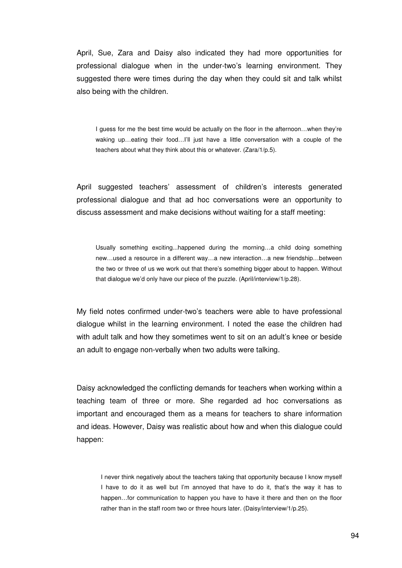April, Sue, Zara and Daisy also indicated they had more opportunities for professional dialogue when in the under-two's learning environment. They suggested there were times during the day when they could sit and talk whilst also being with the children.

I guess for me the best time would be actually on the floor in the afternoon...when they're waking up...eating their food...I'll just have a little conversation with a couple of the teachers about what they think about this or whatever. (Zara/1/p.5).

April suggested teachers' assessment of children's interests generated professional dialogue and that ad hoc conversations were an opportunity to discuss assessment and make decisions without waiting for a staff meeting:

Usually something exciting...happened during the morning…a child doing something new…used a resource in a different way…a new interaction…a new friendship…between the two or three of us we work out that there's something bigger about to happen. Without that dialogue we'd only have our piece of the puzzle. (April/interview/1/p.28).

My field notes confirmed under-two's teachers were able to have professional dialogue whilst in the learning environment. I noted the ease the children had with adult talk and how they sometimes went to sit on an adult's knee or beside an adult to engage non-verbally when two adults were talking.

Daisy acknowledged the conflicting demands for teachers when working within a teaching team of three or more. She regarded ad hoc conversations as important and encouraged them as a means for teachers to share information and ideas. However, Daisy was realistic about how and when this dialogue could happen:

I never think negatively about the teachers taking that opportunity because I know myself I have to do it as well but I'm annoyed that have to do it, that's the way it has to happen…for communication to happen you have to have it there and then on the floor rather than in the staff room two or three hours later. (Daisy/interview/1/p.25).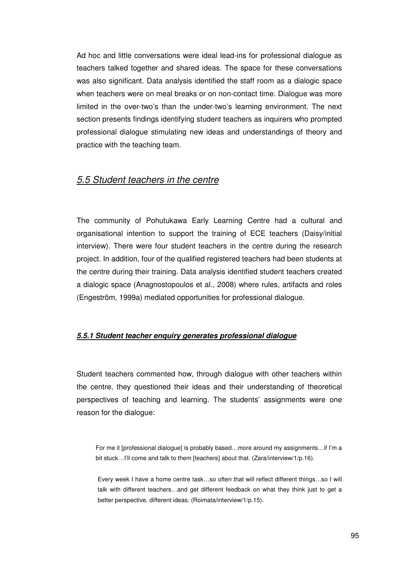Ad hoc and little conversations were ideal lead-ins for professional dialogue as teachers talked together and shared ideas. The space for these conversations was also significant. Data analysis identified the staff room as a dialogic space when teachers were on meal breaks or on non-contact time. Dialogue was more limited in the over-two's than the under-two's learning environment. The next section presents findings identifying student teachers as inquirers who prompted professional dialogue stimulating new ideas and understandings of theory and practice with the teaching team.

## 5.5 Student teachers in the centre

The community of Pohutukawa Early Learning Centre had a cultural and organisational intention to support the training of ECE teachers (Daisy/initial interview). There were four student teachers in the centre during the research project. In addition, four of the qualified registered teachers had been students at the centre during their training. Data analysis identified student teachers created a dialogic space (Anagnostopoulos et al., 2008) where rules, artifacts and roles (Engeström, 1999a) mediated opportunities for professional dialogue.

#### **5.5.1 Student teacher enquiry generates professional dialogue**

Student teachers commented how, through dialogue with other teachers within the centre, they questioned their ideas and their understanding of theoretical perspectives of teaching and learning. The students' assignments were one reason for the dialogue:

For me it [professional dialogue] is probably based…more around my assignments…if I'm a bit stuck...I'll come and talk to them [teachers] about that. (Zara/interview/1/p.16).

Every week I have a home centre task…so often that will reflect different things…so I will talk with different teachers…and get different feedback on what they think just to get a better perspective, different ideas. (Roimata/interview/1/p.15).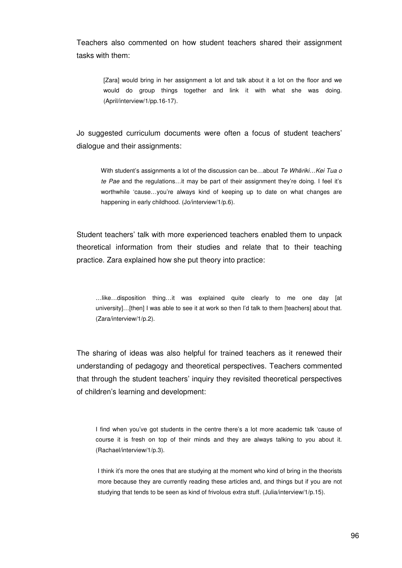Teachers also commented on how student teachers shared their assignment tasks with them:

[Zara] would bring in her assignment a lot and talk about it a lot on the floor and we would do group things together and link it with what she was doing. (April/interview/1/pp.16-17).

Jo suggested curriculum documents were often a focus of student teachers' dialogue and their assignments:

With student's assignments a lot of the discussion can be...about Te Whāriki...Kei Tua o te Pae and the regulations…it may be part of their assignment they're doing. I feel it's worthwhile 'cause...you're always kind of keeping up to date on what changes are happening in early childhood. (Jo/interview/1/p.6).

Student teachers' talk with more experienced teachers enabled them to unpack theoretical information from their studies and relate that to their teaching practice. Zara explained how she put theory into practice:

…like…disposition thing…it was explained quite clearly to me one day [at university]…[then] I was able to see it at work so then I'd talk to them [teachers] about that. (Zara/interview/1/p.2).

The sharing of ideas was also helpful for trained teachers as it renewed their understanding of pedagogy and theoretical perspectives. Teachers commented that through the student teachers' inquiry they revisited theoretical perspectives of children's learning and development:

I find when you've got students in the centre there's a lot more academic talk 'cause of course it is fresh on top of their minds and they are always talking to you about it. (Rachael/interview/1/p.3).

I think it's more the ones that are studying at the moment who kind of bring in the theorists more because they are currently reading these articles and, and things but if you are not studying that tends to be seen as kind of frivolous extra stuff. (Julia/interview/1/p.15).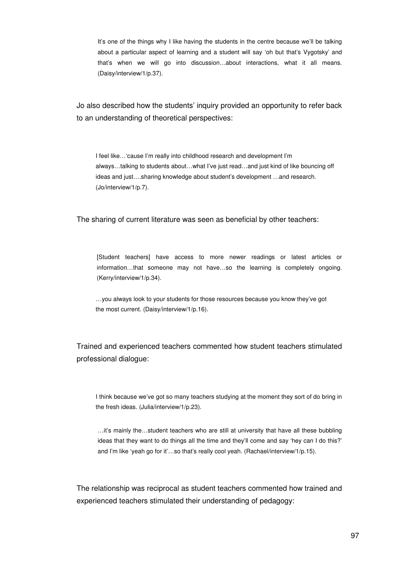It's one of the things why I like having the students in the centre because we'll be talking about a particular aspect of learning and a student will say 'oh but that's Vygotsky' and that's when we will go into discussion…about interactions, what it all means. (Daisy/interview/1/p.37).

Jo also described how the students' inquiry provided an opportunity to refer back to an understanding of theoretical perspectives:

I feel like…'cause I'm really into childhood research and development I'm always…talking to students about…what I've just read…and just kind of like bouncing off ideas and just….sharing knowledge about student's development …and research. (Jo/interview/1/p.7).

The sharing of current literature was seen as beneficial by other teachers:

[Student teachers] have access to more newer readings or latest articles or information…that someone may not have…so the learning is completely ongoing. (Kerry/interview/1/p.34).

…you always look to your students for those resources because you know they've got the most current. (Daisy/interview/1/p.16).

Trained and experienced teachers commented how student teachers stimulated professional dialogue:

I think because we've got so many teachers studying at the moment they sort of do bring in the fresh ideas. (Julia/interview/1/p.23).

…it's mainly the…student teachers who are still at university that have all these bubbling ideas that they want to do things all the time and they'll come and say 'hey can I do this?' and I'm like 'yeah go for it'...so that's really cool yeah. (Rachael/interview/1/p.15).

The relationship was reciprocal as student teachers commented how trained and experienced teachers stimulated their understanding of pedagogy: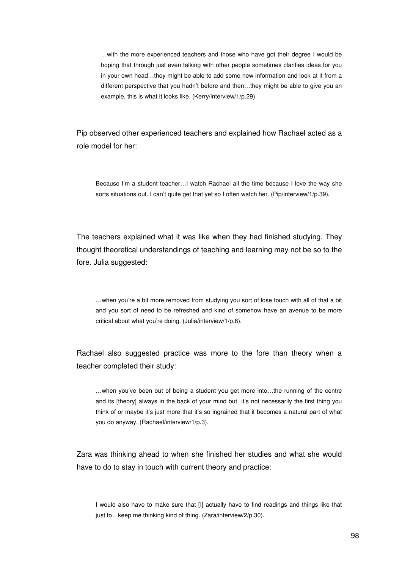…with the more experienced teachers and those who have got their degree I would be hoping that through just even talking with other people sometimes clarifies ideas for you in your own head…they might be able to add some new information and look at it from a different perspective that you hadn't before and then…they might be able to give you an example, this is what it looks like. (Kerry/interview/1/p.29).

Pip observed other experienced teachers and explained how Rachael acted as a role model for her:

Because I'm a student teacher…I watch Rachael all the time because I love the way she sorts situations out. I can't quite get that yet so I often watch her. (Pip/interview/1/p.39).

The teachers explained what it was like when they had finished studying. They thought theoretical understandings of teaching and learning may not be so to the fore. Julia suggested:

…when you're a bit more removed from studying you sort of lose touch with all of that a bit and you sort of need to be refreshed and kind of somehow have an avenue to be more critical about what you're doing. (Julia/interview/1/p.8).

Rachael also suggested practice was more to the fore than theory when a teacher completed their study:

…when you've been out of being a student you get more into…the running of the centre and its [theory] always in the back of your mind but it's not necessarily the first thing you think of or maybe it's just more that it's so ingrained that it becomes a natural part of what you do anyway. (Rachael/interview/1/p.3).

Zara was thinking ahead to when she finished her studies and what she would have to do to stay in touch with current theory and practice:

I would also have to make sure that [I] actually have to find readings and things like that just to... keep me thinking kind of thing. (Zara/interview/2/p.30).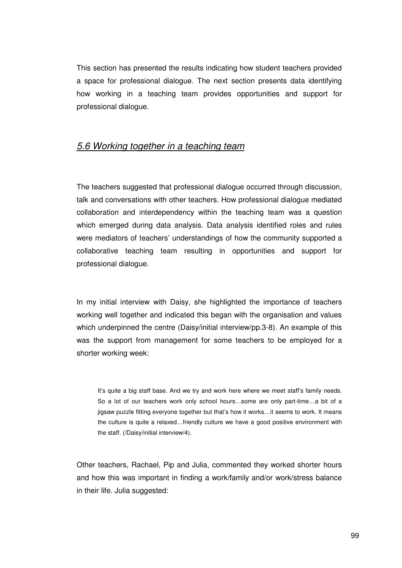This section has presented the results indicating how student teachers provided a space for professional dialogue. The next section presents data identifying how working in a teaching team provides opportunities and support for professional dialogue.

### 5.6 Working together in a teaching team

The teachers suggested that professional dialogue occurred through discussion, talk and conversations with other teachers. How professional dialogue mediated collaboration and interdependency within the teaching team was a question which emerged during data analysis. Data analysis identified roles and rules were mediators of teachers' understandings of how the community supported a collaborative teaching team resulting in opportunities and support for professional dialogue.

In my initial interview with Daisy, she highlighted the importance of teachers working well together and indicated this began with the organisation and values which underpinned the centre (Daisy/initial interview/pp.3-8). An example of this was the support from management for some teachers to be employed for a shorter working week:

It's quite a big staff base. And we try and work here where we meet staff's family needs. So a lot of our teachers work only school hours…some are only part-time…a bit of a jigsaw puzzle fitting everyone together but that's how it works…it seems to work. It means the culture is quite a relaxed…friendly culture we have a good positive environment with the staff. (/Daisy/initial interview/4).

Other teachers, Rachael, Pip and Julia, commented they worked shorter hours and how this was important in finding a work/family and/or work/stress balance in their life. Julia suggested: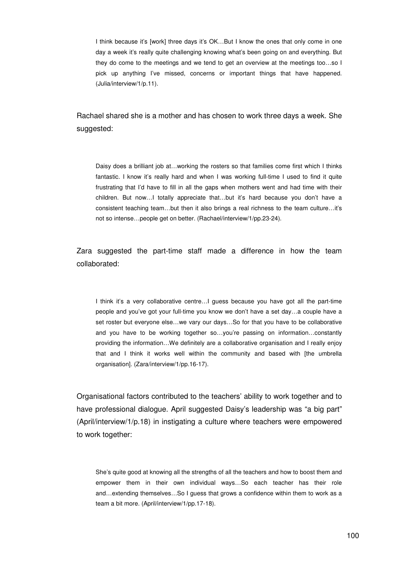I think because it's [work] three days it's OK…But I know the ones that only come in one day a week it's really quite challenging knowing what's been going on and everything. But they do come to the meetings and we tend to get an overview at the meetings too…so I pick up anything I've missed, concerns or important things that have happened. (Julia/interview/1/p.11).

Rachael shared she is a mother and has chosen to work three days a week. She suggested:

Daisy does a brilliant job at…working the rosters so that families come first which I thinks fantastic. I know it's really hard and when I was working full-time I used to find it quite frustrating that I'd have to fill in all the gaps when mothers went and had time with their children. But now…I totally appreciate that…but it's hard because you don't have a consistent teaching team…but then it also brings a real richness to the team culture…it's not so intense…people get on better. (Rachael/interview/1/pp.23-24).

Zara suggested the part-time staff made a difference in how the team collaborated:

I think it's a very collaborative centre…I guess because you have got all the part-time people and you've got your full-time you know we don't have a set day…a couple have a set roster but everyone else…we vary our days…So for that you have to be collaborative and you have to be working together so...you're passing on information...constantly providing the information…We definitely are a collaborative organisation and I really enjoy that and I think it works well within the community and based with [the umbrella organisation]. (Zara/interview/1/pp.16-17).

Organisational factors contributed to the teachers' ability to work together and to have professional dialogue. April suggested Daisy's leadership was "a big part" (April/interview/1/p.18) in instigating a culture where teachers were empowered to work together:

She's quite good at knowing all the strengths of all the teachers and how to boost them and empower them in their own individual ways…So each teacher has their role and…extending themselves…So I guess that grows a confidence within them to work as a team a bit more. (April/interview/1/pp.17-18).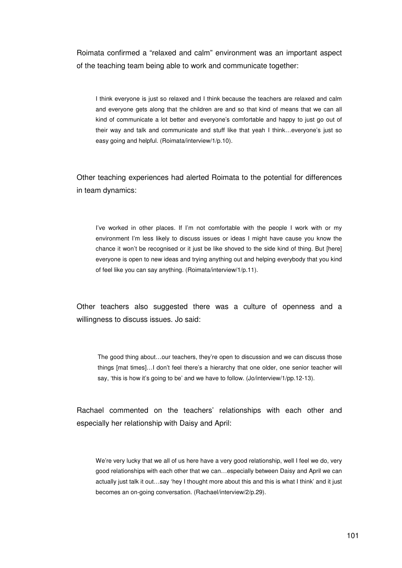Roimata confirmed a "relaxed and calm" environment was an important aspect of the teaching team being able to work and communicate together:

I think everyone is just so relaxed and I think because the teachers are relaxed and calm and everyone gets along that the children are and so that kind of means that we can all kind of communicate a lot better and everyone's comfortable and happy to just go out of their way and talk and communicate and stuff like that yeah I think…everyone's just so easy going and helpful. (Roimata/interview/1/p.10).

Other teaching experiences had alerted Roimata to the potential for differences in team dynamics:

I've worked in other places. If I'm not comfortable with the people I work with or my environment I'm less likely to discuss issues or ideas I might have cause you know the chance it won't be recognised or it just be like shoved to the side kind of thing. But [here] everyone is open to new ideas and trying anything out and helping everybody that you kind of feel like you can say anything. (Roimata/interview/1/p.11).

Other teachers also suggested there was a culture of openness and a willingness to discuss issues. Jo said:

The good thing about…our teachers, they're open to discussion and we can discuss those things [mat times]…I don't feel there's a hierarchy that one older, one senior teacher will say, 'this is how it's going to be' and we have to follow. (Jo/interview/1/pp.12-13).

Rachael commented on the teachers' relationships with each other and especially her relationship with Daisy and April:

We're very lucky that we all of us here have a very good relationship, well I feel we do, very good relationships with each other that we can…especially between Daisy and April we can actually just talk it out…say 'hey I thought more about this and this is what I think' and it just becomes an on-going conversation. (Rachael/interview/2/p.29).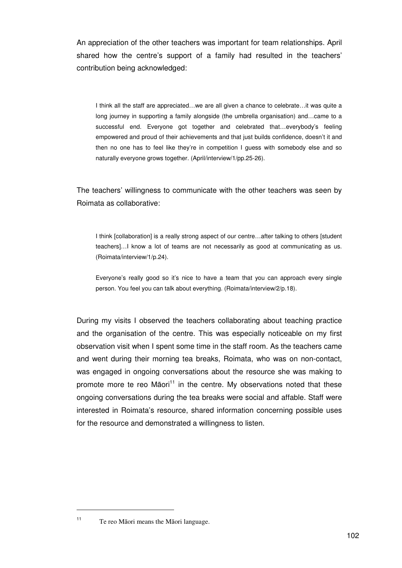An appreciation of the other teachers was important for team relationships. April shared how the centre's support of a family had resulted in the teachers' contribution being acknowledged:

I think all the staff are appreciated…we are all given a chance to celebrate…it was quite a long journey in supporting a family alongside (the umbrella organisation) and…came to a successful end. Everyone got together and celebrated that…everybody's feeling empowered and proud of their achievements and that just builds confidence, doesn't it and then no one has to feel like they're in competition I guess with somebody else and so naturally everyone grows together. (April/interview/1/pp.25-26).

The teachers' willingness to communicate with the other teachers was seen by Roimata as collaborative:

I think [collaboration] is a really strong aspect of our centre…after talking to others [student teachers]…I know a lot of teams are not necessarily as good at communicating as us. (Roimata/interview/1/p.24).

Everyone's really good so it's nice to have a team that you can approach every single person. You feel you can talk about everything. (Roimata/interview/2/p.18).

During my visits I observed the teachers collaborating about teaching practice and the organisation of the centre. This was especially noticeable on my first observation visit when I spent some time in the staff room. As the teachers came and went during their morning tea breaks, Roimata, who was on non-contact, was engaged in ongoing conversations about the resource she was making to promote more te reo Māori $11$  in the centre. My observations noted that these ongoing conversations during the tea breaks were social and affable. Staff were interested in Roimata's resource, shared information concerning possible uses for the resource and demonstrated a willingness to listen.

 $\overline{a}$ 

<sup>11</sup> Te reo Māori means the Māori language.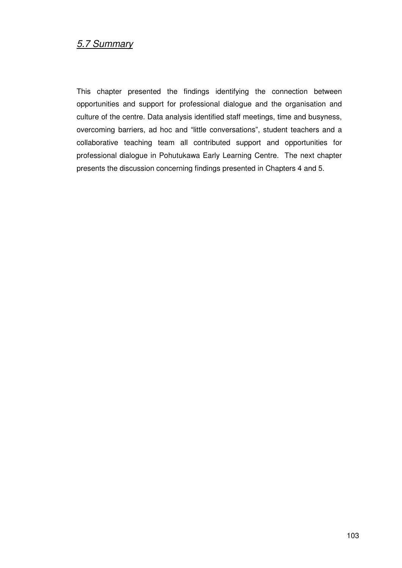# 5.7 Summary

This chapter presented the findings identifying the connection between opportunities and support for professional dialogue and the organisation and culture of the centre. Data analysis identified staff meetings, time and busyness, overcoming barriers, ad hoc and "little conversations", student teachers and a collaborative teaching team all contributed support and opportunities for professional dialogue in Pohutukawa Early Learning Centre. The next chapter presents the discussion concerning findings presented in Chapters 4 and 5.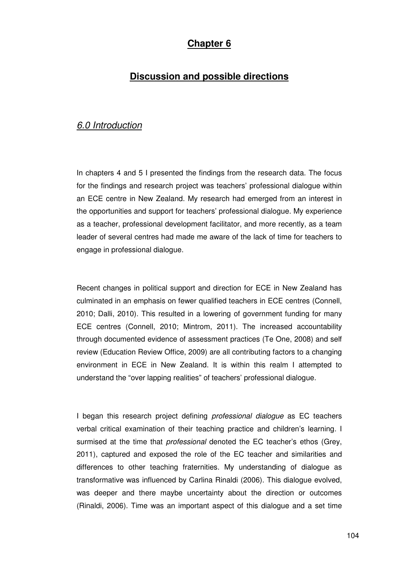## **Chapter 6**

# **Discussion and possible directions**

# 6.0 Introduction

In chapters 4 and 5 I presented the findings from the research data. The focus for the findings and research project was teachers' professional dialogue within an ECE centre in New Zealand. My research had emerged from an interest in the opportunities and support for teachers' professional dialogue. My experience as a teacher, professional development facilitator, and more recently, as a team leader of several centres had made me aware of the lack of time for teachers to engage in professional dialogue.

Recent changes in political support and direction for ECE in New Zealand has culminated in an emphasis on fewer qualified teachers in ECE centres (Connell, 2010; Dalli, 2010). This resulted in a lowering of government funding for many ECE centres (Connell, 2010; Mintrom, 2011). The increased accountability through documented evidence of assessment practices (Te One, 2008) and self review (Education Review Office, 2009) are all contributing factors to a changing environment in ECE in New Zealand. It is within this realm I attempted to understand the "over lapping realities" of teachers' professional dialogue.

I began this research project defining *professional dialogue* as EC teachers verbal critical examination of their teaching practice and children's learning. I surmised at the time that *professional* denoted the EC teacher's ethos (Grey, 2011), captured and exposed the role of the EC teacher and similarities and differences to other teaching fraternities. My understanding of dialogue as transformative was influenced by Carlina Rinaldi (2006). This dialogue evolved, was deeper and there maybe uncertainty about the direction or outcomes (Rinaldi, 2006). Time was an important aspect of this dialogue and a set time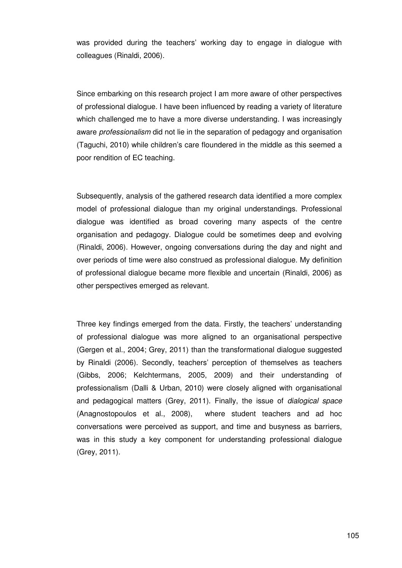was provided during the teachers' working day to engage in dialogue with colleagues (Rinaldi, 2006).

Since embarking on this research project I am more aware of other perspectives of professional dialogue. I have been influenced by reading a variety of literature which challenged me to have a more diverse understanding. I was increasingly aware *professionalism* did not lie in the separation of pedagogy and organisation (Taguchi, 2010) while children's care floundered in the middle as this seemed a poor rendition of EC teaching.

Subsequently, analysis of the gathered research data identified a more complex model of professional dialogue than my original understandings. Professional dialogue was identified as broad covering many aspects of the centre organisation and pedagogy. Dialogue could be sometimes deep and evolving (Rinaldi, 2006). However, ongoing conversations during the day and night and over periods of time were also construed as professional dialogue. My definition of professional dialogue became more flexible and uncertain (Rinaldi, 2006) as other perspectives emerged as relevant.

Three key findings emerged from the data. Firstly, the teachers' understanding of professional dialogue was more aligned to an organisational perspective (Gergen et al., 2004; Grey, 2011) than the transformational dialogue suggested by Rinaldi (2006). Secondly, teachers' perception of themselves as teachers (Gibbs, 2006; Kelchtermans, 2005, 2009) and their understanding of professionalism (Dalli & Urban, 2010) were closely aligned with organisational and pedagogical matters (Grey, 2011). Finally, the issue of dialogical space (Anagnostopoulos et al., 2008), where student teachers and ad hoc conversations were perceived as support, and time and busyness as barriers, was in this study a key component for understanding professional dialogue (Grey, 2011).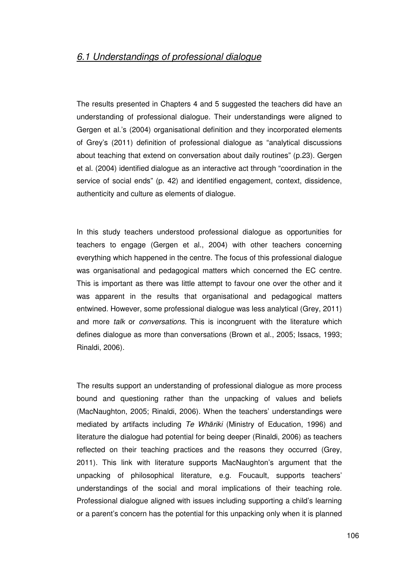The results presented in Chapters 4 and 5 suggested the teachers did have an understanding of professional dialogue. Their understandings were aligned to Gergen et al.'s (2004) organisational definition and they incorporated elements of Grey's (2011) definition of professional dialogue as "analytical discussions about teaching that extend on conversation about daily routines" (p.23). Gergen et al. (2004) identified dialogue as an interactive act through "coordination in the service of social ends" (p. 42) and identified engagement, context, dissidence, authenticity and culture as elements of dialogue.

In this study teachers understood professional dialogue as opportunities for teachers to engage (Gergen et al., 2004) with other teachers concerning everything which happened in the centre. The focus of this professional dialogue was organisational and pedagogical matters which concerned the EC centre. This is important as there was little attempt to favour one over the other and it was apparent in the results that organisational and pedagogical matters entwined. However, some professional dialogue was less analytical (Grey, 2011) and more talk or conversations. This is incongruent with the literature which defines dialogue as more than conversations (Brown et al., 2005; Issacs, 1993; Rinaldi, 2006).

The results support an understanding of professional dialogue as more process bound and questioning rather than the unpacking of values and beliefs (MacNaughton, 2005; Rinaldi, 2006). When the teachers' understandings were mediated by artifacts including Te Whariki (Ministry of Education, 1996) and literature the dialogue had potential for being deeper (Rinaldi, 2006) as teachers reflected on their teaching practices and the reasons they occurred (Grey, 2011). This link with literature supports MacNaughton's argument that the unpacking of philosophical literature, e.g. Foucault, supports teachers' understandings of the social and moral implications of their teaching role. Professional dialogue aligned with issues including supporting a child's learning or a parent's concern has the potential for this unpacking only when it is planned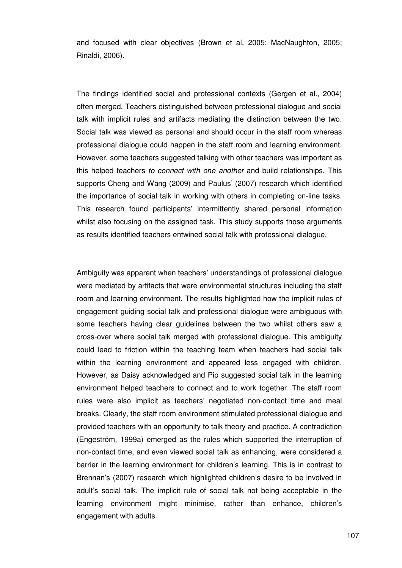and focused with clear objectives (Brown et al, 2005; MacNaughton, 2005; Rinaldi, 2006).

The findings identified social and professional contexts (Gergen et al., 2004) often merged. Teachers distinguished between professional dialogue and social talk with implicit rules and artifacts mediating the distinction between the two. Social talk was viewed as personal and should occur in the staff room whereas professional dialogue could happen in the staff room and learning environment. However, some teachers suggested talking with other teachers was important as this helped teachers to connect with one another and build relationships. This supports Cheng and Wang (2009) and Paulus' (2007) research which identified the importance of social talk in working with others in completing on-line tasks. This research found participants' intermittently shared personal information whilst also focusing on the assigned task. This study supports those arguments as results identified teachers entwined social talk with professional dialogue.

Ambiguity was apparent when teachers' understandings of professional dialogue were mediated by artifacts that were environmental structures including the staff room and learning environment. The results highlighted how the implicit rules of engagement guiding social talk and professional dialogue were ambiguous with some teachers having clear guidelines between the two whilst others saw a cross-over where social talk merged with professional dialogue. This ambiguity could lead to friction within the teaching team when teachers had social talk within the learning environment and appeared less engaged with children. However, as Daisy acknowledged and Pip suggested social talk in the learning environment helped teachers to connect and to work together. The staff room rules were also implicit as teachers' negotiated non-contact time and meal breaks. Clearly, the staff room environment stimulated professional dialogue and provided teachers with an opportunity to talk theory and practice. A contradiction (Engeström, 1999a) emerged as the rules which supported the interruption of non-contact time, and even viewed social talk as enhancing, were considered a barrier in the learning environment for children's learning. This is in contrast to Brennan's (2007) research which highlighted children's desire to be involved in adult's social talk. The implicit rule of social talk not being acceptable in the learning environment might minimise, rather than enhance, children's engagement with adults.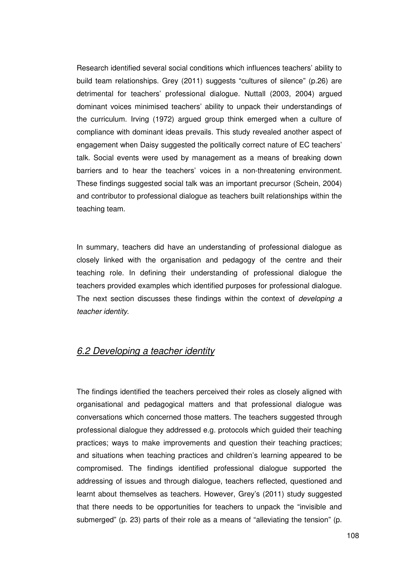Research identified several social conditions which influences teachers' ability to build team relationships. Grey (2011) suggests "cultures of silence" (p.26) are detrimental for teachers' professional dialogue. Nuttall (2003, 2004) argued dominant voices minimised teachers' ability to unpack their understandings of the curriculum. Irving (1972) argued group think emerged when a culture of compliance with dominant ideas prevails. This study revealed another aspect of engagement when Daisy suggested the politically correct nature of EC teachers' talk. Social events were used by management as a means of breaking down barriers and to hear the teachers' voices in a non-threatening environment. These findings suggested social talk was an important precursor (Schein, 2004) and contributor to professional dialogue as teachers built relationships within the teaching team.

In summary, teachers did have an understanding of professional dialogue as closely linked with the organisation and pedagogy of the centre and their teaching role. In defining their understanding of professional dialogue the teachers provided examples which identified purposes for professional dialogue. The next section discusses these findings within the context of *developing a* teacher identity.

## 6.2 Developing a teacher identity

The findings identified the teachers perceived their roles as closely aligned with organisational and pedagogical matters and that professional dialogue was conversations which concerned those matters. The teachers suggested through professional dialogue they addressed e.g. protocols which guided their teaching practices; ways to make improvements and question their teaching practices; and situations when teaching practices and children's learning appeared to be compromised. The findings identified professional dialogue supported the addressing of issues and through dialogue, teachers reflected, questioned and learnt about themselves as teachers. However, Grey's (2011) study suggested that there needs to be opportunities for teachers to unpack the "invisible and submerged" (p. 23) parts of their role as a means of "alleviating the tension" (p.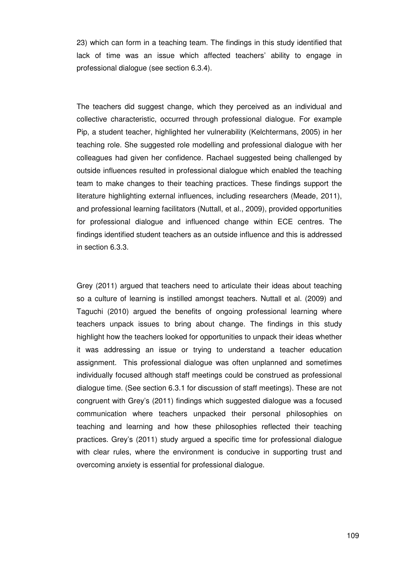23) which can form in a teaching team. The findings in this study identified that lack of time was an issue which affected teachers' ability to engage in professional dialogue (see section 6.3.4).

The teachers did suggest change, which they perceived as an individual and collective characteristic, occurred through professional dialogue. For example Pip, a student teacher, highlighted her vulnerability (Kelchtermans, 2005) in her teaching role. She suggested role modelling and professional dialogue with her colleagues had given her confidence. Rachael suggested being challenged by outside influences resulted in professional dialogue which enabled the teaching team to make changes to their teaching practices. These findings support the literature highlighting external influences, including researchers (Meade, 2011), and professional learning facilitators (Nuttall, et al., 2009), provided opportunities for professional dialogue and influenced change within ECE centres. The findings identified student teachers as an outside influence and this is addressed in section 6.3.3.

Grey (2011) argued that teachers need to articulate their ideas about teaching so a culture of learning is instilled amongst teachers. Nuttall et al. (2009) and Taguchi (2010) argued the benefits of ongoing professional learning where teachers unpack issues to bring about change. The findings in this study highlight how the teachers looked for opportunities to unpack their ideas whether it was addressing an issue or trying to understand a teacher education assignment. This professional dialogue was often unplanned and sometimes individually focused although staff meetings could be construed as professional dialogue time. (See section 6.3.1 for discussion of staff meetings). These are not congruent with Grey's (2011) findings which suggested dialogue was a focused communication where teachers unpacked their personal philosophies on teaching and learning and how these philosophies reflected their teaching practices. Grey's (2011) study argued a specific time for professional dialogue with clear rules, where the environment is conducive in supporting trust and overcoming anxiety is essential for professional dialogue.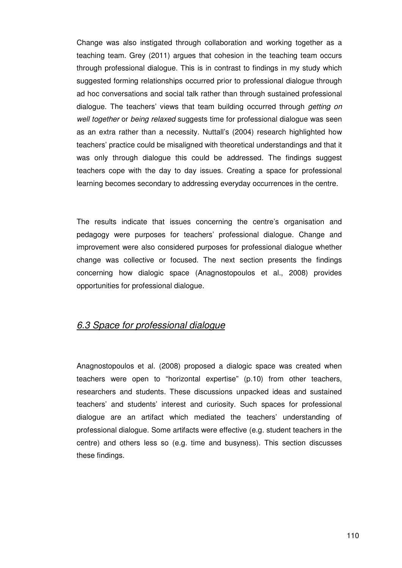Change was also instigated through collaboration and working together as a teaching team. Grey (2011) argues that cohesion in the teaching team occurs through professional dialogue. This is in contrast to findings in my study which suggested forming relationships occurred prior to professional dialogue through ad hoc conversations and social talk rather than through sustained professional dialogue. The teachers' views that team building occurred through *getting on* well together or being relaxed suggests time for professional dialogue was seen as an extra rather than a necessity. Nuttall's (2004) research highlighted how teachers' practice could be misaligned with theoretical understandings and that it was only through dialogue this could be addressed. The findings suggest teachers cope with the day to day issues. Creating a space for professional learning becomes secondary to addressing everyday occurrences in the centre.

The results indicate that issues concerning the centre's organisation and pedagogy were purposes for teachers' professional dialogue. Change and improvement were also considered purposes for professional dialogue whether change was collective or focused. The next section presents the findings concerning how dialogic space (Anagnostopoulos et al., 2008) provides opportunities for professional dialogue.

## 6.3 Space for professional dialogue

Anagnostopoulos et al. (2008) proposed a dialogic space was created when teachers were open to "horizontal expertise" (p.10) from other teachers, researchers and students. These discussions unpacked ideas and sustained teachers' and students' interest and curiosity. Such spaces for professional dialogue are an artifact which mediated the teachers' understanding of professional dialogue. Some artifacts were effective (e.g. student teachers in the centre) and others less so (e.g. time and busyness). This section discusses these findings.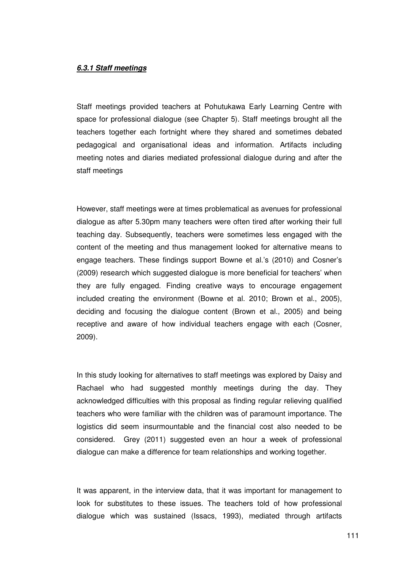#### **6.3.1 Staff meetings**

Staff meetings provided teachers at Pohutukawa Early Learning Centre with space for professional dialogue (see Chapter 5). Staff meetings brought all the teachers together each fortnight where they shared and sometimes debated pedagogical and organisational ideas and information. Artifacts including meeting notes and diaries mediated professional dialogue during and after the staff meetings

However, staff meetings were at times problematical as avenues for professional dialogue as after 5.30pm many teachers were often tired after working their full teaching day. Subsequently, teachers were sometimes less engaged with the content of the meeting and thus management looked for alternative means to engage teachers. These findings support Bowne et al.'s (2010) and Cosner's (2009) research which suggested dialogue is more beneficial for teachers' when they are fully engaged. Finding creative ways to encourage engagement included creating the environment (Bowne et al. 2010; Brown et al., 2005), deciding and focusing the dialogue content (Brown et al., 2005) and being receptive and aware of how individual teachers engage with each (Cosner, 2009).

In this study looking for alternatives to staff meetings was explored by Daisy and Rachael who had suggested monthly meetings during the day. They acknowledged difficulties with this proposal as finding regular relieving qualified teachers who were familiar with the children was of paramount importance. The logistics did seem insurmountable and the financial cost also needed to be considered. Grey (2011) suggested even an hour a week of professional dialogue can make a difference for team relationships and working together.

It was apparent, in the interview data, that it was important for management to look for substitutes to these issues. The teachers told of how professional dialogue which was sustained (Issacs, 1993), mediated through artifacts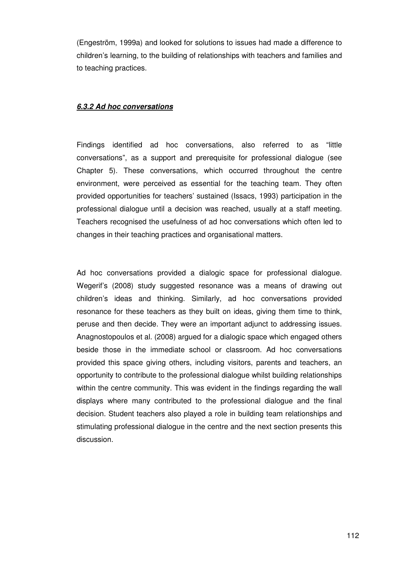(Engeström, 1999a) and looked for solutions to issues had made a difference to children's learning, to the building of relationships with teachers and families and to teaching practices.

## **6.3.2 Ad hoc conversations**

Findings identified ad hoc conversations, also referred to as "little conversations", as a support and prerequisite for professional dialogue (see Chapter 5). These conversations, which occurred throughout the centre environment, were perceived as essential for the teaching team. They often provided opportunities for teachers' sustained (Issacs, 1993) participation in the professional dialogue until a decision was reached, usually at a staff meeting. Teachers recognised the usefulness of ad hoc conversations which often led to changes in their teaching practices and organisational matters.

Ad hoc conversations provided a dialogic space for professional dialogue. Wegerif's (2008) study suggested resonance was a means of drawing out children's ideas and thinking. Similarly, ad hoc conversations provided resonance for these teachers as they built on ideas, giving them time to think, peruse and then decide. They were an important adjunct to addressing issues. Anagnostopoulos et al. (2008) argued for a dialogic space which engaged others beside those in the immediate school or classroom. Ad hoc conversations provided this space giving others, including visitors, parents and teachers, an opportunity to contribute to the professional dialogue whilst building relationships within the centre community. This was evident in the findings regarding the wall displays where many contributed to the professional dialogue and the final decision. Student teachers also played a role in building team relationships and stimulating professional dialogue in the centre and the next section presents this discussion.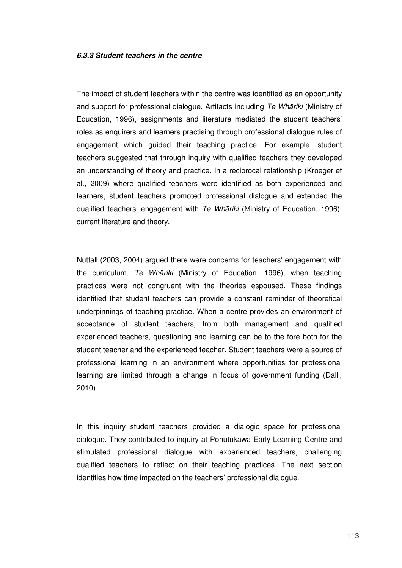#### **6.3.3 Student teachers in the centre**

The impact of student teachers within the centre was identified as an opportunity and support for professional dialogue. Artifacts including Te Whāriki (Ministry of Education, 1996), assignments and literature mediated the student teachers' roles as enquirers and learners practising through professional dialogue rules of engagement which guided their teaching practice. For example, student teachers suggested that through inquiry with qualified teachers they developed an understanding of theory and practice. In a reciprocal relationship (Kroeger et al., 2009) where qualified teachers were identified as both experienced and learners, student teachers promoted professional dialogue and extended the qualified teachers' engagement with Te Whariki (Ministry of Education, 1996), current literature and theory.

Nuttall (2003, 2004) argued there were concerns for teachers' engagement with the curriculum, Te Whāriki (Ministry of Education, 1996), when teaching practices were not congruent with the theories espoused. These findings identified that student teachers can provide a constant reminder of theoretical underpinnings of teaching practice. When a centre provides an environment of acceptance of student teachers, from both management and qualified experienced teachers, questioning and learning can be to the fore both for the student teacher and the experienced teacher. Student teachers were a source of professional learning in an environment where opportunities for professional learning are limited through a change in focus of government funding (Dalli, 2010).

In this inquiry student teachers provided a dialogic space for professional dialogue. They contributed to inquiry at Pohutukawa Early Learning Centre and stimulated professional dialogue with experienced teachers, challenging qualified teachers to reflect on their teaching practices. The next section identifies how time impacted on the teachers' professional dialogue.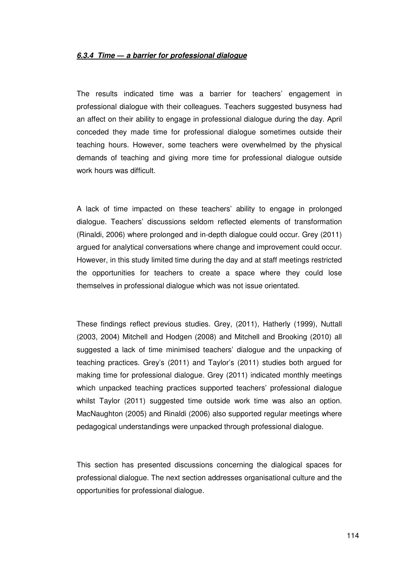### **6.3.4 Time** ― **a barrier for professional dialogue**

The results indicated time was a barrier for teachers' engagement in professional dialogue with their colleagues. Teachers suggested busyness had an affect on their ability to engage in professional dialogue during the day. April conceded they made time for professional dialogue sometimes outside their teaching hours. However, some teachers were overwhelmed by the physical demands of teaching and giving more time for professional dialogue outside work hours was difficult.

A lack of time impacted on these teachers' ability to engage in prolonged dialogue. Teachers' discussions seldom reflected elements of transformation (Rinaldi, 2006) where prolonged and in-depth dialogue could occur. Grey (2011) argued for analytical conversations where change and improvement could occur. However, in this study limited time during the day and at staff meetings restricted the opportunities for teachers to create a space where they could lose themselves in professional dialogue which was not issue orientated.

These findings reflect previous studies. Grey, (2011), Hatherly (1999), Nuttall (2003, 2004) Mitchell and Hodgen (2008) and Mitchell and Brooking (2010) all suggested a lack of time minimised teachers' dialogue and the unpacking of teaching practices. Grey's (2011) and Taylor's (2011) studies both argued for making time for professional dialogue. Grey (2011) indicated monthly meetings which unpacked teaching practices supported teachers' professional dialogue whilst Taylor (2011) suggested time outside work time was also an option. MacNaughton (2005) and Rinaldi (2006) also supported regular meetings where pedagogical understandings were unpacked through professional dialogue.

This section has presented discussions concerning the dialogical spaces for professional dialogue. The next section addresses organisational culture and the opportunities for professional dialogue.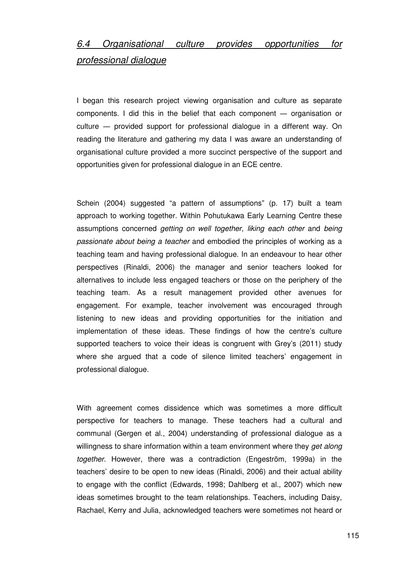# 6.4 Organisational culture provides opportunities for professional dialogue

I began this research project viewing organisation and culture as separate components. I did this in the belief that each component ― organisation or culture ― provided support for professional dialogue in a different way. On reading the literature and gathering my data I was aware an understanding of organisational culture provided a more succinct perspective of the support and opportunities given for professional dialogue in an ECE centre.

Schein (2004) suggested "a pattern of assumptions" (p. 17) built a team approach to working together. Within Pohutukawa Early Learning Centre these assumptions concerned getting on well together, liking each other and being passionate about being a teacher and embodied the principles of working as a teaching team and having professional dialogue. In an endeavour to hear other perspectives (Rinaldi, 2006) the manager and senior teachers looked for alternatives to include less engaged teachers or those on the periphery of the teaching team. As a result management provided other avenues for engagement. For example, teacher involvement was encouraged through listening to new ideas and providing opportunities for the initiation and implementation of these ideas. These findings of how the centre's culture supported teachers to voice their ideas is congruent with Grey's (2011) study where she argued that a code of silence limited teachers' engagement in professional dialogue.

With agreement comes dissidence which was sometimes a more difficult perspective for teachers to manage. These teachers had a cultural and communal (Gergen et al., 2004) understanding of professional dialogue as a willingness to share information within a team environment where they get along together. However, there was a contradiction (Engeström, 1999a) in the teachers' desire to be open to new ideas (Rinaldi, 2006) and their actual ability to engage with the conflict (Edwards, 1998; Dahlberg et al., 2007) which new ideas sometimes brought to the team relationships. Teachers, including Daisy, Rachael, Kerry and Julia, acknowledged teachers were sometimes not heard or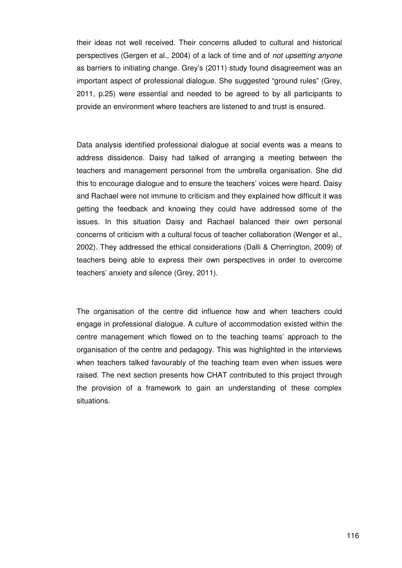their ideas not well received. Their concerns alluded to cultural and historical perspectives (Gergen et al., 2004) of a lack of time and of not upsetting anyone as barriers to initiating change. Grey's (2011) study found disagreement was an important aspect of professional dialogue. She suggested "ground rules" (Grey, 2011, p.25) were essential and needed to be agreed to by all participants to provide an environment where teachers are listened to and trust is ensured.

Data analysis identified professional dialogue at social events was a means to address dissidence. Daisy had talked of arranging a meeting between the teachers and management personnel from the umbrella organisation. She did this to encourage dialogue and to ensure the teachers' voices were heard. Daisy and Rachael were not immune to criticism and they explained how difficult it was getting the feedback and knowing they could have addressed some of the issues. In this situation Daisy and Rachael balanced their own personal concerns of criticism with a cultural focus of teacher collaboration (Wenger et al., 2002). They addressed the ethical considerations (Dalli & Cherrington, 2009) of teachers being able to express their own perspectives in order to overcome teachers' anxiety and silence (Grey, 2011).

The organisation of the centre did influence how and when teachers could engage in professional dialogue. A culture of accommodation existed within the centre management which flowed on to the teaching teams' approach to the organisation of the centre and pedagogy. This was highlighted in the interviews when teachers talked favourably of the teaching team even when issues were raised. The next section presents how CHAT contributed to this project through the provision of a framework to gain an understanding of these complex situations.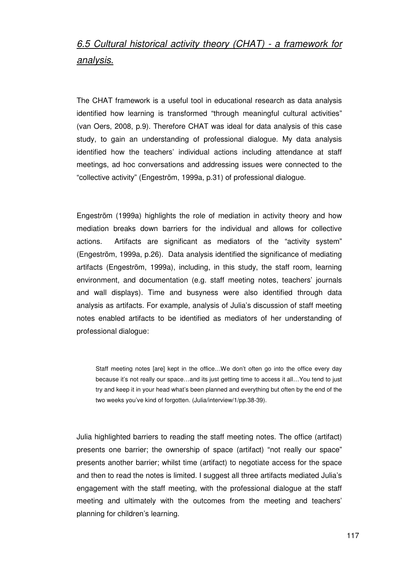# 6.5 Cultural historical activity theory (CHAT) - a framework for analysis.

The CHAT framework is a useful tool in educational research as data analysis identified how learning is transformed "through meaningful cultural activities" (van Oers, 2008, p.9). Therefore CHAT was ideal for data analysis of this case study, to gain an understanding of professional dialogue. My data analysis identified how the teachers' individual actions including attendance at staff meetings, ad hoc conversations and addressing issues were connected to the "collective activity" (Engeström, 1999a, p.31) of professional dialogue.

Engeström (1999a) highlights the role of mediation in activity theory and how mediation breaks down barriers for the individual and allows for collective actions. Artifacts are significant as mediators of the "activity system" (Engeström, 1999a, p.26). Data analysis identified the significance of mediating artifacts (Engeström, 1999a), including, in this study, the staff room, learning environment, and documentation (e.g. staff meeting notes, teachers' journals and wall displays). Time and busyness were also identified through data analysis as artifacts. For example, analysis of Julia's discussion of staff meeting notes enabled artifacts to be identified as mediators of her understanding of professional dialogue:

Staff meeting notes [are] kept in the office…We don't often go into the office every day because it's not really our space…and its just getting time to access it all…You tend to just try and keep it in your head what's been planned and everything but often by the end of the two weeks you've kind of forgotten. (Julia/interview/1/pp.38-39).

Julia highlighted barriers to reading the staff meeting notes. The office (artifact) presents one barrier; the ownership of space (artifact) "not really our space" presents another barrier; whilst time (artifact) to negotiate access for the space and then to read the notes is limited. I suggest all three artifacts mediated Julia's engagement with the staff meeting, with the professional dialogue at the staff meeting and ultimately with the outcomes from the meeting and teachers' planning for children's learning.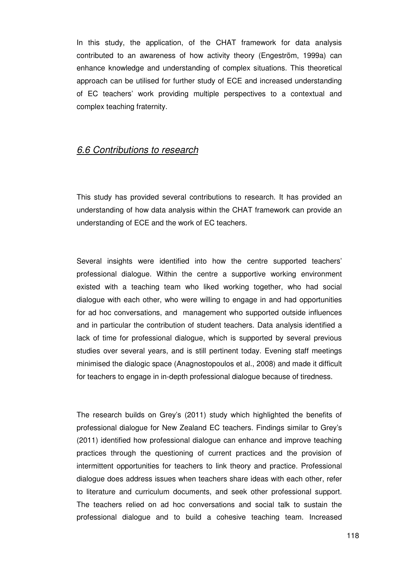In this study, the application, of the CHAT framework for data analysis contributed to an awareness of how activity theory (Engeström, 1999a) can enhance knowledge and understanding of complex situations. This theoretical approach can be utilised for further study of ECE and increased understanding of EC teachers' work providing multiple perspectives to a contextual and complex teaching fraternity.

## 6.6 Contributions to research

This study has provided several contributions to research. It has provided an understanding of how data analysis within the CHAT framework can provide an understanding of ECE and the work of EC teachers.

Several insights were identified into how the centre supported teachers' professional dialogue. Within the centre a supportive working environment existed with a teaching team who liked working together, who had social dialogue with each other, who were willing to engage in and had opportunities for ad hoc conversations, and management who supported outside influences and in particular the contribution of student teachers. Data analysis identified a lack of time for professional dialogue, which is supported by several previous studies over several years, and is still pertinent today. Evening staff meetings minimised the dialogic space (Anagnostopoulos et al., 2008) and made it difficult for teachers to engage in in-depth professional dialogue because of tiredness.

The research builds on Grey's (2011) study which highlighted the benefits of professional dialogue for New Zealand EC teachers. Findings similar to Grey's (2011) identified how professional dialogue can enhance and improve teaching practices through the questioning of current practices and the provision of intermittent opportunities for teachers to link theory and practice. Professional dialogue does address issues when teachers share ideas with each other, refer to literature and curriculum documents, and seek other professional support. The teachers relied on ad hoc conversations and social talk to sustain the professional dialogue and to build a cohesive teaching team. Increased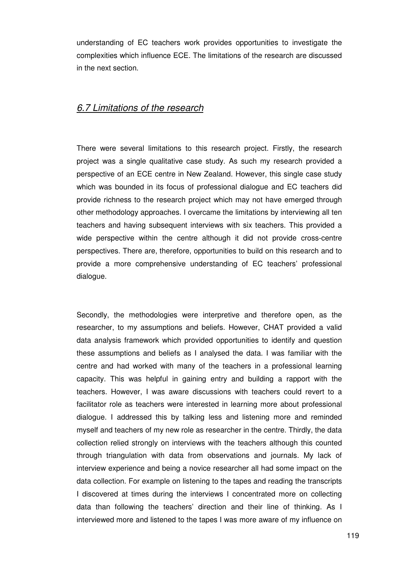understanding of EC teachers work provides opportunities to investigate the complexities which influence ECE. The limitations of the research are discussed in the next section.

## 6.7 Limitations of the research

There were several limitations to this research project. Firstly, the research project was a single qualitative case study. As such my research provided a perspective of an ECE centre in New Zealand. However, this single case study which was bounded in its focus of professional dialogue and EC teachers did provide richness to the research project which may not have emerged through other methodology approaches. I overcame the limitations by interviewing all ten teachers and having subsequent interviews with six teachers. This provided a wide perspective within the centre although it did not provide cross-centre perspectives. There are, therefore, opportunities to build on this research and to provide a more comprehensive understanding of EC teachers' professional dialogue.

Secondly, the methodologies were interpretive and therefore open, as the researcher, to my assumptions and beliefs. However, CHAT provided a valid data analysis framework which provided opportunities to identify and question these assumptions and beliefs as I analysed the data. I was familiar with the centre and had worked with many of the teachers in a professional learning capacity. This was helpful in gaining entry and building a rapport with the teachers. However, I was aware discussions with teachers could revert to a facilitator role as teachers were interested in learning more about professional dialogue. I addressed this by talking less and listening more and reminded myself and teachers of my new role as researcher in the centre. Thirdly, the data collection relied strongly on interviews with the teachers although this counted through triangulation with data from observations and journals. My lack of interview experience and being a novice researcher all had some impact on the data collection. For example on listening to the tapes and reading the transcripts I discovered at times during the interviews I concentrated more on collecting data than following the teachers' direction and their line of thinking. As I interviewed more and listened to the tapes I was more aware of my influence on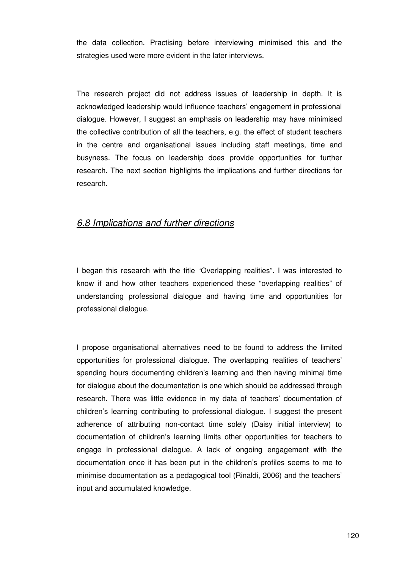the data collection. Practising before interviewing minimised this and the strategies used were more evident in the later interviews.

The research project did not address issues of leadership in depth. It is acknowledged leadership would influence teachers' engagement in professional dialogue. However, I suggest an emphasis on leadership may have minimised the collective contribution of all the teachers, e.g. the effect of student teachers in the centre and organisational issues including staff meetings, time and busyness. The focus on leadership does provide opportunities for further research. The next section highlights the implications and further directions for research.

## 6.8 Implications and further directions

I began this research with the title "Overlapping realities". I was interested to know if and how other teachers experienced these "overlapping realities" of understanding professional dialogue and having time and opportunities for professional dialogue.

I propose organisational alternatives need to be found to address the limited opportunities for professional dialogue. The overlapping realities of teachers' spending hours documenting children's learning and then having minimal time for dialogue about the documentation is one which should be addressed through research. There was little evidence in my data of teachers' documentation of children's learning contributing to professional dialogue. I suggest the present adherence of attributing non-contact time solely (Daisy initial interview) to documentation of children's learning limits other opportunities for teachers to engage in professional dialogue. A lack of ongoing engagement with the documentation once it has been put in the children's profiles seems to me to minimise documentation as a pedagogical tool (Rinaldi, 2006) and the teachers' input and accumulated knowledge.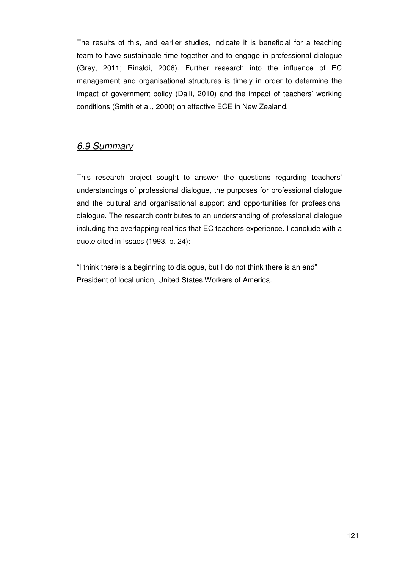The results of this, and earlier studies, indicate it is beneficial for a teaching team to have sustainable time together and to engage in professional dialogue (Grey, 2011; Rinaldi, 2006). Further research into the influence of EC management and organisational structures is timely in order to determine the impact of government policy (Dalli, 2010) and the impact of teachers' working conditions (Smith et al., 2000) on effective ECE in New Zealand.

## 6.9 Summary

This research project sought to answer the questions regarding teachers' understandings of professional dialogue, the purposes for professional dialogue and the cultural and organisational support and opportunities for professional dialogue. The research contributes to an understanding of professional dialogue including the overlapping realities that EC teachers experience. I conclude with a quote cited in Issacs (1993, p. 24):

"I think there is a beginning to dialogue, but I do not think there is an end" President of local union, United States Workers of America.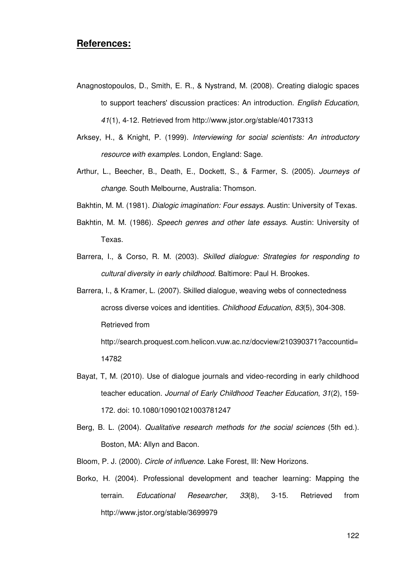## **References:**

- Anagnostopoulos, D., Smith, E. R., & Nystrand, M. (2008). Creating dialogic spaces to support teachers' discussion practices: An introduction. English Education, 41(1), 4-12. Retrieved from http://www.jstor.org/stable/40173313
- Arksey, H., & Knight, P. (1999). Interviewing for social scientists: An introductory resource with examples. London, England: Sage.
- Arthur, L., Beecher, B., Death, E., Dockett, S., & Farmer, S. (2005). Journeys of change. South Melbourne, Australia: Thomson.

Bakhtin, M. M. (1981). Dialogic imagination: Four essays. Austin: University of Texas.

- Bakhtin, M. M. (1986). Speech genres and other late essays. Austin: University of Texas.
- Barrera, I., & Corso, R. M. (2003). Skilled dialogue: Strategies for responding to cultural diversity in early childhood. Baltimore: Paul H. Brookes.
- Barrera, I., & Kramer, L. (2007). Skilled dialogue, weaving webs of connectedness across diverse voices and identities. Childhood Education, 83(5), 304-308. Retrieved from http://search.proquest.com.helicon.vuw.ac.nz/docview/210390371?accountid=

14782

- Bayat, T, M. (2010). Use of dialogue journals and video-recording in early childhood teacher education. Journal of Early Childhood Teacher Education, 31(2), 159- 172. doi: 10.1080/10901021003781247
- Berg, B. L. (2004). Qualitative research methods for the social sciences (5th ed.). Boston, MA: Allyn and Bacon.
- Bloom, P. J. (2000). Circle of influence. Lake Forest, Ill: New Horizons.
- Borko, H. (2004). Professional development and teacher learning: Mapping the terrain. Educational Researcher, 33(8), 3-15. Retrieved from http://www.jstor.org/stable/3699979

122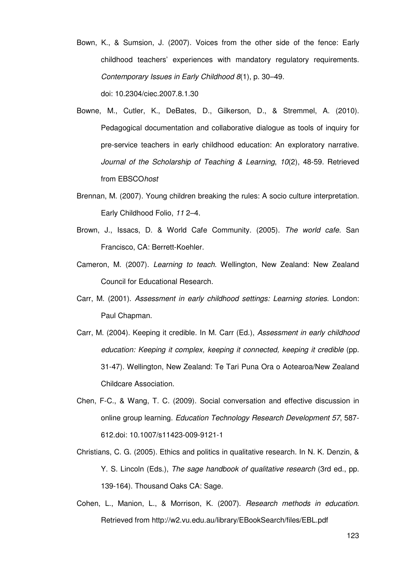- Bown, K., & Sumsion, J. (2007). Voices from the other side of the fence: Early childhood teachers' experiences with mandatory regulatory requirements. Contemporary Issues in Early Childhood 8(1), p. 30–49. doi: 10.2304/ciec.2007.8.1.30
- Bowne, M., Cutler, K., DeBates, D., Gilkerson, D., & Stremmel, A. (2010). Pedagogical documentation and collaborative dialogue as tools of inquiry for pre-service teachers in early childhood education: An exploratory narrative. Journal of the Scholarship of Teaching & Learning, 10(2), 48-59. Retrieved from EBSCOhost
- Brennan, M. (2007). Young children breaking the rules: A socio culture interpretation. Early Childhood Folio, 11 2–4.
- Brown, J., Issacs, D. & World Cafe Community. (2005). The world cafe. San Francisco, CA: Berrett-Koehler.
- Cameron, M. (2007). Learning to teach. Wellington, New Zealand: New Zealand Council for Educational Research.
- Carr, M. (2001). Assessment in early childhood settings: Learning stories. London: Paul Chapman.
- Carr, M. (2004). Keeping it credible. In M. Carr (Ed.), Assessment in early childhood education: Keeping it complex, keeping it connected, keeping it credible (pp. 31-47). Wellington, New Zealand: Te Tari Puna Ora o Aotearoa/New Zealand Childcare Association.
- Chen, F-C., & Wang, T. C. (2009). Social conversation and effective discussion in online group learning. Education Technology Research Development 57, 587- 612.doi: 10.1007/s11423-009-9121-1
- Christians, C. G. (2005). Ethics and politics in qualitative research. In N. K. Denzin, & Y. S. Lincoln (Eds.), The sage handbook of qualitative research (3rd ed., pp. 139-164). Thousand Oaks CA: Sage.
- Cohen, L., Manion, L., & Morrison, K. (2007). Research methods in education. Retrieved from http://w2.vu.edu.au/library/EBookSearch/files/EBL.pdf

123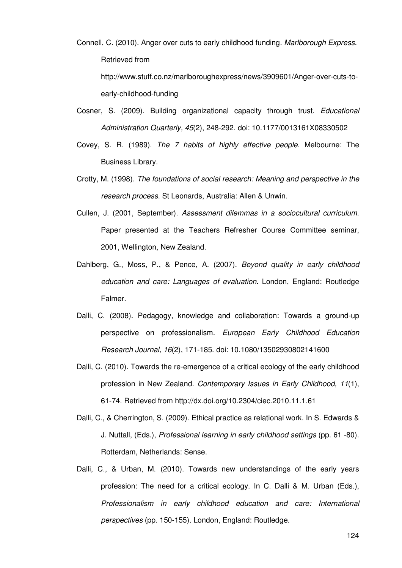- Connell, C. (2010). Anger over cuts to early childhood funding. Marlborough Express. Retrieved from http://www.stuff.co.nz/marlboroughexpress/news/3909601/Anger-over-cuts-toearly-childhood-funding
- Cosner, S. (2009). Building organizational capacity through trust. Educational Administration Quarterly, 45(2), 248-292. doi: 10.1177/0013161X08330502
- Covey, S. R. (1989). The 7 habits of highly effective people. Melbourne: The Business Library.
- Crotty, M. (1998). The foundations of social research: Meaning and perspective in the research process. St Leonards, Australia: Allen & Unwin.
- Cullen, J. (2001, September). Assessment dilemmas in a sociocultural curriculum. Paper presented at the Teachers Refresher Course Committee seminar, 2001, Wellington, New Zealand.
- Dahlberg, G., Moss, P., & Pence, A. (2007). Beyond quality in early childhood education and care: Languages of evaluation. London, England: Routledge Falmer.
- Dalli, C. (2008). Pedagogy, knowledge and collaboration: Towards a ground-up perspective on professionalism. European Early Childhood Education Research Journal, 16(2), 171-185. doi: 10.1080/13502930802141600
- Dalli, C. (2010). Towards the re-emergence of a critical ecology of the early childhood profession in New Zealand. Contemporary Issues in Early Childhood, 11(1), 61-74. Retrieved from http://dx.doi.org/10.2304/ciec.2010.11.1.61
- Dalli, C., & Cherrington, S. (2009). Ethical practice as relational work. In S. Edwards & J. Nuttall, (Eds.), Professional learning in early childhood settings (pp. 61 -80). Rotterdam, Netherlands: Sense.
- Dalli, C., & Urban, M. (2010). Towards new understandings of the early years profession: The need for a critical ecology. In C. Dalli & M. Urban (Eds.), Professionalism in early childhood education and care: International perspectives (pp. 150-155). London, England: Routledge.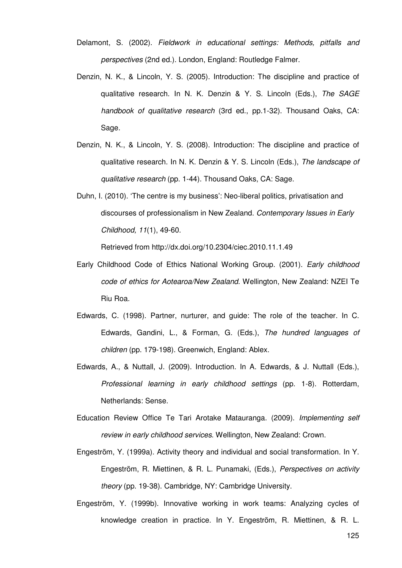- Delamont, S. (2002). Fieldwork in educational settings: Methods, pitfalls and perspectives (2nd ed.). London, England: Routledge Falmer.
- Denzin, N. K., & Lincoln, Y. S. (2005). Introduction: The discipline and practice of qualitative research. In N. K. Denzin & Y. S. Lincoln (Eds.), The SAGE handbook of qualitative research (3rd ed., pp.1-32). Thousand Oaks, CA: Sage.
- Denzin, N. K., & Lincoln, Y. S. (2008). Introduction: The discipline and practice of qualitative research. In N. K. Denzin & Y. S. Lincoln (Eds.), The landscape of qualitative research (pp. 1-44). Thousand Oaks, CA: Sage.
- Duhn, I. (2010). 'The centre is my business': Neo-liberal politics, privatisation and discourses of professionalism in New Zealand. Contemporary Issues in Early Childhood, 11(1), 49-60.

Retrieved from http://dx.doi.org/10.2304/ciec.2010.11.1.49

- Early Childhood Code of Ethics National Working Group. (2001). Early childhood code of ethics for Aotearoa/New Zealand. Wellington, New Zealand: NZEI Te Riu Roa.
- Edwards, C. (1998). Partner, nurturer, and guide: The role of the teacher. In C. Edwards, Gandini, L., & Forman, G. (Eds.), The hundred languages of children (pp. 179-198). Greenwich, England: Ablex.
- Edwards, A., & Nuttall, J. (2009). Introduction. In A. Edwards, & J. Nuttall (Eds.), Professional learning in early childhood settings (pp. 1-8). Rotterdam, Netherlands: Sense.
- Education Review Office Te Tari Arotake Matauranga. (2009). Implementing self review in early childhood services. Wellington, New Zealand: Crown.
- Engeström, Y. (1999a). Activity theory and individual and social transformation. In Y. Engeström, R. Miettinen, & R. L. Punamaki, (Eds.), Perspectives on activity theory (pp. 19-38). Cambridge, NY: Cambridge University.
- Engeström, Y. (1999b). Innovative working in work teams: Analyzing cycles of knowledge creation in practice. In Y. Engeström, R. Miettinen, & R. L.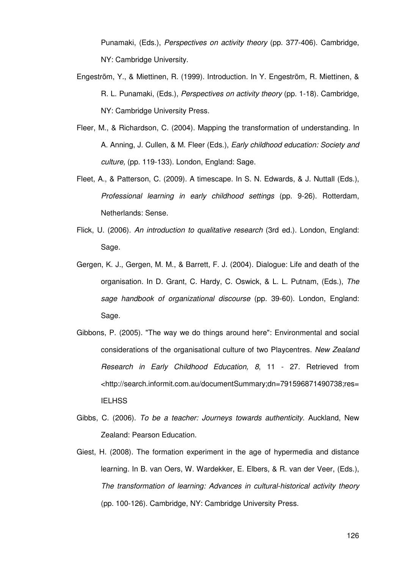Punamaki, (Eds.), Perspectives on activity theory (pp. 377-406). Cambridge, NY: Cambridge University.

- Engeström, Y., & Miettinen, R. (1999). Introduction. In Y. Engeström, R. Miettinen, & R. L. Punamaki, (Eds.), Perspectives on activity theory (pp. 1-18). Cambridge, NY: Cambridge University Press.
- Fleer, M., & Richardson, C. (2004). Mapping the transformation of understanding. In A. Anning, J. Cullen, & M. Fleer (Eds.), Early childhood education: Society and culture, (pp. 119-133). London, England: Sage.
- Fleet, A., & Patterson, C. (2009). A timescape. In S. N. Edwards, & J. Nuttall (Eds.), Professional learning in early childhood settings (pp. 9-26). Rotterdam, Netherlands: Sense.
- Flick, U. (2006). An introduction to qualitative research (3rd ed.). London, England: Sage.
- Gergen, K. J., Gergen, M. M., & Barrett, F. J. (2004). Dialogue: Life and death of the organisation. In D. Grant, C. Hardy, C. Oswick, & L. L. Putnam, (Eds.), The sage handbook of organizational discourse (pp. 39-60). London, England: Sage.
- Gibbons, P. (2005). "The way we do things around here": Environmental and social considerations of the organisational culture of two Playcentres. New Zealand Research in Early Childhood Education, 8, 11 - 27. Retrieved from <http://search.informit.com.au/documentSummary;dn=791596871490738;res= **IELHSS**
- Gibbs, C. (2006). To be a teacher: Journeys towards authenticity. Auckland, New Zealand: Pearson Education.
- Giest, H. (2008). The formation experiment in the age of hypermedia and distance learning. In B. van Oers, W. Wardekker, E. Elbers, & R. van der Veer, (Eds.), The transformation of learning: Advances in cultural-historical activity theory (pp. 100-126). Cambridge, NY: Cambridge University Press.

126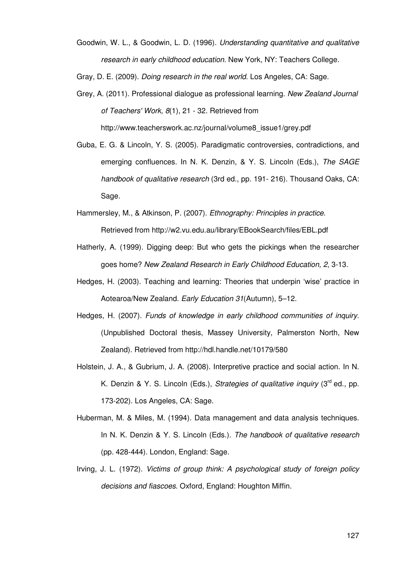- Goodwin, W. L., & Goodwin, L. D. (1996). Understanding quantitative and qualitative research in early childhood education. New York, NY: Teachers College.
- Gray, D. E. (2009). Doing research in the real world. Los Angeles, CA: Sage.
- Grey, A. (2011). Professional dialogue as professional learning. New Zealand Journal of Teachers' Work, 8(1), 21 - 32. Retrieved from http://www.teacherswork.ac.nz/journal/volume8\_issue1/grey.pdf
- Guba, E. G. & Lincoln, Y. S. (2005). Paradigmatic controversies, contradictions, and emerging confluences. In N. K. Denzin, & Y. S. Lincoln (Eds.), The SAGE handbook of qualitative research (3rd ed., pp. 191-216). Thousand Oaks, CA: Sage.
- Hammersley, M., & Atkinson, P. (2007). Ethnography: Principles in practice. Retrieved from http://w2.vu.edu.au/library/EBookSearch/files/EBL.pdf
- Hatherly, A. (1999). Digging deep: But who gets the pickings when the researcher goes home? New Zealand Research in Early Childhood Education, 2, 3-13.
- Hedges, H. (2003). Teaching and learning: Theories that underpin 'wise' practice in Aotearoa/New Zealand. Early Education 31(Autumn), 5–12.
- Hedges, H. (2007). Funds of knowledge in early childhood communities of inquiry. (Unpublished Doctoral thesis, Massey University, Palmerston North, New Zealand). Retrieved from http://hdl.handle.net/10179/580
- Holstein, J. A., & Gubrium, J. A. (2008). Interpretive practice and social action. In N. K. Denzin & Y. S. Lincoln (Eds.), Strategies of qualitative inquiry ( $3<sup>rd</sup>$  ed., pp. 173-202). Los Angeles, CA: Sage.
- Huberman, M. & Miles, M. (1994). Data management and data analysis techniques. In N. K. Denzin & Y. S. Lincoln (Eds.). The handbook of qualitative research (pp. 428-444). London, England: Sage.
- Irving, J. L. (1972). Victims of group think: A psychological study of foreign policy decisions and fiascoes. Oxford, England: Houghton Miffin.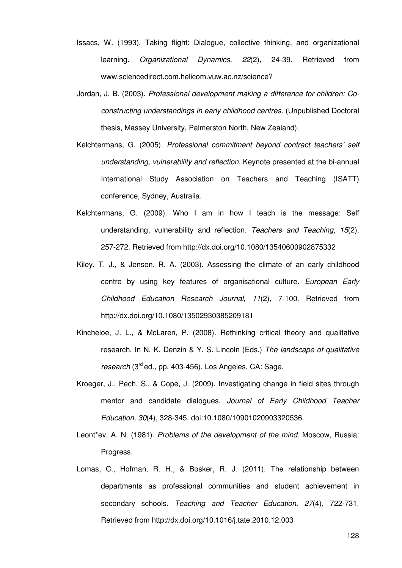- Issacs, W. (1993). Taking flight: Dialogue, collective thinking, and organizational learning. Organizational Dynamics, 22(2), 24-39. Retrieved from www.sciencedirect.com.helicom.vuw.ac.nz/science?
- Jordan, J. B. (2003). Professional development making a difference for children: Coconstructing understandings in early childhood centres. (Unpublished Doctoral thesis, Massey University, Palmerston North, New Zealand).
- Kelchtermans, G. (2005). Professional commitment beyond contract teachers' self understanding, vulnerability and reflection. Keynote presented at the bi-annual International Study Association on Teachers and Teaching (ISATT) conference, Sydney, Australia.
- Kelchtermans, G. (2009). Who I am in how I teach is the message: Self understanding, vulnerability and reflection. Teachers and Teaching, 15(2), 257-272. Retrieved from http://dx.doi.org/10.1080/13540600902875332
- Kiley, T. J., & Jensen, R. A. (2003). Assessing the climate of an early childhood centre by using key features of organisational culture. European Early Childhood Education Research Journal, 11(2), 7-100. Retrieved from http://dx.doi.org/10.1080/13502930385209181
- Kincheloe, J. L., & McLaren, P. (2008). Rethinking critical theory and qualitative research. In N. K. Denzin & Y. S. Lincoln (Eds.) The landscape of qualitative research (3<sup>rd</sup> ed., pp. 403-456). Los Angeles, CA: Sage.
- Kroeger, J., Pech, S., & Cope, J. (2009). Investigating change in field sites through mentor and candidate dialogues. Journal of Early Childhood Teacher Education, 30(4), 328-345. doi:10.1080/10901020903320536.
- Leont\*ev, A. N. (1981). Problems of the development of the mind. Moscow, Russia: Progress.
- Lomas, C., Hofman, R. H., & Bosker, R. J. (2011). The relationship between departments as professional communities and student achievement in secondary schools. Teaching and Teacher Education, 27(4), 722-731. Retrieved from http://dx.doi.org/10.1016/j.tate.2010.12.003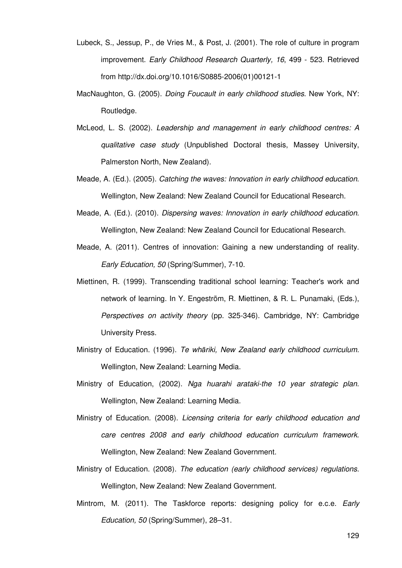- Lubeck, S., Jessup, P., de Vries M., & Post, J. (2001). The role of culture in program improvement. Early Childhood Research Quarterly, 16, 499 - 523. Retrieved from http://dx.doi.org/10.1016/S0885-2006(01)00121-1
- MacNaughton, G. (2005). Doing Foucault in early childhood studies. New York, NY: Routledge.
- McLeod, L. S. (2002). Leadership and management in early childhood centres: A qualitative case study (Unpublished Doctoral thesis, Massey University, Palmerston North, New Zealand).
- Meade, A. (Ed.). (2005). Catching the waves: Innovation in early childhood education. Wellington, New Zealand: New Zealand Council for Educational Research.
- Meade, A. (Ed.). (2010). Dispersing waves: Innovation in early childhood education. Wellington, New Zealand: New Zealand Council for Educational Research.
- Meade, A. (2011). Centres of innovation: Gaining a new understanding of reality. Early Education, 50 (Spring/Summer), 7-10.
- Miettinen, R. (1999). Transcending traditional school learning: Teacher's work and network of learning. In Y. Engeström, R. Miettinen, & R. L. Punamaki, (Eds.), Perspectives on activity theory (pp. 325-346). Cambridge, NY: Cambridge University Press.
- Ministry of Education. (1996). Te whāriki, New Zealand early childhood curriculum. Wellington, New Zealand: Learning Media.
- Ministry of Education, (2002). Nga huarahi arataki-the 10 year strategic plan. Wellington, New Zealand: Learning Media.
- Ministry of Education. (2008). Licensing criteria for early childhood education and care centres 2008 and early childhood education curriculum framework. Wellington, New Zealand: New Zealand Government.
- Ministry of Education. (2008). The education (early childhood services) regulations. Wellington, New Zealand: New Zealand Government.
- Mintrom, M. (2011). The Taskforce reports: designing policy for e.c.e. *Early* Education, 50 (Spring/Summer), 28–31.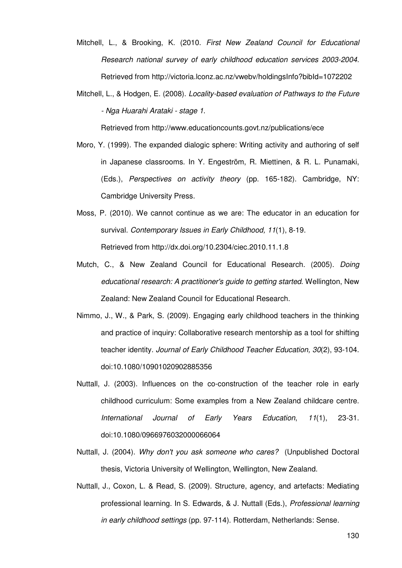- Mitchell, L., & Brooking, K. (2010. First New Zealand Council for Educational Research national survey of early childhood education services 2003-2004. Retrieved from http://victoria.lconz.ac.nz/vwebv/holdingsInfo?bibId=1072202
- Mitchell, L., & Hodgen, E. (2008). Locality-based evaluation of Pathways to the Future - Nga Huarahi Arataki - stage 1.

Retrieved from http://www.educationcounts.govt.nz/publications/ece

- Moro, Y. (1999). The expanded dialogic sphere: Writing activity and authoring of self in Japanese classrooms. In Y. Engeström, R. Miettinen, & R. L. Punamaki, (Eds.), Perspectives on activity theory (pp. 165-182). Cambridge, NY: Cambridge University Press.
- Moss, P. (2010). We cannot continue as we are: The educator in an education for survival. Contemporary Issues in Early Childhood, 11(1), 8-19. Retrieved from http://dx.doi.org/10.2304/ciec.2010.11.1.8
- Mutch, C., & New Zealand Council for Educational Research. (2005). Doing educational research: A practitioner's guide to getting started. Wellington, New Zealand: New Zealand Council for Educational Research.
- Nimmo, J., W., & Park, S. (2009). Engaging early childhood teachers in the thinking and practice of inquiry: Collaborative research mentorship as a tool for shifting teacher identity. Journal of Early Childhood Teacher Education, 30(2), 93-104. doi:10.1080/10901020902885356
- Nuttall, J. (2003). Influences on the co-construction of the teacher role in early childhood curriculum: Some examples from a New Zealand childcare centre. International Journal of Early Years Education, 11(1), 23-31. doi:10.1080/0966976032000066064
- Nuttall, J. (2004). Why don't you ask someone who cares? (Unpublished Doctoral thesis, Victoria University of Wellington, Wellington, New Zealand.
- Nuttall, J., Coxon, L. & Read, S. (2009). Structure, agency, and artefacts: Mediating professional learning. In S. Edwards, & J. Nuttall (Eds.), Professional learning in early childhood settings (pp. 97-114). Rotterdam, Netherlands: Sense.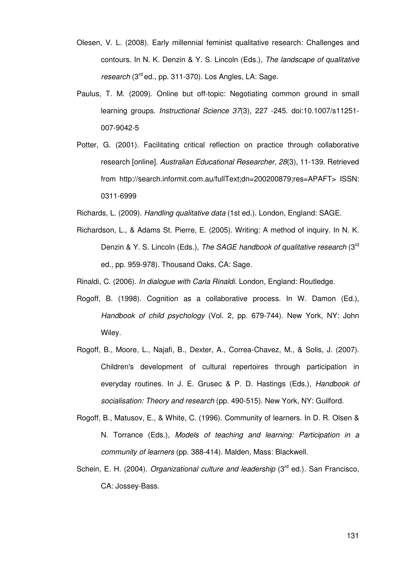- Olesen, V. L. (2008). Early millennial feminist qualitative research: Challenges and contours. In N. K. Denzin & Y. S. Lincoln (Eds.), The landscape of qualitative research (3<sup>rd</sup> ed., pp. 311-370). Los Angles, LA: Sage.
- Paulus, T. M. (2009). Online but off-topic: Negotiating common ground in small learning groups. Instructional Science 37(3), 227 -245. doi:10.1007/s11251- 007-9042-5
- Potter, G. (2001). Facilitating critical reflection on practice through collaborative research [online]. Australian Educational Researcher, 28(3), 11-139. Retrieved from http://search.informit.com.au/fullText;dn=200200879;res=APAFT> ISSN: 0311-6999
- Richards, L. (2009). Handling qualitative data (1st ed.). London, England: SAGE.
- Richardson, L., & Adams St. Pierre, E. (2005). Writing: A method of inquiry. In N. K. Denzin & Y. S. Lincoln (Eds.), The SAGE handbook of qualitative research (3<sup>rd</sup> ed., pp. 959-978). Thousand Oaks, CA: Sage.
- Rinaldi, C. (2006). In dialogue with Carla Rinaldi. London, England: Routledge.
- Rogoff, B. (1998). Cognition as a collaborative process. In W. Damon (Ed.), Handbook of child psychology (Vol. 2, pp. 679-744). New York, NY: John Wiley.
- Rogoff, B., Moore, L., Najafi, B., Dexter, A., Correa-Chavez, M., & Solis, J. (2007). Children's development of cultural repertoires through participation in everyday routines. In J. E. Grusec & P. D. Hastings (Eds.), Handbook of socialisation: Theory and research (pp. 490-515). New York, NY: Guilford.
- Rogoff, B., Matusov, E., & White, C. (1996). Community of learners. In D. R. Olsen & N. Torrance (Eds.), Models of teaching and learning: Participation in a community of learners (pp. 388-414). Malden, Mass: Blackwell.
- Schein, E. H. (2004). Organizational culture and leadership (3<sup>rd</sup> ed.). San Francisco. CA: Jossey-Bass.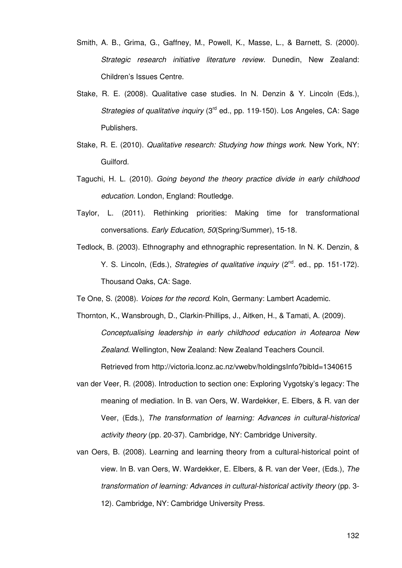- Smith, A. B., Grima, G., Gaffney, M., Powell, K., Masse, L., & Barnett, S. (2000). Strategic research initiative literature review. Dunedin, New Zealand: Children's Issues Centre.
- Stake, R. E. (2008). Qualitative case studies. In N. Denzin & Y. Lincoln (Eds.), Strategies of qualitative inquiry (3<sup>rd</sup> ed., pp. 119-150). Los Angeles, CA: Sage Publishers.
- Stake, R. E. (2010). Qualitative research: Studying how things work. New York, NY: Guilford.
- Taguchi, H. L. (2010). Going beyond the theory practice divide in early childhood education. London, England: Routledge.
- Taylor, L. (2011). Rethinking priorities: Making time for transformational conversations. Early Education, 50(Spring/Summer), 15-18.
- Tedlock, B. (2003). Ethnography and ethnographic representation. In N. K. Denzin, & Y. S. Lincoln, (Eds.), Strategies of qualitative inquiry (2<sup>nd</sup>. ed., pp. 151-172). Thousand Oaks, CA: Sage.

Te One, S. (2008). Voices for the record. Koln, Germany: Lambert Academic.

- Thornton, K., Wansbrough, D., Clarkin-Phillips, J., Aitken, H., & Tamati, A. (2009). Conceptualising leadership in early childhood education in Aotearoa New Zealand. Wellington, New Zealand: New Zealand Teachers Council. Retrieved from http://victoria.lconz.ac.nz/vwebv/holdingsInfo?bibId=1340615
- van der Veer, R. (2008). Introduction to section one: Exploring Vygotsky's legacy: The meaning of mediation. In B. van Oers, W. Wardekker, E. Elbers, & R. van der Veer, (Eds.), The transformation of learning: Advances in cultural-historical activity theory (pp. 20-37). Cambridge, NY: Cambridge University.
- van Oers, B. (2008). Learning and learning theory from a cultural-historical point of view. In B. van Oers, W. Wardekker, E. Elbers, & R. van der Veer, (Eds.), The transformation of learning: Advances in cultural-historical activity theory (pp. 3- 12). Cambridge, NY: Cambridge University Press.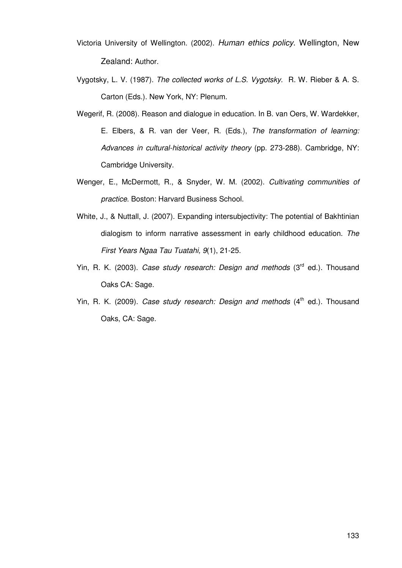- Victoria University of Wellington. (2002). Human ethics policy. Wellington, New Zealand: Author.
- Vygotsky, L. V. (1987). The collected works of L.S. Vygotsky. R. W. Rieber & A. S. Carton (Eds.). New York, NY: Plenum.
- Wegerif, R. (2008). Reason and dialogue in education. In B. van Oers, W. Wardekker, E. Elbers, & R. van der Veer, R. (Eds.), The transformation of learning: Advances in cultural-historical activity theory (pp. 273-288). Cambridge, NY: Cambridge University.
- Wenger, E., McDermott, R., & Snyder, W. M. (2002). Cultivating communities of practice. Boston: Harvard Business School.
- White, J., & Nuttall, J. (2007). Expanding intersubjectivity: The potential of Bakhtinian dialogism to inform narrative assessment in early childhood education. The First Years Ngaa Tau Tuatahi, 9(1), 21-25.
- Yin, R. K. (2003). Case study research: Design and methods  $(3<sup>rd</sup>$  ed.). Thousand Oaks CA: Sage.
- Yin, R. K. (2009). Case study research: Design and methods  $(4<sup>th</sup>$  ed.). Thousand Oaks, CA: Sage.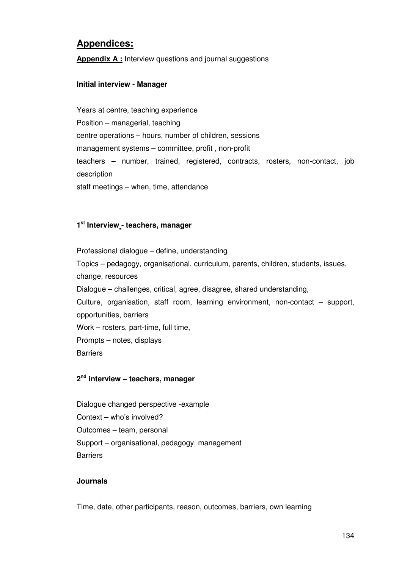# **Appendices:**

**Appendix A :** Interview questions and journal suggestions

## **Initial interview - Manager**

Years at centre, teaching experience Position – managerial, teaching centre operations – hours, number of children, sessions management systems – committee, profit , non-profit teachers – number, trained, registered, contracts, rosters, non-contact, job description staff meetings – when, time, attendance

## **1 st Interview - teachers, manager**

Professional dialogue – define, understanding Topics – pedagogy, organisational, curriculum, parents, children, students, issues, change, resources Dialogue – challenges, critical, agree, disagree, shared understanding, Culture, organisation, staff room, learning environment, non-contact – support, opportunities, barriers Work – rosters, part-time, full time, Prompts – notes, displays **Barriers** 

### **2 nd interview – teachers, manager**

Dialogue changed perspective -example Context – who's involved? Outcomes – team, personal Support – organisational, pedagogy, management **Barriers** 

### **Journals**

Time, date, other participants, reason, outcomes, barriers, own learning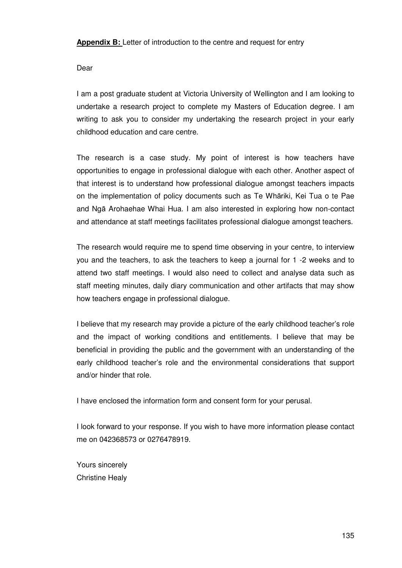**Appendix B:** Letter of introduction to the centre and request for entry

Dear

I am a post graduate student at Victoria University of Wellington and I am looking to undertake a research project to complete my Masters of Education degree. I am writing to ask you to consider my undertaking the research project in your early childhood education and care centre.

The research is a case study. My point of interest is how teachers have opportunities to engage in professional dialogue with each other. Another aspect of that interest is to understand how professional dialogue amongst teachers impacts on the implementation of policy documents such as Te Whāriki, Kei Tua o te Pae and Ngā Arohaehae Whai Hua. I am also interested in exploring how non-contact and attendance at staff meetings facilitates professional dialogue amongst teachers.

The research would require me to spend time observing in your centre, to interview you and the teachers, to ask the teachers to keep a journal for 1 -2 weeks and to attend two staff meetings. I would also need to collect and analyse data such as staff meeting minutes, daily diary communication and other artifacts that may show how teachers engage in professional dialogue.

I believe that my research may provide a picture of the early childhood teacher's role and the impact of working conditions and entitlements. I believe that may be beneficial in providing the public and the government with an understanding of the early childhood teacher's role and the environmental considerations that support and/or hinder that role.

I have enclosed the information form and consent form for your perusal.

I look forward to your response. If you wish to have more information please contact me on 042368573 or 0276478919.

Yours sincerely Christine Healy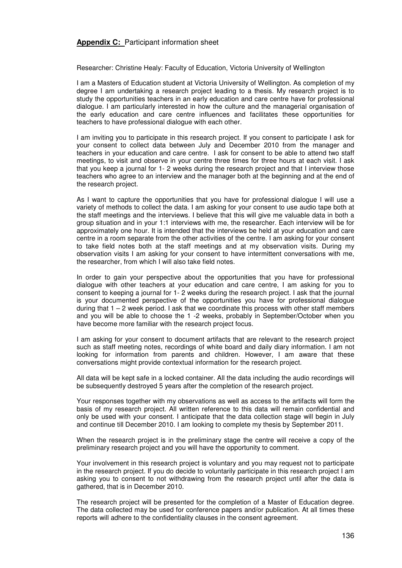#### **Appendix C:** Participant information sheet

Researcher: Christine Healy: Faculty of Education, Victoria University of Wellington

I am a Masters of Education student at Victoria University of Wellington. As completion of my degree I am undertaking a research project leading to a thesis. My research project is to study the opportunities teachers in an early education and care centre have for professional dialogue. I am particularly interested in how the culture and the managerial organisation of the early education and care centre influences and facilitates these opportunities for teachers to have professional dialogue with each other.

I am inviting you to participate in this research project. If you consent to participate I ask for your consent to collect data between July and December 2010 from the manager and teachers in your education and care centre. I ask for consent to be able to attend two staff meetings, to visit and observe in your centre three times for three hours at each visit. I ask that you keep a journal for 1- 2 weeks during the research project and that I interview those teachers who agree to an interview and the manager both at the beginning and at the end of the research project.

As I want to capture the opportunities that you have for professional dialogue I will use a variety of methods to collect the data. I am asking for your consent to use audio tape both at the staff meetings and the interviews. I believe that this will give me valuable data in both a group situation and in your 1:1 interviews with me, the researcher. Each interview will be for approximately one hour. It is intended that the interviews be held at your education and care centre in a room separate from the other activities of the centre. I am asking for your consent to take field notes both at the staff meetings and at my observation visits. During my observation visits I am asking for your consent to have intermittent conversations with me, the researcher, from which I will also take field notes.

In order to gain your perspective about the opportunities that you have for professional dialogue with other teachers at your education and care centre, I am asking for you to consent to keeping a journal for 1- 2 weeks during the research project. I ask that the journal is your documented perspective of the opportunities you have for professional dialogue during that  $1 - 2$  week period. I ask that we coordinate this process with other staff members and you will be able to choose the 1 -2 weeks, probably in September/October when you have become more familiar with the research project focus.

I am asking for your consent to document artifacts that are relevant to the research project such as staff meeting notes, recordings of white board and daily diary information. I am not looking for information from parents and children. However, I am aware that these conversations might provide contextual information for the research project.

All data will be kept safe in a locked container. All the data including the audio recordings will be subsequently destroyed 5 years after the completion of the research project.

 Your responses together with my observations as well as access to the artifacts will form the basis of my research project. All written reference to this data will remain confidential and only be used with your consent. I anticipate that the data collection stage will begin in July and continue till December 2010. I am looking to complete my thesis by September 2011.

 When the research project is in the preliminary stage the centre will receive a copy of the preliminary research project and you will have the opportunity to comment.

 Your involvement in this research project is voluntary and you may request not to participate in the research project. If you do decide to voluntarily participate in this research project I am asking you to consent to not withdrawing from the research project until after the data is gathered, that is in December 2010.

 The research project will be presented for the completion of a Master of Education degree. The data collected may be used for conference papers and/or publication. At all times these reports will adhere to the confidentiality clauses in the consent agreement.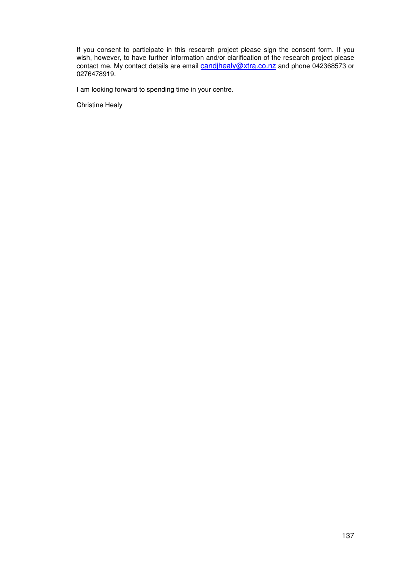If you consent to participate in this research project please sign the consent form. If you wish, however, to have further information and/or clarification of the research project please contact me. My contact details are email candihealy@xtra.co.nz and phone 042368573 or 0276478919.

I am looking forward to spending time in your centre.

Christine Healy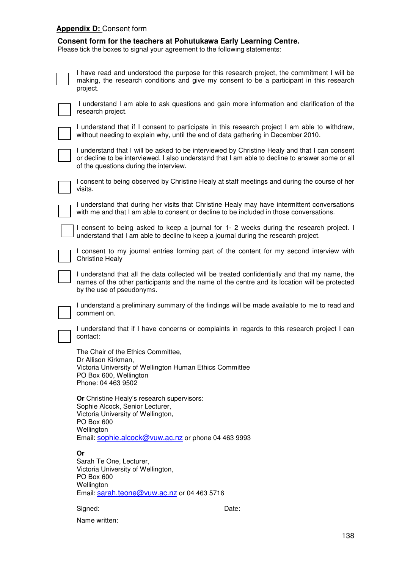## **Appendix D:** Consent form

## **Consent form for the teachers at Pohutukawa Early Learning Centre.**

Please tick the boxes to signal your agreement to the following statements:

| I have read and understood the purpose for this research project, the commitment I will be<br>making, the research conditions and give my consent to be a participant in this research<br>project.                                         |  |  |
|--------------------------------------------------------------------------------------------------------------------------------------------------------------------------------------------------------------------------------------------|--|--|
| I understand I am able to ask questions and gain more information and clarification of the<br>research project.                                                                                                                            |  |  |
| I understand that if I consent to participate in this research project I am able to withdraw,<br>without needing to explain why, until the end of data gathering in December 2010.                                                         |  |  |
| I understand that I will be asked to be interviewed by Christine Healy and that I can consent<br>or decline to be interviewed. I also understand that I am able to decline to answer some or all<br>of the questions during the interview. |  |  |
| I consent to being observed by Christine Healy at staff meetings and during the course of her<br>visits.                                                                                                                                   |  |  |
| I understand that during her visits that Christine Healy may have intermittent conversations<br>with me and that I am able to consent or decline to be included in those conversations.                                                    |  |  |
| I consent to being asked to keep a journal for 1-2 weeks during the research project. I<br>understand that I am able to decline to keep a journal during the research project.                                                             |  |  |
| I consent to my journal entries forming part of the content for my second interview with<br><b>Christine Healy</b>                                                                                                                         |  |  |
| I understand that all the data collected will be treated confidentially and that my name, the<br>names of the other participants and the name of the centre and its location will be protected<br>by the use of pseudonyms.                |  |  |
| I understand a preliminary summary of the findings will be made available to me to read and<br>comment on.                                                                                                                                 |  |  |
| I understand that if I have concerns or complaints in regards to this research project I can<br>contact:                                                                                                                                   |  |  |
| The Chair of the Ethics Committee,<br>Dr Allison Kirkman,<br>Victoria University of Wellington Human Ethics Committee<br>PO Box 600, Wellington<br>Phone: 04 463 9502                                                                      |  |  |
| Or Christine Healy's research supervisors:<br>Sophie Alcock, Senior Lecturer,<br>Victoria University of Wellington,<br>PO Box 600<br>Wellington<br>Email: sophie.alcock@vuw.ac.nz or phone 04 463 9993                                     |  |  |
| Or<br>Sarah Te One, Lecturer,<br>Victoria University of Wellington,<br>PO Box 600<br>Wellington<br>Email: sarah.teone@vuw.ac.nz or 04 463 5716                                                                                             |  |  |
| Signed:<br>Date:                                                                                                                                                                                                                           |  |  |
| Name written:                                                                                                                                                                                                                              |  |  |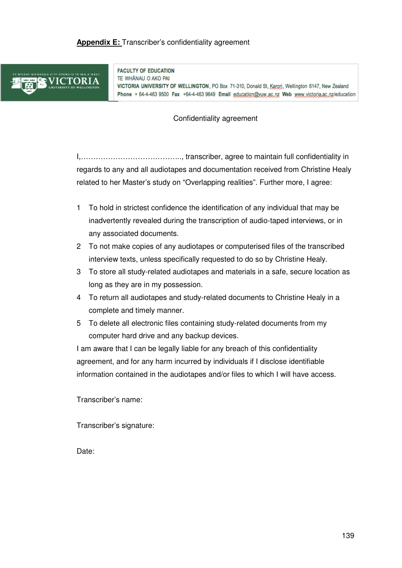## **Appendix E:** Transcriber's confidentiality agreement



**FACULTY OF EDUCATION** TE WHANAU O AKO PAI

VICTORIA UNIVERSITY OF WELLINGTON, PO Box 71-310, Donald St, Karori, Wellington 6147, New Zealand Phone + 64-4-463 9500 Fax +64-4-463 9649 Email education@vuw.ac.nz Web www.victoria.ac.nz/education

Confidentiality agreement

I,………………………………….., transcriber, agree to maintain full confidentiality in regards to any and all audiotapes and documentation received from Christine Healy related to her Master's study on "Overlapping realities". Further more, I agree:

- 1 To hold in strictest confidence the identification of any individual that may be inadvertently revealed during the transcription of audio-taped interviews, or in any associated documents.
- 2 To not make copies of any audiotapes or computerised files of the transcribed interview texts, unless specifically requested to do so by Christine Healy.
- 3 To store all study-related audiotapes and materials in a safe, secure location as long as they are in my possession.
- 4 To return all audiotapes and study-related documents to Christine Healy in a complete and timely manner.
- 5 To delete all electronic files containing study-related documents from my computer hard drive and any backup devices.

I am aware that I can be legally liable for any breach of this confidentiality agreement, and for any harm incurred by individuals if I disclose identifiable information contained in the audiotapes and/or files to which I will have access.

Transcriber's name:

Transcriber's signature:

Date: